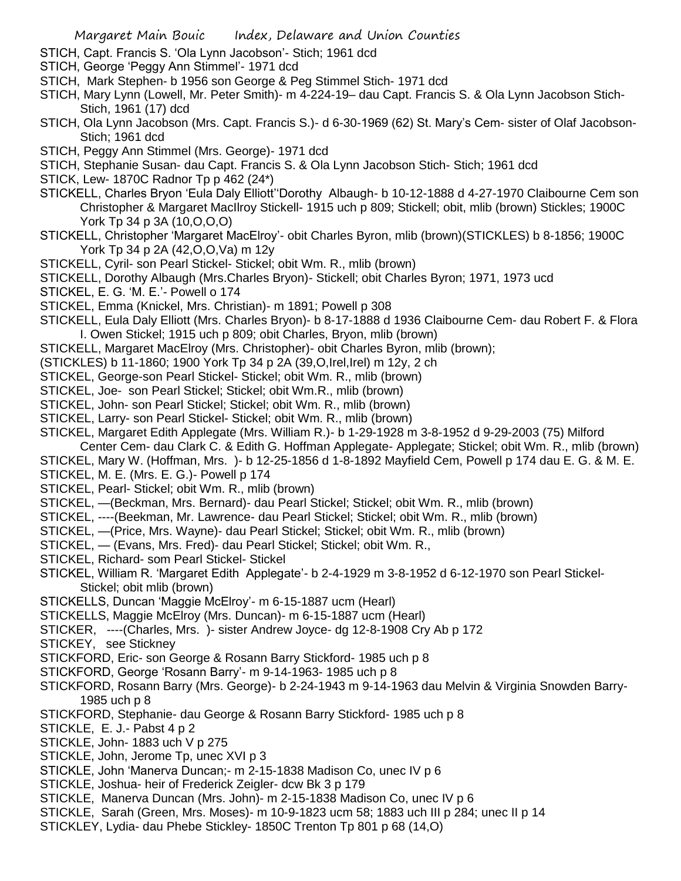- STICH, Capt. Francis S. 'Ola Lynn Jacobson'- Stich; 1961 dcd
- STICH, George 'Peggy Ann Stimmel'- 1971 dcd
- STICH, Mark Stephen- b 1956 son George & Peg Stimmel Stich- 1971 dcd
- STICH, Mary Lynn (Lowell, Mr. Peter Smith)- m 4-224-19– dau Capt. Francis S. & Ola Lynn Jacobson Stich-Stich, 1961 (17) dcd
- STICH, Ola Lynn Jacobson (Mrs. Capt. Francis S.)- d 6-30-1969 (62) St. Mary's Cem- sister of Olaf Jacobson-Stich; 1961 dcd
- STICH, Peggy Ann Stimmel (Mrs. George)- 1971 dcd
- STICH, Stephanie Susan- dau Capt. Francis S. & Ola Lynn Jacobson Stich- Stich; 1961 dcd
- STICK, Lew- 1870C Radnor Tp p 462 (24\*)
- STICKELL, Charles Bryon 'Eula Daly Elliott''Dorothy Albaugh- b 10-12-1888 d 4-27-1970 Claibourne Cem son Christopher & Margaret MacIlroy Stickell- 1915 uch p 809; Stickell; obit, mlib (brown) Stickles; 1900C York Tp 34 p 3A (10,O,O,O)
- STICKELL, Christopher 'Margaret MacElroy'- obit Charles Byron, mlib (brown)(STICKLES) b 8-1856; 1900C York Tp 34 p 2A (42,O,O,Va) m 12y
- STICKELL, Cyril- son Pearl Stickel- Stickel; obit Wm. R., mlib (brown)
- STICKELL, Dorothy Albaugh (Mrs.Charles Bryon)- Stickell; obit Charles Byron; 1971, 1973 ucd
- STICKEL, E. G. 'M. E.'- Powell o 174
- STICKEL, Emma (Knickel, Mrs. Christian)- m 1891; Powell p 308
- STICKELL, Eula Daly Elliott (Mrs. Charles Bryon)- b 8-17-1888 d 1936 Claibourne Cem- dau Robert F. & Flora I. Owen Stickel; 1915 uch p 809; obit Charles, Bryon, mlib (brown)
- STICKELL, Margaret MacElroy (Mrs. Christopher)- obit Charles Byron, mlib (brown);
- (STICKLES) b 11-1860; 1900 York Tp 34 p 2A (39,O,Irel,Irel) m 12y, 2 ch
- STICKEL, George-son Pearl Stickel- Stickel; obit Wm. R., mlib (brown)
- STICKEL, Joe- son Pearl Stickel; Stickel; obit Wm.R., mlib (brown)
- STICKEL, John- son Pearl Stickel; Stickel; obit Wm. R., mlib (brown)
- STICKEL, Larry- son Pearl Stickel- Stickel; obit Wm. R., mlib (brown)
- STICKEL, Margaret Edith Applegate (Mrs. William R.)- b 1-29-1928 m 3-8-1952 d 9-29-2003 (75) Milford
- Center Cem- dau Clark C. & Edith G. Hoffman Applegate- Applegate; Stickel; obit Wm. R., mlib (brown)
- STICKEL, Mary W. (Hoffman, Mrs. )- b 12-25-1856 d 1-8-1892 Mayfield Cem, Powell p 174 dau E. G. & M. E. STICKEL, M. E. (Mrs. E. G.)- Powell p 174
- STICKEL, Pearl- Stickel; obit Wm. R., mlib (brown)
- STICKEL, —(Beckman, Mrs. Bernard)- dau Pearl Stickel; Stickel; obit Wm. R., mlib (brown)
- STICKEL, ----(Beekman, Mr. Lawrence- dau Pearl Stickel; Stickel; obit Wm. R., mlib (brown)
- STICKEL, —(Price, Mrs. Wayne)- dau Pearl Stickel; Stickel; obit Wm. R., mlib (brown)
- STICKEL, (Evans, Mrs. Fred)- dau Pearl Stickel; Stickel; obit Wm. R.,
- STICKEL, Richard- som Pearl Stickel- Stickel
- STICKEL, William R. 'Margaret Edith Applegate'- b 2-4-1929 m 3-8-1952 d 6-12-1970 son Pearl Stickel-Stickel; obit mlib (brown)
- STICKELLS, Duncan 'Maggie McElroy'- m 6-15-1887 ucm (Hearl)
- STICKELLS, Maggie McElroy (Mrs. Duncan)- m 6-15-1887 ucm (Hearl)
- STICKER, ----(Charles, Mrs. )- sister Andrew Joyce- dg 12-8-1908 Cry Ab p 172
- STICKEY, see Stickney
- STICKFORD, Eric- son George & Rosann Barry Stickford- 1985 uch p 8
- STICKFORD, George 'Rosann Barry'- m 9-14-1963- 1985 uch p 8
- STICKFORD, Rosann Barry (Mrs. George)- b 2-24-1943 m 9-14-1963 dau Melvin & Virginia Snowden Barry-1985 uch p 8
- STICKFORD, Stephanie- dau George & Rosann Barry Stickford- 1985 uch p 8
- STICKLE, E. J.- Pabst 4 p 2
- STICKLE, John- 1883 uch V p 275
- STICKLE, John, Jerome Tp, unec XVI p 3
- STICKLE, John 'Manerva Duncan;- m 2-15-1838 Madison Co, unec IV p 6
- STICKLE, Joshua- heir of Frederick Zeigler- dcw Bk 3 p 179
- STICKLE, Manerva Duncan (Mrs. John)- m 2-15-1838 Madison Co, unec IV p 6
- STICKLE, Sarah (Green, Mrs. Moses)- m 10-9-1823 ucm 58; 1883 uch III p 284; unec II p 14
- STICKLEY, Lydia- dau Phebe Stickley- 1850C Trenton Tp 801 p 68 (14,O)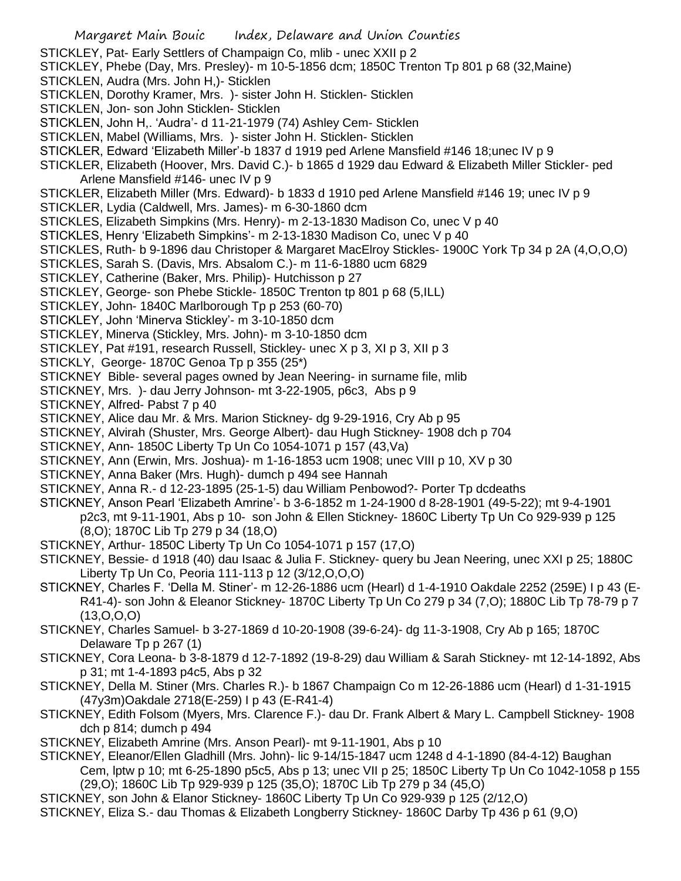- STICKLEY, Pat- Early Settlers of Champaign Co, mlib unec XXII p 2
- STICKLEY, Phebe (Day, Mrs. Presley)- m 10-5-1856 dcm; 1850C Trenton Tp 801 p 68 (32,Maine)
- STICKLEN, Audra (Mrs. John H,)- Sticklen
- STICKLEN, Dorothy Kramer, Mrs. )- sister John H. Sticklen- Sticklen
- STICKLEN, Jon- son John Sticklen- Sticklen
- STICKLEN, John H,. 'Audra'- d 11-21-1979 (74) Ashley Cem- Sticklen
- STICKLEN, Mabel (Williams, Mrs. )- sister John H. Sticklen- Sticklen
- STICKLER, Edward 'Elizabeth Miller'-b 1837 d 1919 ped Arlene Mansfield #146 18;unec IV p 9
- STICKLER, Elizabeth (Hoover, Mrs. David C.)- b 1865 d 1929 dau Edward & Elizabeth Miller Stickler- ped Arlene Mansfield #146- unec IV p 9
- STICKLER, Elizabeth Miller (Mrs. Edward)- b 1833 d 1910 ped Arlene Mansfield #146 19; unec IV p 9
- STICKLER, Lydia (Caldwell, Mrs. James)- m 6-30-1860 dcm
- STICKLES, Elizabeth Simpkins (Mrs. Henry)- m 2-13-1830 Madison Co, unec V p 40
- STICKLES, Henry 'Elizabeth Simpkins'- m 2-13-1830 Madison Co, unec V p 40
- STICKLES, Ruth- b 9-1896 dau Christoper & Margaret MacElroy Stickles- 1900C York Tp 34 p 2A (4,O,O,O)
- STICKLES, Sarah S. (Davis, Mrs. Absalom C.)- m 11-6-1880 ucm 6829
- STICKLEY, Catherine (Baker, Mrs. Philip)- Hutchisson p 27
- STICKLEY, George- son Phebe Stickle- 1850C Trenton tp 801 p 68 (5,ILL)
- STICKLEY, John- 1840C Marlborough Tp p 253 (60-70)
- STICKLEY, John 'Minerva Stickley'- m 3-10-1850 dcm
- STICKLEY, Minerva (Stickley, Mrs. John)- m 3-10-1850 dcm
- STICKLEY, Pat #191, research Russell, Stickley- unec X p 3, XI p 3, XII p 3
- STICKLY, George- 1870C Genoa Tp p 355 (25\*)
- STICKNEY Bible- several pages owned by Jean Neering- in surname file, mlib
- STICKNEY, Mrs. )- dau Jerry Johnson- mt 3-22-1905, p6c3, Abs p 9
- STICKNEY, Alfred- Pabst 7 p 40
- STICKNEY, Alice dau Mr. & Mrs. Marion Stickney- dg 9-29-1916, Cry Ab p 95
- STICKNEY, Alvirah (Shuster, Mrs. George Albert)- dau Hugh Stickney- 1908 dch p 704
- STICKNEY, Ann- 1850C Liberty Tp Un Co 1054-1071 p 157 (43,Va)
- STICKNEY, Ann (Erwin, Mrs. Joshua)- m 1-16-1853 ucm 1908; unec VIII p 10, XV p 30
- STICKNEY, Anna Baker (Mrs. Hugh)- dumch p 494 see Hannah
- STICKNEY, Anna R.- d 12-23-1895 (25-1-5) dau William Penbowod?- Porter Tp dcdeaths
- STICKNEY, Anson Pearl 'Elizabeth Amrine'- b 3-6-1852 m 1-24-1900 d 8-28-1901 (49-5-22); mt 9-4-1901 p2c3, mt 9-11-1901, Abs p 10- son John & Ellen Stickney- 1860C Liberty Tp Un Co 929-939 p 125 (8,O); 1870C Lib Tp 279 p 34 (18,O)
- STICKNEY, Arthur- 1850C Liberty Tp Un Co 1054-1071 p 157 (17,O)
- STICKNEY, Bessie- d 1918 (40) dau Isaac & Julia F. Stickney- query bu Jean Neering, unec XXI p 25; 1880C Liberty Tp Un Co, Peoria 111-113 p 12 (3/12,O,O,O)
- STICKNEY, Charles F. 'Della M. Stiner'- m 12-26-1886 ucm (Hearl) d 1-4-1910 Oakdale 2252 (259E) I p 43 (E-R41-4)- son John & Eleanor Stickney- 1870C Liberty Tp Un Co 279 p 34 (7,O); 1880C Lib Tp 78-79 p 7 (13,O,O,O)
- STICKNEY, Charles Samuel- b 3-27-1869 d 10-20-1908 (39-6-24)- dg 11-3-1908, Cry Ab p 165; 1870C Delaware Tp p 267 (1)
- STICKNEY, Cora Leona- b 3-8-1879 d 12-7-1892 (19-8-29) dau William & Sarah Stickney- mt 12-14-1892, Abs p 31; mt 1-4-1893 p4c5, Abs p 32
- STICKNEY, Della M. Stiner (Mrs. Charles R.)- b 1867 Champaign Co m 12-26-1886 ucm (Hearl) d 1-31-1915 (47y3m)Oakdale 2718(E-259) I p 43 (E-R41-4)
- STICKNEY, Edith Folsom (Myers, Mrs. Clarence F.)- dau Dr. Frank Albert & Mary L. Campbell Stickney- 1908 dch p 814; dumch p 494
- STICKNEY, Elizabeth Amrine (Mrs. Anson Pearl)- mt 9-11-1901, Abs p 10
- STICKNEY, Eleanor/Ellen Gladhill (Mrs. John)- lic 9-14/15-1847 ucm 1248 d 4-1-1890 (84-4-12) Baughan
- Cem, lptw p 10; mt 6-25-1890 p5c5, Abs p 13; unec VII p 25; 1850C Liberty Tp Un Co 1042-1058 p 155 (29,O); 1860C Lib Tp 929-939 p 125 (35,O); 1870C Lib Tp 279 p 34 (45,O)
- STICKNEY, son John & Elanor Stickney- 1860C Liberty Tp Un Co 929-939 p 125 (2/12,O)
- STICKNEY, Eliza S.- dau Thomas & Elizabeth Longberry Stickney- 1860C Darby Tp 436 p 61 (9,O)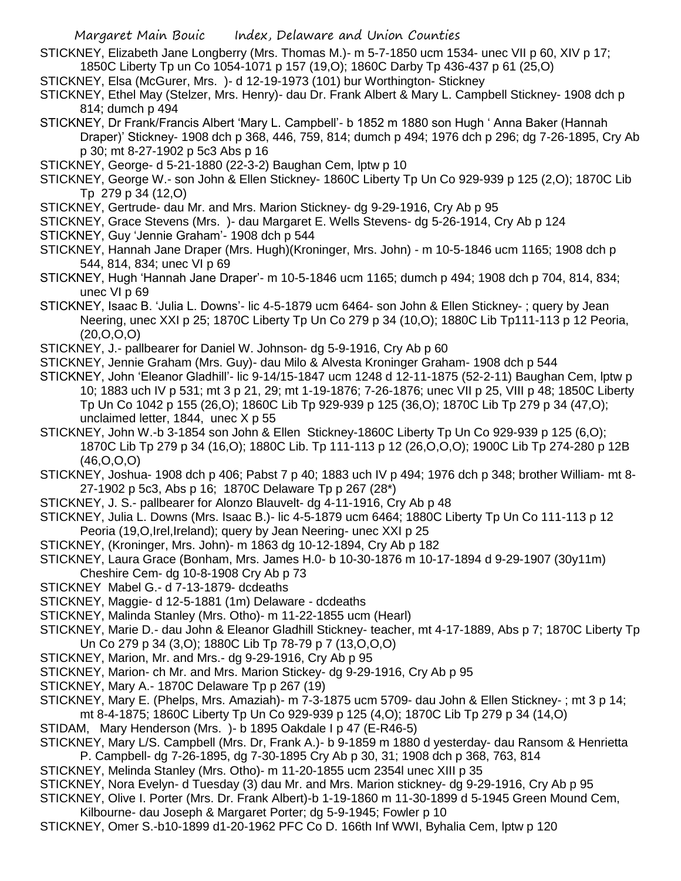- STICKNEY, Elizabeth Jane Longberry (Mrs. Thomas M.)- m 5-7-1850 ucm 1534- unec VII p 60, XIV p 17; 1850C Liberty Tp un Co 1054-1071 p 157 (19,O); 1860C Darby Tp 436-437 p 61 (25,O)
- STICKNEY, Elsa (McGurer, Mrs. )- d 12-19-1973 (101) bur Worthington- Stickney
- STICKNEY, Ethel May (Stelzer, Mrs. Henry)- dau Dr. Frank Albert & Mary L. Campbell Stickney- 1908 dch p 814; dumch p 494
- STICKNEY, Dr Frank/Francis Albert 'Mary L. Campbell'- b 1852 m 1880 son Hugh ' Anna Baker (Hannah Draper)' Stickney- 1908 dch p 368, 446, 759, 814; dumch p 494; 1976 dch p 296; dg 7-26-1895, Cry Ab p 30; mt 8-27-1902 p 5c3 Abs p 16
- STICKNEY, George- d 5-21-1880 (22-3-2) Baughan Cem, lptw p 10
- STICKNEY, George W.- son John & Ellen Stickney- 1860C Liberty Tp Un Co 929-939 p 125 (2,O); 1870C Lib Tp 279 p 34 (12,O)
- STICKNEY, Gertrude- dau Mr. and Mrs. Marion Stickney- dg 9-29-1916, Cry Ab p 95
- STICKNEY, Grace Stevens (Mrs. )- dau Margaret E. Wells Stevens- dg 5-26-1914, Cry Ab p 124
- STICKNEY, Guy 'Jennie Graham'- 1908 dch p 544
- STICKNEY, Hannah Jane Draper (Mrs. Hugh)(Kroninger, Mrs. John) m 10-5-1846 ucm 1165; 1908 dch p 544, 814, 834; unec VI p 69
- STICKNEY, Hugh 'Hannah Jane Draper'- m 10-5-1846 ucm 1165; dumch p 494; 1908 dch p 704, 814, 834; unec VI p 69
- STICKNEY, Isaac B. 'Julia L. Downs'- lic 4-5-1879 ucm 6464- son John & Ellen Stickney- ; query by Jean Neering, unec XXI p 25; 1870C Liberty Tp Un Co 279 p 34 (10,O); 1880C Lib Tp111-113 p 12 Peoria,  $(20, 0, 0, 0)$
- STICKNEY, J.- pallbearer for Daniel W. Johnson- dg 5-9-1916, Cry Ab p 60
- STICKNEY, Jennie Graham (Mrs. Guy)- dau Milo & Alvesta Kroninger Graham- 1908 dch p 544
- STICKNEY, John 'Eleanor Gladhill'- lic 9-14/15-1847 ucm 1248 d 12-11-1875 (52-2-11) Baughan Cem, lptw p 10; 1883 uch IV p 531; mt 3 p 21, 29; mt 1-19-1876; 7-26-1876; unec VII p 25, VIII p 48; 1850C Liberty Tp Un Co 1042 p 155 (26,O); 1860C Lib Tp 929-939 p 125 (36,O); 1870C Lib Tp 279 p 34 (47,O); unclaimed letter, 1844, unec X p 55
- STICKNEY, John W.-b 3-1854 son John & Ellen Stickney-1860C Liberty Tp Un Co 929-939 p 125 (6,O); 1870C Lib Tp 279 p 34 (16,O); 1880C Lib. Tp 111-113 p 12 (26,O,O,O); 1900C Lib Tp 274-280 p 12B (46,O,O,O)
- STICKNEY, Joshua- 1908 dch p 406; Pabst 7 p 40; 1883 uch IV p 494; 1976 dch p 348; brother William- mt 8- 27-1902 p 5c3, Abs p 16; 1870C Delaware Tp p 267 (28\*)
- STICKNEY, J. S.- pallbearer for Alonzo Blauvelt- dg 4-11-1916, Cry Ab p 48
- STICKNEY, Julia L. Downs (Mrs. Isaac B.)- lic 4-5-1879 ucm 6464; 1880C Liberty Tp Un Co 111-113 p 12 Peoria (19,O,Irel,Ireland); query by Jean Neering- unec XXI p 25
- STICKNEY, (Kroninger, Mrs. John)- m 1863 dg 10-12-1894, Cry Ab p 182
- STICKNEY, Laura Grace (Bonham, Mrs. James H.0- b 10-30-1876 m 10-17-1894 d 9-29-1907 (30y11m) Cheshire Cem- dg 10-8-1908 Cry Ab p 73
- STICKNEY Mabel G.- d 7-13-1879- dcdeaths
- STICKNEY, Maggie- d 12-5-1881 (1m) Delaware dcdeaths
- STICKNEY, Malinda Stanley (Mrs. Otho)- m 11-22-1855 ucm (Hearl)
- STICKNEY, Marie D.- dau John & Eleanor Gladhill Stickney- teacher, mt 4-17-1889, Abs p 7; 1870C Liberty Tp Un Co 279 p 34 (3,O); 1880C Lib Tp 78-79 p 7 (13,O,O,O)
- STICKNEY, Marion, Mr. and Mrs.- dg 9-29-1916, Cry Ab p 95
- STICKNEY, Marion- ch Mr. and Mrs. Marion Stickey- dg 9-29-1916, Cry Ab p 95
- STICKNEY, Mary A.- 1870C Delaware Tp p 267 (19)
- STICKNEY, Mary E. (Phelps, Mrs. Amaziah)- m 7-3-1875 ucm 5709- dau John & Ellen Stickney- ; mt 3 p 14; mt 8-4-1875; 1860C Liberty Tp Un Co 929-939 p 125 (4,O); 1870C Lib Tp 279 p 34 (14,O)
- STIDAM, Mary Henderson (Mrs. )- b 1895 Oakdale I p 47 (E-R46-5)
- STICKNEY, Mary L/S. Campbell (Mrs. Dr, Frank A.)- b 9-1859 m 1880 d yesterday- dau Ransom & Henrietta P. Campbell- dg 7-26-1895, dg 7-30-1895 Cry Ab p 30, 31; 1908 dch p 368, 763, 814
- STICKNEY, Melinda Stanley (Mrs. Otho)- m 11-20-1855 ucm 2354l unec XIII p 35
- STICKNEY, Nora Evelyn- d Tuesday (3) dau Mr. and Mrs. Marion stickney- dg 9-29-1916, Cry Ab p 95
- STICKNEY, Olive I. Porter (Mrs. Dr. Frank Albert)-b 1-19-1860 m 11-30-1899 d 5-1945 Green Mound Cem,
- Kilbourne- dau Joseph & Margaret Porter; dg 5-9-1945; Fowler p 10
- STICKNEY, Omer S.-b10-1899 d1-20-1962 PFC Co D. 166th Inf WWI, Byhalia Cem, lptw p 120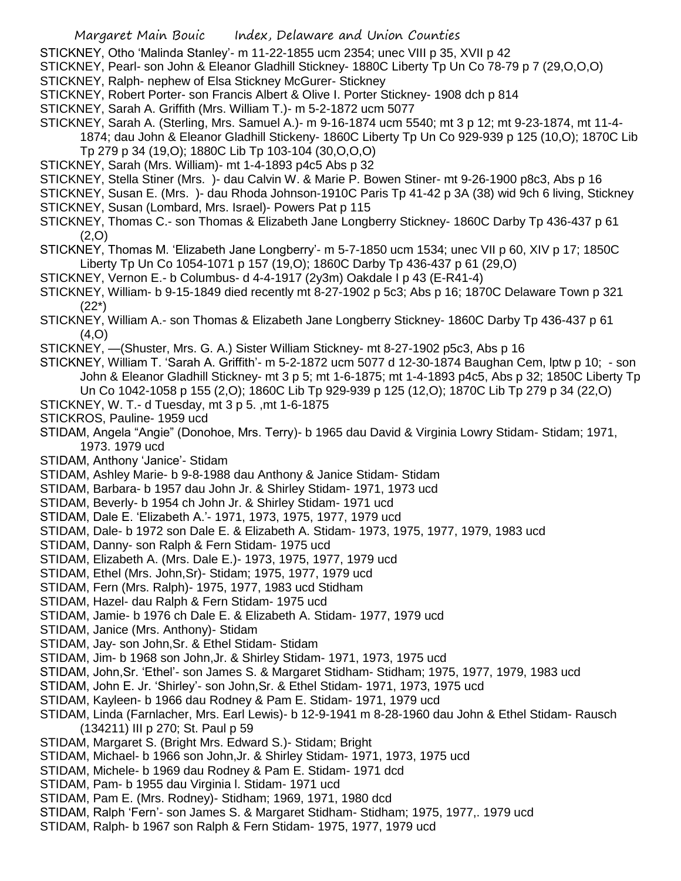STICKNEY, Otho 'Malinda Stanley'- m 11-22-1855 ucm 2354; unec VIII p 35, XVII p 42

STICKNEY, Pearl- son John & Eleanor Gladhill Stickney- 1880C Liberty Tp Un Co 78-79 p 7 (29,O,O,O)

STICKNEY, Ralph- nephew of Elsa Stickney McGurer- Stickney

STICKNEY, Robert Porter- son Francis Albert & Olive I. Porter Stickney- 1908 dch p 814

STICKNEY, Sarah A. Griffith (Mrs. William T.)- m 5-2-1872 ucm 5077

STICKNEY, Sarah A. (Sterling, Mrs. Samuel A.)- m 9-16-1874 ucm 5540; mt 3 p 12; mt 9-23-1874, mt 11-4-

1874; dau John & Eleanor Gladhill Stickeny- 1860C Liberty Tp Un Co 929-939 p 125 (10,O); 1870C Lib Tp 279 p 34 (19,O); 1880C Lib Tp 103-104 (30,O,O,O)

STICKNEY, Sarah (Mrs. William)- mt 1-4-1893 p4c5 Abs p 32

STICKNEY, Stella Stiner (Mrs. )- dau Calvin W. & Marie P. Bowen Stiner- mt 9-26-1900 p8c3, Abs p 16

STICKNEY, Susan E. (Mrs. )- dau Rhoda Johnson-1910C Paris Tp 41-42 p 3A (38) wid 9ch 6 living, Stickney STICKNEY, Susan (Lombard, Mrs. Israel)- Powers Pat p 115

STICKNEY, Thomas C.- son Thomas & Elizabeth Jane Longberry Stickney- 1860C Darby Tp 436-437 p 61 (2,O)

STICKNEY, Thomas M. 'Elizabeth Jane Longberry'- m 5-7-1850 ucm 1534; unec VII p 60, XIV p 17; 1850C Liberty Tp Un Co 1054-1071 p 157 (19,O); 1860C Darby Tp 436-437 p 61 (29,O)

STICKNEY, Vernon E.- b Columbus- d 4-4-1917 (2y3m) Oakdale I p 43 (E-R41-4)

STICKNEY, William- b 9-15-1849 died recently mt 8-27-1902 p 5c3; Abs p 16; 1870C Delaware Town p 321 (22\*)

STICKNEY, William A.- son Thomas & Elizabeth Jane Longberry Stickney- 1860C Darby Tp 436-437 p 61 (4,O)

STICKNEY, —(Shuster, Mrs. G. A.) Sister William Stickney- mt 8-27-1902 p5c3, Abs p 16

STICKNEY, William T. 'Sarah A. Griffith'- m 5-2-1872 ucm 5077 d 12-30-1874 Baughan Cem, lptw p 10; - son John & Eleanor Gladhill Stickney- mt 3 p 5; mt 1-6-1875; mt 1-4-1893 p4c5, Abs p 32; 1850C Liberty Tp Un Co 1042-1058 p 155 (2,O); 1860C Lib Tp 929-939 p 125 (12,O); 1870C Lib Tp 279 p 34 (22,O)

- STICKNEY, W. T.- d Tuesday, mt 3 p 5. ,mt 1-6-1875
- STICKROS, Pauline- 1959 ucd

STIDAM, Angela "Angie" (Donohoe, Mrs. Terry)- b 1965 dau David & Virginia Lowry Stidam- Stidam; 1971, 1973. 1979 ucd

STIDAM, Anthony 'Janice'- Stidam

STIDAM, Ashley Marie- b 9-8-1988 dau Anthony & Janice Stidam- Stidam

STIDAM, Barbara- b 1957 dau John Jr. & Shirley Stidam- 1971, 1973 ucd

- STIDAM, Beverly- b 1954 ch John Jr. & Shirley Stidam- 1971 ucd
- STIDAM, Dale E. 'Elizabeth A.'- 1971, 1973, 1975, 1977, 1979 ucd
- STIDAM, Dale- b 1972 son Dale E. & Elizabeth A. Stidam- 1973, 1975, 1977, 1979, 1983 ucd
- STIDAM, Danny- son Ralph & Fern Stidam- 1975 ucd
- STIDAM, Elizabeth A. (Mrs. Dale E.)- 1973, 1975, 1977, 1979 ucd

STIDAM, Ethel (Mrs. John,Sr)- Stidam; 1975, 1977, 1979 ucd

STIDAM, Fern (Mrs. Ralph)- 1975, 1977, 1983 ucd Stidham

STIDAM, Hazel- dau Ralph & Fern Stidam- 1975 ucd

STIDAM, Jamie- b 1976 ch Dale E. & Elizabeth A. Stidam- 1977, 1979 ucd

STIDAM, Janice (Mrs. Anthony)- Stidam

STIDAM, Jay- son John,Sr. & Ethel Stidam- Stidam

STIDAM, Jim- b 1968 son John,Jr. & Shirley Stidam- 1971, 1973, 1975 ucd

STIDAM, John,Sr. 'Ethel'- son James S. & Margaret Stidham- Stidham; 1975, 1977, 1979, 1983 ucd

STIDAM, John E. Jr. 'Shirley'- son John,Sr. & Ethel Stidam- 1971, 1973, 1975 ucd

STIDAM, Kayleen- b 1966 dau Rodney & Pam E. Stidam- 1971, 1979 ucd

STIDAM, Linda (Farnlacher, Mrs. Earl Lewis)- b 12-9-1941 m 8-28-1960 dau John & Ethel Stidam- Rausch (134211) III p 270; St. Paul p 59

STIDAM, Margaret S. (Bright Mrs. Edward S.)- Stidam; Bright

STIDAM, Michael- b 1966 son John,Jr. & Shirley Stidam- 1971, 1973, 1975 ucd

STIDAM, Michele- b 1969 dau Rodney & Pam E. Stidam- 1971 dcd

STIDAM, Pam- b 1955 dau Virginia l. Stidam- 1971 ucd

STIDAM, Pam E. (Mrs. Rodney)- Stidham; 1969, 1971, 1980 dcd

STIDAM, Ralph 'Fern'- son James S. & Margaret Stidham- Stidham; 1975, 1977,. 1979 ucd

STIDAM, Ralph- b 1967 son Ralph & Fern Stidam- 1975, 1977, 1979 ucd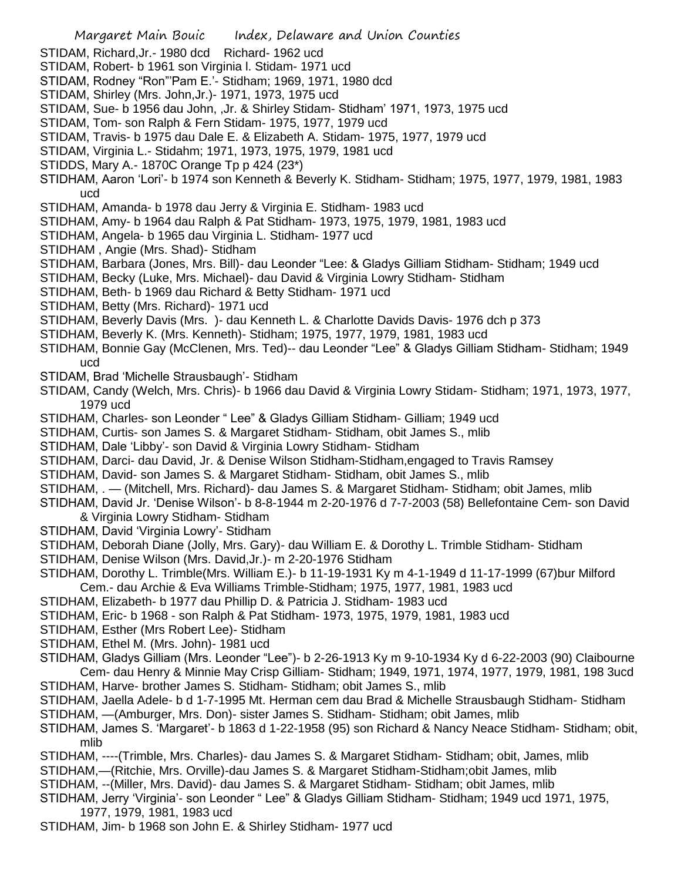- STIDAM, Richard,Jr.- 1980 dcd Richard- 1962 ucd
- STIDAM, Robert- b 1961 son Virginia l. Stidam- 1971 ucd
- STIDAM, Rodney "Ron"'Pam E.'- Stidham; 1969, 1971, 1980 dcd
- STIDAM, Shirley (Mrs. John,Jr.)- 1971, 1973, 1975 ucd
- STIDAM, Sue- b 1956 dau John, ,Jr. & Shirley Stidam- Stidham' 1971, 1973, 1975 ucd
- STIDAM, Tom- son Ralph & Fern Stidam- 1975, 1977, 1979 ucd
- STIDAM, Travis- b 1975 dau Dale E. & Elizabeth A. Stidam- 1975, 1977, 1979 ucd
- STIDAM, Virginia L.- Stidahm; 1971, 1973, 1975, 1979, 1981 ucd
- STIDDS, Mary A.- 1870C Orange Tp p 424 (23\*)
- STIDHAM, Aaron 'Lori'- b 1974 son Kenneth & Beverly K. Stidham- Stidham; 1975, 1977, 1979, 1981, 1983 ucd
- STIDHAM, Amanda- b 1978 dau Jerry & Virginia E. Stidham- 1983 ucd
- STIDHAM, Amy- b 1964 dau Ralph & Pat Stidham- 1973, 1975, 1979, 1981, 1983 ucd
- STIDHAM, Angela- b 1965 dau Virginia L. Stidham- 1977 ucd
- STIDHAM , Angie (Mrs. Shad)- Stidham
- STIDHAM, Barbara (Jones, Mrs. Bill)- dau Leonder "Lee: & Gladys Gilliam Stidham- Stidham; 1949 ucd
- STIDHAM, Becky (Luke, Mrs. Michael)- dau David & Virginia Lowry Stidham- Stidham
- STIDHAM, Beth- b 1969 dau Richard & Betty Stidham- 1971 ucd
- STIDHAM, Betty (Mrs. Richard)- 1971 ucd
- STIDHAM, Beverly Davis (Mrs. )- dau Kenneth L. & Charlotte Davids Davis- 1976 dch p 373
- STIDHAM, Beverly K. (Mrs. Kenneth)- Stidham; 1975, 1977, 1979, 1981, 1983 ucd
- STIDHAM, Bonnie Gay (McClenen, Mrs. Ted)-- dau Leonder "Lee" & Gladys Gilliam Stidham- Stidham; 1949 ucd
- STIDAM, Brad 'Michelle Strausbaugh'- Stidham
- STIDAM, Candy (Welch, Mrs. Chris)- b 1966 dau David & Virginia Lowry Stidam- Stidham; 1971, 1973, 1977, 1979 ucd
- STIDHAM, Charles- son Leonder " Lee" & Gladys Gilliam Stidham- Gilliam; 1949 ucd
- STIDHAM, Curtis- son James S. & Margaret Stidham- Stidham, obit James S., mlib
- STIDHAM, Dale 'Libby'- son David & Virginia Lowry Stidham- Stidham
- STIDHAM, Darci- dau David, Jr. & Denise Wilson Stidham-Stidham,engaged to Travis Ramsey
- STIDHAM, David- son James S. & Margaret Stidham- Stidham, obit James S., mlib
- STIDHAM, . (Mitchell, Mrs. Richard)- dau James S. & Margaret Stidham- Stidham; obit James, mlib
- STIDHAM, David Jr. 'Denise Wilson'- b 8-8-1944 m 2-20-1976 d 7-7-2003 (58) Bellefontaine Cem- son David & Virginia Lowry Stidham- Stidham
- STIDHAM, David 'Virginia Lowry'- Stidham
- STIDHAM, Deborah Diane (Jolly, Mrs. Gary)- dau William E. & Dorothy L. Trimble Stidham- Stidham
- STIDHAM, Denise Wilson (Mrs. David,Jr.)- m 2-20-1976 Stidham
- STIDHAM, Dorothy L. Trimble(Mrs. William E.)- b 11-19-1931 Ky m 4-1-1949 d 11-17-1999 (67)bur Milford Cem.- dau Archie & Eva Williams Trimble-Stidham; 1975, 1977, 1981, 1983 ucd
- STIDHAM, Elizabeth- b 1977 dau Phillip D. & Patricia J. Stidham- 1983 ucd
- STIDHAM, Eric- b 1968 son Ralph & Pat Stidham- 1973, 1975, 1979, 1981, 1983 ucd
- STIDHAM, Esther (Mrs Robert Lee)- Stidham
- STIDHAM, Ethel M. (Mrs. John)- 1981 ucd
- STIDHAM, Gladys Gilliam (Mrs. Leonder "Lee")- b 2-26-1913 Ky m 9-10-1934 Ky d 6-22-2003 (90) Claibourne Cem- dau Henry & Minnie May Crisp Gilliam- Stidham; 1949, 1971, 1974, 1977, 1979, 1981, 198 3ucd STIDHAM, Harve- brother James S. Stidham- Stidham; obit James S., mlib
- STIDHAM, Jaella Adele- b d 1-7-1995 Mt. Herman cem dau Brad & Michelle Strausbaugh Stidham- Stidham STIDHAM, —(Amburger, Mrs. Don)- sister James S. Stidham- Stidham; obit James, mlib
- STIDHAM, James S. 'Margaret'- b 1863 d 1-22-1958 (95) son Richard & Nancy Neace Stidham- Stidham; obit, mlib
- STIDHAM, ----(Trimble, Mrs. Charles)- dau James S. & Margaret Stidham- Stidham; obit, James, mlib
- STIDHAM,—(Ritchie, Mrs. Orville)-dau James S. & Margaret Stidham-Stidham;obit James, mlib
- STIDHAM, --(Miller, Mrs. David)- dau James S. & Margaret Stidham- Stidham; obit James, mlib
- STIDHAM, Jerry 'Virginia'- son Leonder " Lee" & Gladys Gilliam Stidham- Stidham; 1949 ucd 1971, 1975, 1977, 1979, 1981, 1983 ucd
- STIDHAM, Jim- b 1968 son John E. & Shirley Stidham- 1977 ucd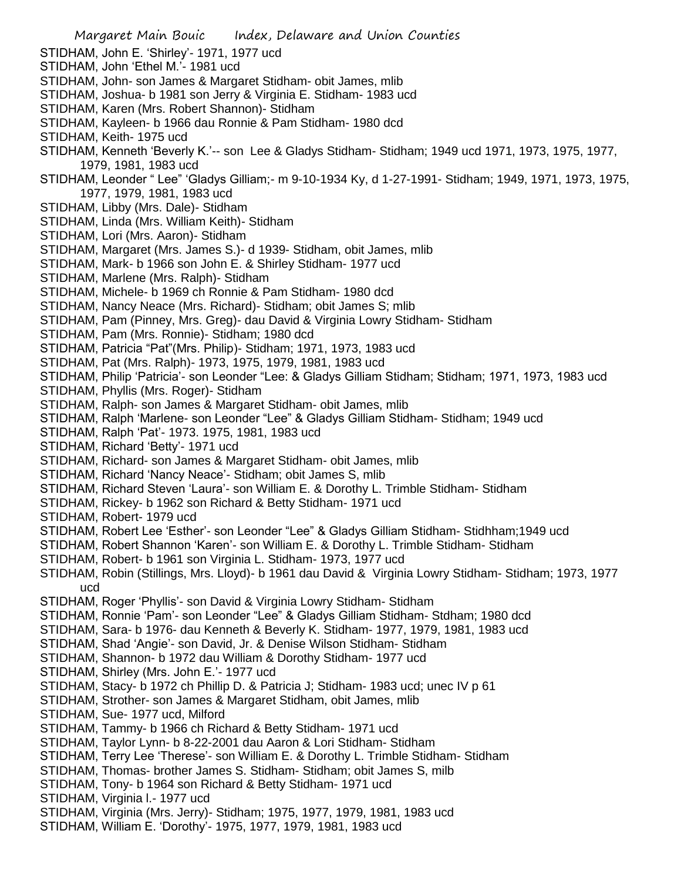STIDHAM, John E. 'Shirley'- 1971, 1977 ucd STIDHAM, John 'Ethel M.'- 1981 ucd STIDHAM, John- son James & Margaret Stidham- obit James, mlib STIDHAM, Joshua- b 1981 son Jerry & Virginia E. Stidham- 1983 ucd STIDHAM, Karen (Mrs. Robert Shannon)- Stidham STIDHAM, Kayleen- b 1966 dau Ronnie & Pam Stidham- 1980 dcd STIDHAM, Keith- 1975 ucd STIDHAM, Kenneth 'Beverly K.'-- son Lee & Gladys Stidham- Stidham; 1949 ucd 1971, 1973, 1975, 1977, 1979, 1981, 1983 ucd STIDHAM, Leonder " Lee" 'Gladys Gilliam;- m 9-10-1934 Ky, d 1-27-1991- Stidham; 1949, 1971, 1973, 1975, 1977, 1979, 1981, 1983 ucd STIDHAM, Libby (Mrs. Dale)- Stidham STIDHAM, Linda (Mrs. William Keith)- Stidham STIDHAM, Lori (Mrs. Aaron)- Stidham STIDHAM, Margaret (Mrs. James S.)- d 1939- Stidham, obit James, mlib STIDHAM, Mark- b 1966 son John E. & Shirley Stidham- 1977 ucd STIDHAM, Marlene (Mrs. Ralph)- Stidham STIDHAM, Michele- b 1969 ch Ronnie & Pam Stidham- 1980 dcd STIDHAM, Nancy Neace (Mrs. Richard)- Stidham; obit James S; mlib STIDHAM, Pam (Pinney, Mrs. Greg)- dau David & Virginia Lowry Stidham- Stidham STIDHAM, Pam (Mrs. Ronnie)- Stidham; 1980 dcd STIDHAM, Patricia "Pat"(Mrs. Philip)- Stidham; 1971, 1973, 1983 ucd STIDHAM, Pat (Mrs. Ralph)- 1973, 1975, 1979, 1981, 1983 ucd STIDHAM, Philip 'Patricia'- son Leonder "Lee: & Gladys Gilliam Stidham; Stidham; 1971, 1973, 1983 ucd STIDHAM, Phyllis (Mrs. Roger)- Stidham STIDHAM, Ralph- son James & Margaret Stidham- obit James, mlib STIDHAM, Ralph 'Marlene- son Leonder "Lee" & Gladys Gilliam Stidham- Stidham; 1949 ucd STIDHAM, Ralph 'Pat'- 1973. 1975, 1981, 1983 ucd STIDHAM, Richard 'Betty'- 1971 ucd STIDHAM, Richard- son James & Margaret Stidham- obit James, mlib STIDHAM, Richard 'Nancy Neace'- Stidham; obit James S, mlib STIDHAM, Richard Steven 'Laura'- son William E. & Dorothy L. Trimble Stidham- Stidham STIDHAM, Rickey- b 1962 son Richard & Betty Stidham- 1971 ucd STIDHAM, Robert- 1979 ucd STIDHAM, Robert Lee 'Esther'- son Leonder "Lee" & Gladys Gilliam Stidham- Stidhham;1949 ucd STIDHAM, Robert Shannon 'Karen'- son William E. & Dorothy L. Trimble Stidham- Stidham STIDHAM, Robert- b 1961 son Virginia L. Stidham- 1973, 1977 ucd STIDHAM, Robin (Stillings, Mrs. Lloyd)- b 1961 dau David & Virginia Lowry Stidham- Stidham; 1973, 1977 ucd STIDHAM, Roger 'Phyllis'- son David & Virginia Lowry Stidham- Stidham STIDHAM, Ronnie 'Pam'- son Leonder "Lee" & Gladys Gilliam Stidham- Stdham; 1980 dcd STIDHAM, Sara- b 1976- dau Kenneth & Beverly K. Stidham- 1977, 1979, 1981, 1983 ucd STIDHAM, Shad 'Angie'- son David, Jr. & Denise Wilson Stidham- Stidham STIDHAM, Shannon- b 1972 dau William & Dorothy Stidham- 1977 ucd STIDHAM, Shirley (Mrs. John E.'- 1977 ucd STIDHAM, Stacy- b 1972 ch Phillip D. & Patricia J; Stidham- 1983 ucd; unec IV p 61 STIDHAM, Strother- son James & Margaret Stidham, obit James, mlib STIDHAM, Sue- 1977 ucd, Milford STIDHAM, Tammy- b 1966 ch Richard & Betty Stidham- 1971 ucd STIDHAM, Taylor Lynn- b 8-22-2001 dau Aaron & Lori Stidham- Stidham STIDHAM, Terry Lee 'Therese'- son William E. & Dorothy L. Trimble Stidham- Stidham STIDHAM, Thomas- brother James S. Stidham- Stidham; obit James S, milb STIDHAM, Tony- b 1964 son Richard & Betty Stidham- 1971 ucd STIDHAM, Virginia l.- 1977 ucd STIDHAM, Virginia (Mrs. Jerry)- Stidham; 1975, 1977, 1979, 1981, 1983 ucd STIDHAM, William E. 'Dorothy'- 1975, 1977, 1979, 1981, 1983 ucd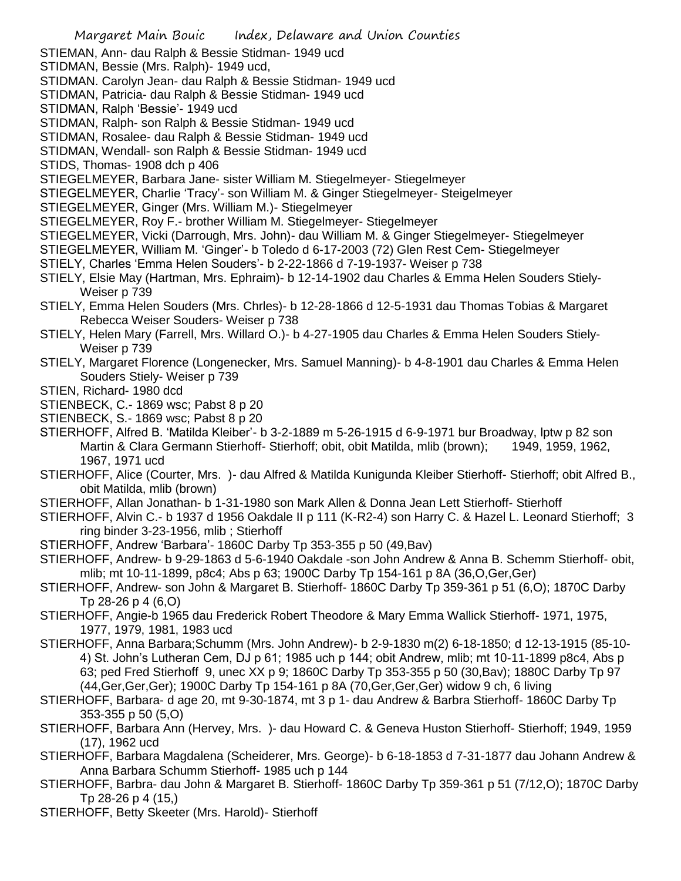- STIEMAN, Ann- dau Ralph & Bessie Stidman- 1949 ucd
- STIDMAN, Bessie (Mrs. Ralph)- 1949 ucd,
- STIDMAN. Carolyn Jean- dau Ralph & Bessie Stidman- 1949 ucd
- STIDMAN, Patricia- dau Ralph & Bessie Stidman- 1949 ucd
- STIDMAN, Ralph 'Bessie'- 1949 ucd
- STIDMAN, Ralph- son Ralph & Bessie Stidman- 1949 ucd
- STIDMAN, Rosalee- dau Ralph & Bessie Stidman- 1949 ucd
- STIDMAN, Wendall- son Ralph & Bessie Stidman- 1949 ucd
- STIDS, Thomas- 1908 dch p 406
- STIEGELMEYER, Barbara Jane- sister William M. Stiegelmeyer- Stiegelmeyer
- STIEGELMEYER, Charlie 'Tracy'- son William M. & Ginger Stiegelmeyer- Steigelmeyer
- STIEGELMEYER, Ginger (Mrs. William M.)- Stiegelmeyer
- STIEGELMEYER, Roy F.- brother William M. Stiegelmeyer- Stiegelmeyer
- STIEGELMEYER, Vicki (Darrough, Mrs. John)- dau William M. & Ginger Stiegelmeyer- Stiegelmeyer
- STIEGELMEYER, William M. 'Ginger'- b Toledo d 6-17-2003 (72) Glen Rest Cem- Stiegelmeyer
- STIELY, Charles 'Emma Helen Souders'- b 2-22-1866 d 7-19-1937- Weiser p 738
- STIELY, Elsie May (Hartman, Mrs. Ephraim)- b 12-14-1902 dau Charles & Emma Helen Souders Stiely-Weiser p 739
- STIELY, Emma Helen Souders (Mrs. Chrles)- b 12-28-1866 d 12-5-1931 dau Thomas Tobias & Margaret Rebecca Weiser Souders- Weiser p 738
- STIELY, Helen Mary (Farrell, Mrs. Willard O.)- b 4-27-1905 dau Charles & Emma Helen Souders Stiely-Weiser p 739
- STIELY, Margaret Florence (Longenecker, Mrs. Samuel Manning)- b 4-8-1901 dau Charles & Emma Helen Souders Stiely- Weiser p 739
- STIEN, Richard- 1980 dcd
- STIENBECK, C.- 1869 wsc; Pabst 8 p 20
- STIENBECK, S.- 1869 wsc; Pabst 8 p 20
- STIERHOFF, Alfred B. 'Matilda Kleiber'- b 3-2-1889 m 5-26-1915 d 6-9-1971 bur Broadway, lptw p 82 son Martin & Clara Germann Stierhoff- Stierhoff; obit, obit Matilda, mlib (brown); 1949, 1959, 1962, 1967, 1971 ucd
- STIERHOFF, Alice (Courter, Mrs. )- dau Alfred & Matilda Kunigunda Kleiber Stierhoff- Stierhoff; obit Alfred B., obit Matilda, mlib (brown)
- STIERHOFF, Allan Jonathan- b 1-31-1980 son Mark Allen & Donna Jean Lett Stierhoff- Stierhoff
- STIERHOFF, Alvin C.- b 1937 d 1956 Oakdale II p 111 (K-R2-4) son Harry C. & Hazel L. Leonard Stierhoff; 3 ring binder 3-23-1956, mlib ; Stierhoff
- STIERHOFF, Andrew 'Barbara'- 1860C Darby Tp 353-355 p 50 (49,Bav)
- STIERHOFF, Andrew- b 9-29-1863 d 5-6-1940 Oakdale -son John Andrew & Anna B. Schemm Stierhoff- obit, mlib; mt 10-11-1899, p8c4; Abs p 63; 1900C Darby Tp 154-161 p 8A (36,O,Ger,Ger)
- STIERHOFF, Andrew- son John & Margaret B. Stierhoff- 1860C Darby Tp 359-361 p 51 (6,O); 1870C Darby Tp 28-26 p 4 (6,O)
- STIERHOFF, Angie-b 1965 dau Frederick Robert Theodore & Mary Emma Wallick Stierhoff- 1971, 1975, 1977, 1979, 1981, 1983 ucd
- STIERHOFF, Anna Barbara;Schumm (Mrs. John Andrew)- b 2-9-1830 m(2) 6-18-1850; d 12-13-1915 (85-10- 4) St. John's Lutheran Cem, DJ p 61; 1985 uch p 144; obit Andrew, mlib; mt 10-11-1899 p8c4, Abs p 63; ped Fred Stierhoff 9, unec XX p 9; 1860C Darby Tp 353-355 p 50 (30,Bav); 1880C Darby Tp 97 (44,Ger,Ger,Ger); 1900C Darby Tp 154-161 p 8A (70,Ger,Ger,Ger) widow 9 ch, 6 living
- STIERHOFF, Barbara- d age 20, mt 9-30-1874, mt 3 p 1- dau Andrew & Barbra Stierhoff- 1860C Darby Tp 353-355 p 50 (5,O)
- STIERHOFF, Barbara Ann (Hervey, Mrs. )- dau Howard C. & Geneva Huston Stierhoff- Stierhoff; 1949, 1959 (17), 1962 ucd
- STIERHOFF, Barbara Magdalena (Scheiderer, Mrs. George)- b 6-18-1853 d 7-31-1877 dau Johann Andrew & Anna Barbara Schumm Stierhoff- 1985 uch p 144
- STIERHOFF, Barbra- dau John & Margaret B. Stierhoff- 1860C Darby Tp 359-361 p 51 (7/12,O); 1870C Darby Tp 28-26 p 4 (15,)
- STIERHOFF, Betty Skeeter (Mrs. Harold)- Stierhoff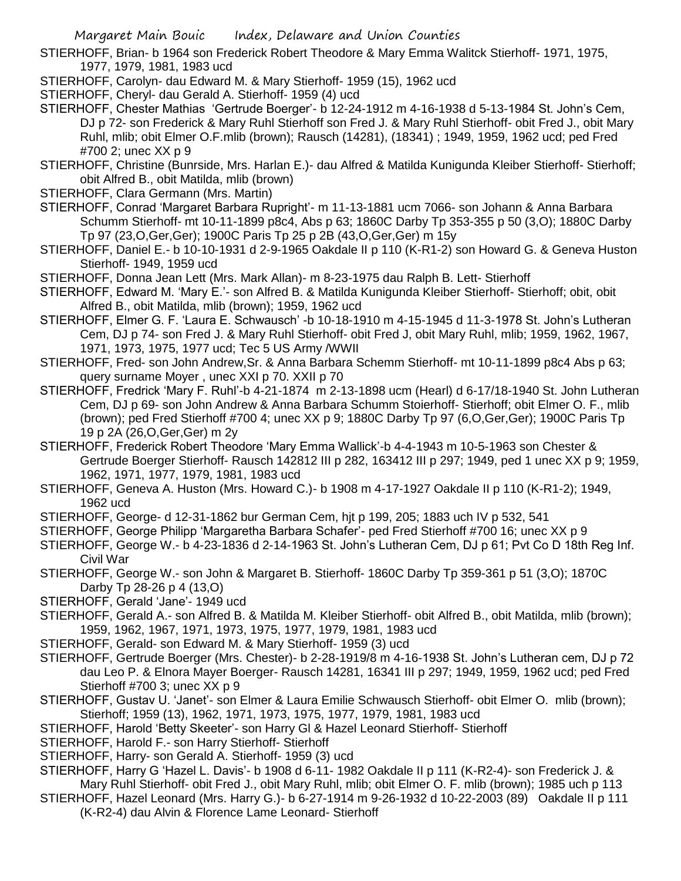STIERHOFF, Brian- b 1964 son Frederick Robert Theodore & Mary Emma Walitck Stierhoff- 1971, 1975, 1977, 1979, 1981, 1983 ucd

- STIERHOFF, Carolyn- dau Edward M. & Mary Stierhoff- 1959 (15), 1962 ucd
- STIERHOFF, Cheryl- dau Gerald A. Stierhoff- 1959 (4) ucd
- STIERHOFF, Chester Mathias 'Gertrude Boerger'- b 12-24-1912 m 4-16-1938 d 5-13-1984 St. John's Cem, DJ p 72- son Frederick & Mary Ruhl Stierhoff son Fred J. & Mary Ruhl Stierhoff- obit Fred J., obit Mary Ruhl, mlib; obit Elmer O.F.mlib (brown); Rausch (14281), (18341) ; 1949, 1959, 1962 ucd; ped Fred #700 2; unec XX p 9
- STIERHOFF, Christine (Bunrside, Mrs. Harlan E.)- dau Alfred & Matilda Kunigunda Kleiber Stierhoff- Stierhoff; obit Alfred B., obit Matilda, mlib (brown)
- STIERHOFF, Clara Germann (Mrs. Martin)
- STIERHOFF, Conrad 'Margaret Barbara Rupright'- m 11-13-1881 ucm 7066- son Johann & Anna Barbara Schumm Stierhoff- mt 10-11-1899 p8c4, Abs p 63; 1860C Darby Tp 353-355 p 50 (3,O); 1880C Darby Tp 97 (23,O,Ger,Ger); 1900C Paris Tp 25 p 2B (43,O,Ger,Ger) m 15y
- STIERHOFF, Daniel E.- b 10-10-1931 d 2-9-1965 Oakdale II p 110 (K-R1-2) son Howard G. & Geneva Huston Stierhoff- 1949, 1959 ucd
- STIERHOFF, Donna Jean Lett (Mrs. Mark Allan)- m 8-23-1975 dau Ralph B. Lett- Stierhoff
- STIERHOFF, Edward M. 'Mary E.'- son Alfred B. & Matilda Kunigunda Kleiber Stierhoff- Stierhoff; obit, obit Alfred B., obit Matilda, mlib (brown); 1959, 1962 ucd
- STIERHOFF, Elmer G. F. 'Laura E. Schwausch' -b 10-18-1910 m 4-15-1945 d 11-3-1978 St. John's Lutheran Cem, DJ p 74- son Fred J. & Mary Ruhl Stierhoff- obit Fred J, obit Mary Ruhl, mlib; 1959, 1962, 1967, 1971, 1973, 1975, 1977 ucd; Tec 5 US Army /WWII
- STIERHOFF, Fred- son John Andrew,Sr. & Anna Barbara Schemm Stierhoff- mt 10-11-1899 p8c4 Abs p 63; query surname Moyer , unec XXI p 70. XXII p 70
- STIERHOFF, Fredrick 'Mary F. Ruhl'-b 4-21-1874 m 2-13-1898 ucm (Hearl) d 6-17/18-1940 St. John Lutheran Cem, DJ p 69- son John Andrew & Anna Barbara Schumm Stoierhoff- Stierhoff; obit Elmer O. F., mlib (brown); ped Fred Stierhoff #700 4; unec XX p 9; 1880C Darby Tp 97 (6,O,Ger,Ger); 1900C Paris Tp 19 p 2A (26,O,Ger,Ger) m 2y
- STIERHOFF, Frederick Robert Theodore 'Mary Emma Wallick'-b 4-4-1943 m 10-5-1963 son Chester & Gertrude Boerger Stierhoff- Rausch 142812 III p 282, 163412 III p 297; 1949, ped 1 unec XX p 9; 1959, 1962, 1971, 1977, 1979, 1981, 1983 ucd
- STIERHOFF, Geneva A. Huston (Mrs. Howard C.)- b 1908 m 4-17-1927 Oakdale II p 110 (K-R1-2); 1949, 1962 ucd

STIERHOFF, George- d 12-31-1862 bur German Cem, hjt p 199, 205; 1883 uch IV p 532, 541

- STIERHOFF, George Philipp 'Margaretha Barbara Schafer'- ped Fred Stierhoff #700 16; unec XX p 9
- STIERHOFF, George W.- b 4-23-1836 d 2-14-1963 St. John's Lutheran Cem, DJ p 61; Pvt Co D 18th Reg Inf. Civil War
- STIERHOFF, George W.- son John & Margaret B. Stierhoff- 1860C Darby Tp 359-361 p 51 (3,O); 1870C Darby Tp 28-26 p 4 (13,O)
- STIERHOFF, Gerald 'Jane'- 1949 ucd
- STIERHOFF, Gerald A.- son Alfred B. & Matilda M. Kleiber Stierhoff- obit Alfred B., obit Matilda, mlib (brown); 1959, 1962, 1967, 1971, 1973, 1975, 1977, 1979, 1981, 1983 ucd
- STIERHOFF, Gerald- son Edward M. & Mary Stierhoff- 1959 (3) ucd
- STIERHOFF, Gertrude Boerger (Mrs. Chester)- b 2-28-1919/8 m 4-16-1938 St. John's Lutheran cem, DJ p 72 dau Leo P. & Elnora Mayer Boerger- Rausch 14281, 16341 III p 297; 1949, 1959, 1962 ucd; ped Fred Stierhoff #700 3; unec XX p 9
- STIERHOFF, Gustav U. 'Janet'- son Elmer & Laura Emilie Schwausch Stierhoff- obit Elmer O. mlib (brown); Stierhoff; 1959 (13), 1962, 1971, 1973, 1975, 1977, 1979, 1981, 1983 ucd
- STIERHOFF, Harold 'Betty Skeeter'- son Harry Gl & Hazel Leonard Stierhoff- Stierhoff
- STIERHOFF, Harold F.- son Harry Stierhoff- Stierhoff
- STIERHOFF, Harry- son Gerald A. Stierhoff- 1959 (3) ucd
- STIERHOFF, Harry G 'Hazel L. Davis'- b 1908 d 6-11- 1982 Oakdale II p 111 (K-R2-4)- son Frederick J. & Mary Ruhl Stierhoff- obit Fred J., obit Mary Ruhl, mlib; obit Elmer O. F. mlib (brown); 1985 uch p 113
- STIERHOFF, Hazel Leonard (Mrs. Harry G.)- b 6-27-1914 m 9-26-1932 d 10-22-2003 (89) Oakdale II p 111
	- (K-R2-4) dau Alvin & Florence Lame Leonard- Stierhoff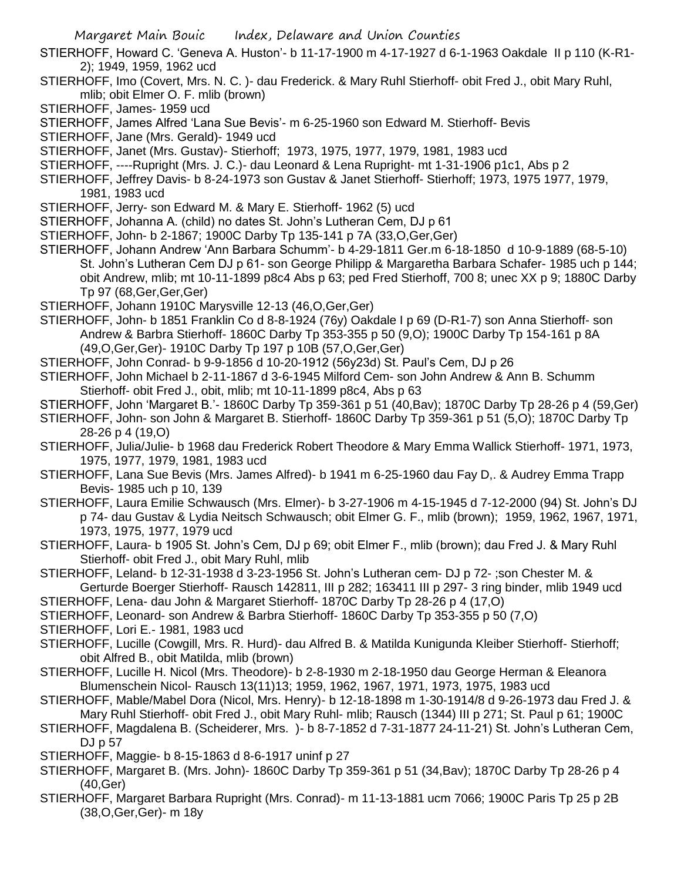- STIERHOFF, Howard C. 'Geneva A. Huston'- b 11-17-1900 m 4-17-1927 d 6-1-1963 Oakdale II p 110 (K-R1- 2); 1949, 1959, 1962 ucd
- STIERHOFF, Imo (Covert, Mrs. N. C. )- dau Frederick. & Mary Ruhl Stierhoff- obit Fred J., obit Mary Ruhl, mlib; obit Elmer O. F. mlib (brown)
- STIERHOFF, James- 1959 ucd
- STIERHOFF, James Alfred 'Lana Sue Bevis'- m 6-25-1960 son Edward M. Stierhoff- Bevis
- STIERHOFF, Jane (Mrs. Gerald)- 1949 ucd
- STIERHOFF, Janet (Mrs. Gustav)- Stierhoff; 1973, 1975, 1977, 1979, 1981, 1983 ucd
- STIERHOFF, ----Rupright (Mrs. J. C.)- dau Leonard & Lena Rupright- mt 1-31-1906 p1c1, Abs p 2
- STIERHOFF, Jeffrey Davis- b 8-24-1973 son Gustav & Janet Stierhoff- Stierhoff; 1973, 1975 1977, 1979, 1981, 1983 ucd
- STIERHOFF, Jerry- son Edward M. & Mary E. Stierhoff- 1962 (5) ucd
- STIERHOFF, Johanna A. (child) no dates St. John's Lutheran Cem, DJ p 61
- STIERHOFF, John- b 2-1867; 1900C Darby Tp 135-141 p 7A (33,O,Ger,Ger)
- STIERHOFF, Johann Andrew 'Ann Barbara Schumm'- b 4-29-1811 Ger.m 6-18-1850 d 10-9-1889 (68-5-10) St. John's Lutheran Cem DJ p 61- son George Philipp & Margaretha Barbara Schafer- 1985 uch p 144; obit Andrew, mlib; mt 10-11-1899 p8c4 Abs p 63; ped Fred Stierhoff, 700 8; unec XX p 9; 1880C Darby Tp 97 (68,Ger,Ger,Ger)
- STIERHOFF, Johann 1910C Marysville 12-13 (46,O,Ger,Ger)
- STIERHOFF, John- b 1851 Franklin Co d 8-8-1924 (76y) Oakdale I p 69 (D-R1-7) son Anna Stierhoff- son Andrew & Barbra Stierhoff- 1860C Darby Tp 353-355 p 50 (9,O); 1900C Darby Tp 154-161 p 8A (49,O,Ger,Ger)- 1910C Darby Tp 197 p 10B (57,O,Ger,Ger)
- STIERHOFF, John Conrad- b 9-9-1856 d 10-20-1912 (56y23d) St. Paul's Cem, DJ p 26
- STIERHOFF, John Michael b 2-11-1867 d 3-6-1945 Milford Cem- son John Andrew & Ann B. Schumm Stierhoff- obit Fred J., obit, mlib; mt 10-11-1899 p8c4, Abs p 63
- STIERHOFF, John 'Margaret B.'- 1860C Darby Tp 359-361 p 51 (40,Bav); 1870C Darby Tp 28-26 p 4 (59,Ger)
- STIERHOFF, John- son John & Margaret B. Stierhoff- 1860C Darby Tp 359-361 p 51 (5,O); 1870C Darby Tp 28-26 p 4 (19,O)
- STIERHOFF, Julia/Julie- b 1968 dau Frederick Robert Theodore & Mary Emma Wallick Stierhoff- 1971, 1973, 1975, 1977, 1979, 1981, 1983 ucd
- STIERHOFF, Lana Sue Bevis (Mrs. James Alfred)- b 1941 m 6-25-1960 dau Fay D,. & Audrey Emma Trapp Bevis- 1985 uch p 10, 139
- STIERHOFF, Laura Emilie Schwausch (Mrs. Elmer)- b 3-27-1906 m 4-15-1945 d 7-12-2000 (94) St. John's DJ p 74- dau Gustav & Lydia Neitsch Schwausch; obit Elmer G. F., mlib (brown); 1959, 1962, 1967, 1971, 1973, 1975, 1977, 1979 ucd
- STIERHOFF, Laura- b 1905 St. John's Cem, DJ p 69; obit Elmer F., mlib (brown); dau Fred J. & Mary Ruhl Stierhoff- obit Fred J., obit Mary Ruhl, mlib
- STIERHOFF, Leland- b 12-31-1938 d 3-23-1956 St. John's Lutheran cem- DJ p 72- ;son Chester M. & Gerturde Boerger Stierhoff- Rausch 142811, III p 282; 163411 III p 297- 3 ring binder, mlib 1949 ucd
- STIERHOFF, Lena- dau John & Margaret Stierhoff- 1870C Darby Tp 28-26 p 4 (17,O)
- STIERHOFF, Leonard- son Andrew & Barbra Stierhoff- 1860C Darby Tp 353-355 p 50 (7,O)
- STIERHOFF, Lori E.- 1981, 1983 ucd
- STIERHOFF, Lucille (Cowgill, Mrs. R. Hurd)- dau Alfred B. & Matilda Kunigunda Kleiber Stierhoff- Stierhoff; obit Alfred B., obit Matilda, mlib (brown)
- STIERHOFF, Lucille H. Nicol (Mrs. Theodore)- b 2-8-1930 m 2-18-1950 dau George Herman & Eleanora Blumenschein Nicol- Rausch 13(11)13; 1959, 1962, 1967, 1971, 1973, 1975, 1983 ucd
- STIERHOFF, Mable/Mabel Dora (Nicol, Mrs. Henry)- b 12-18-1898 m 1-30-1914/8 d 9-26-1973 dau Fred J. & Mary Ruhl Stierhoff- obit Fred J., obit Mary Ruhl- mlib; Rausch (1344) III p 271; St. Paul p 61; 1900C
- STIERHOFF, Magdalena B. (Scheiderer, Mrs. )- b 8-7-1852 d 7-31-1877 24-11-21) St. John's Lutheran Cem, DJ p 57
- STIERHOFF, Maggie- b 8-15-1863 d 8-6-1917 uninf p 27
- STIERHOFF, Margaret B. (Mrs. John)- 1860C Darby Tp 359-361 p 51 (34,Bav); 1870C Darby Tp 28-26 p 4 (40,Ger)
- STIERHOFF, Margaret Barbara Rupright (Mrs. Conrad)- m 11-13-1881 ucm 7066; 1900C Paris Tp 25 p 2B (38,O,Ger,Ger)- m 18y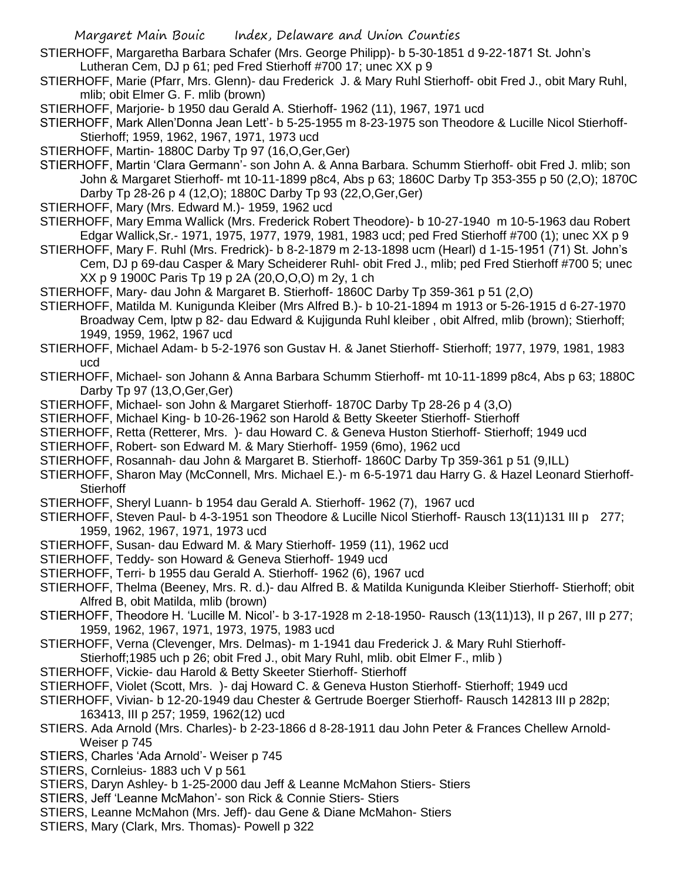- STIERHOFF, Margaretha Barbara Schafer (Mrs. George Philipp)- b 5-30-1851 d 9-22-1871 St. John's Lutheran Cem, DJ p 61; ped Fred Stierhoff #700 17; unec XX p 9
- STIERHOFF, Marie (Pfarr, Mrs. Glenn)- dau Frederick J. & Mary Ruhl Stierhoff- obit Fred J., obit Mary Ruhl, mlib; obit Elmer G. F. mlib (brown)
- STIERHOFF, Marjorie- b 1950 dau Gerald A. Stierhoff- 1962 (11), 1967, 1971 ucd
- STIERHOFF, Mark Allen'Donna Jean Lett'- b 5-25-1955 m 8-23-1975 son Theodore & Lucille Nicol Stierhoff-Stierhoff; 1959, 1962, 1967, 1971, 1973 ucd
- STIERHOFF, Martin- 1880C Darby Tp 97 (16,O,Ger,Ger)
- STIERHOFF, Martin 'Clara Germann'- son John A. & Anna Barbara. Schumm Stierhoff- obit Fred J. mlib; son John & Margaret Stierhoff- mt 10-11-1899 p8c4, Abs p 63; 1860C Darby Tp 353-355 p 50 (2,O); 1870C Darby Tp 28-26 p 4 (12,O); 1880C Darby Tp 93 (22,O,Ger,Ger)
- STIERHOFF, Mary (Mrs. Edward M.)- 1959, 1962 ucd
- STIERHOFF, Mary Emma Wallick (Mrs. Frederick Robert Theodore)- b 10-27-1940 m 10-5-1963 dau Robert Edgar Wallick,Sr.- 1971, 1975, 1977, 1979, 1981, 1983 ucd; ped Fred Stierhoff #700 (1); unec XX p 9
- STIERHOFF, Mary F. Ruhl (Mrs. Fredrick)- b 8-2-1879 m 2-13-1898 ucm (Hearl) d 1-15-1951 (71) St. John's Cem, DJ p 69-dau Casper & Mary Scheiderer Ruhl- obit Fred J., mlib; ped Fred Stierhoff #700 5; unec XX p 9 1900C Paris Tp 19 p 2A (20,O,O,O) m 2y, 1 ch
- STIERHOFF, Mary- dau John & Margaret B. Stierhoff- 1860C Darby Tp 359-361 p 51 (2,O)
- STIERHOFF, Matilda M. Kunigunda Kleiber (Mrs Alfred B.)- b 10-21-1894 m 1913 or 5-26-1915 d 6-27-1970 Broadway Cem, lptw p 82- dau Edward & Kujigunda Ruhl kleiber , obit Alfred, mlib (brown); Stierhoff; 1949, 1959, 1962, 1967 ucd
- STIERHOFF, Michael Adam- b 5-2-1976 son Gustav H. & Janet Stierhoff- Stierhoff; 1977, 1979, 1981, 1983 ucd
- STIERHOFF, Michael- son Johann & Anna Barbara Schumm Stierhoff- mt 10-11-1899 p8c4, Abs p 63; 1880C Darby Tp 97 (13,O,Ger,Ger)
- STIERHOFF, Michael- son John & Margaret Stierhoff- 1870C Darby Tp 28-26 p 4 (3,O)
- STIERHOFF, Michael King- b 10-26-1962 son Harold & Betty Skeeter Stierhoff- Stierhoff
- STIERHOFF, Retta (Retterer, Mrs. )- dau Howard C. & Geneva Huston Stierhoff- Stierhoff; 1949 ucd
- STIERHOFF, Robert- son Edward M. & Mary Stierhoff- 1959 (6mo), 1962 ucd
- STIERHOFF, Rosannah- dau John & Margaret B. Stierhoff- 1860C Darby Tp 359-361 p 51 (9,ILL)
- STIERHOFF, Sharon May (McConnell, Mrs. Michael E.)- m 6-5-1971 dau Harry G. & Hazel Leonard Stierhoff-**Stierhoff**
- STIERHOFF, Sheryl Luann- b 1954 dau Gerald A. Stierhoff- 1962 (7), 1967 ucd
- STIERHOFF, Steven Paul- b 4-3-1951 son Theodore & Lucille Nicol Stierhoff- Rausch 13(11)131 III p 277; 1959, 1962, 1967, 1971, 1973 ucd
- STIERHOFF, Susan- dau Edward M. & Mary Stierhoff- 1959 (11), 1962 ucd
- STIERHOFF, Teddy- son Howard & Geneva Stierhoff- 1949 ucd
- STIERHOFF, Terri- b 1955 dau Gerald A. Stierhoff- 1962 (6), 1967 ucd
- STIERHOFF, Thelma (Beeney, Mrs. R. d.)- dau Alfred B. & Matilda Kunigunda Kleiber Stierhoff- Stierhoff; obit Alfred B, obit Matilda, mlib (brown)
- STIERHOFF, Theodore H. 'Lucille M. Nicol'- b 3-17-1928 m 2-18-1950- Rausch (13(11)13), II p 267, III p 277; 1959, 1962, 1967, 1971, 1973, 1975, 1983 ucd
- STIERHOFF, Verna (Clevenger, Mrs. Delmas)- m 1-1941 dau Frederick J. & Mary Ruhl Stierhoff-
- Stierhoff;1985 uch p 26; obit Fred J., obit Mary Ruhl, mlib. obit Elmer F., mlib )
- STIERHOFF, Vickie- dau Harold & Betty Skeeter Stierhoff- Stierhoff
- STIERHOFF, Violet (Scott, Mrs. )- daj Howard C. & Geneva Huston Stierhoff- Stierhoff; 1949 ucd
- STIERHOFF, Vivian- b 12-20-1949 dau Chester & Gertrude Boerger Stierhoff- Rausch 142813 III p 282p; 163413, III p 257; 1959, 1962(12) ucd
- STIERS. Ada Arnold (Mrs. Charles)- b 2-23-1866 d 8-28-1911 dau John Peter & Frances Chellew Arnold-Weiser p 745
- STIERS, Charles 'Ada Arnold'- Weiser p 745
- STIERS, Cornleius- 1883 uch V p 561
- STIERS, Daryn Ashley- b 1-25-2000 dau Jeff & Leanne McMahon Stiers- Stiers
- STIERS, Jeff 'Leanne McMahon'- son Rick & Connie Stiers- Stiers
- STIERS, Leanne McMahon (Mrs. Jeff)- dau Gene & Diane McMahon- Stiers
- STIERS, Mary (Clark, Mrs. Thomas)- Powell p 322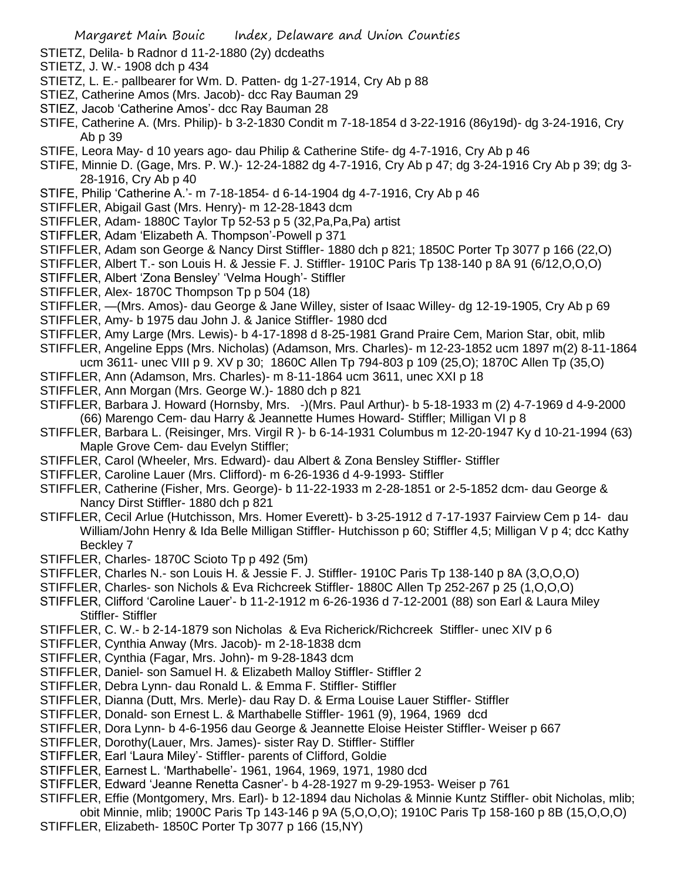- STIETZ, Delila- b Radnor d 11-2-1880 (2y) dcdeaths
- STIETZ, J. W.- 1908 dch p 434
- STIETZ, L. E.- pallbearer for Wm. D. Patten- dg 1-27-1914, Cry Ab p 88
- STIEZ, Catherine Amos (Mrs. Jacob)- dcc Ray Bauman 29
- STIEZ, Jacob 'Catherine Amos'- dcc Ray Bauman 28
- STIFE, Catherine A. (Mrs. Philip)- b 3-2-1830 Condit m 7-18-1854 d 3-22-1916 (86y19d)- dg 3-24-1916, Cry Ab p 39
- STIFE, Leora May- d 10 years ago- dau Philip & Catherine Stife- dg 4-7-1916, Cry Ab p 46
- STIFE, Minnie D. (Gage, Mrs. P. W.)- 12-24-1882 dg 4-7-1916, Cry Ab p 47; dg 3-24-1916 Cry Ab p 39; dg 3- 28-1916, Cry Ab p 40
- STIFE, Philip 'Catherine A.'- m 7-18-1854- d 6-14-1904 dg 4-7-1916, Cry Ab p 46
- STIFFLER, Abigail Gast (Mrs. Henry)- m 12-28-1843 dcm
- STIFFLER, Adam- 1880C Taylor Tp 52-53 p 5 (32,Pa,Pa,Pa) artist
- STIFFLER, Adam 'Elizabeth A. Thompson'-Powell p 371
- STIFFLER, Adam son George & Nancy Dirst Stiffler- 1880 dch p 821; 1850C Porter Tp 3077 p 166 (22,O)
- STIFFLER, Albert T.- son Louis H. & Jessie F. J. Stiffler- 1910C Paris Tp 138-140 p 8A 91 (6/12,O,O,O)
- STIFFLER, Albert 'Zona Bensley' 'Velma Hough'- Stiffler
- STIFFLER, Alex- 1870C Thompson Tp p 504 (18)
- STIFFLER, —(Mrs. Amos)- dau George & Jane Willey, sister of Isaac Willey- dg 12-19-1905, Cry Ab p 69
- STIFFLER, Amy- b 1975 dau John J. & Janice Stiffler- 1980 dcd
- STIFFLER, Amy Large (Mrs. Lewis)- b 4-17-1898 d 8-25-1981 Grand Praire Cem, Marion Star, obit, mlib
- STIFFLER, Angeline Epps (Mrs. Nicholas) (Adamson, Mrs. Charles)- m 12-23-1852 ucm 1897 m(2) 8-11-1864
- ucm 3611- unec VIII p 9. XV p 30; 1860C Allen Tp 794-803 p 109 (25,O); 1870C Allen Tp (35,O)
- STIFFLER, Ann (Adamson, Mrs. Charles)- m 8-11-1864 ucm 3611, unec XXI p 18
- STIFFLER, Ann Morgan (Mrs. George W.)- 1880 dch p 821
- STIFFLER, Barbara J. Howard (Hornsby, Mrs. -)(Mrs. Paul Arthur)- b 5-18-1933 m (2) 4-7-1969 d 4-9-2000 (66) Marengo Cem- dau Harry & Jeannette Humes Howard- Stiffler; Milligan VI p 8
- STIFFLER, Barbara L. (Reisinger, Mrs. Virgil R )- b 6-14-1931 Columbus m 12-20-1947 Ky d 10-21-1994 (63) Maple Grove Cem- dau Evelyn Stiffler;
- STIFFLER, Carol (Wheeler, Mrs. Edward)- dau Albert & Zona Bensley Stiffler- Stiffler
- STIFFLER, Caroline Lauer (Mrs. Clifford)- m 6-26-1936 d 4-9-1993- Stiffler
- STIFFLER, Catherine (Fisher, Mrs. George)- b 11-22-1933 m 2-28-1851 or 2-5-1852 dcm- dau George & Nancy Dirst Stiffler- 1880 dch p 821
- STIFFLER, Cecil Arlue (Hutchisson, Mrs. Homer Everett)- b 3-25-1912 d 7-17-1937 Fairview Cem p 14- dau William/John Henry & Ida Belle Milligan Stiffler- Hutchisson p 60; Stiffler 4,5; Milligan V p 4; dcc Kathy Beckley 7
- STIFFLER, Charles- 1870C Scioto Tp p 492 (5m)
- STIFFLER, Charles N.- son Louis H. & Jessie F. J. Stiffler- 1910C Paris Tp 138-140 p 8A (3,O,O,O)
- STIFFLER, Charles- son Nichols & Eva Richcreek Stiffler- 1880C Allen Tp 252-267 p 25 (1,O,O,O)
- STIFFLER, Clifford 'Caroline Lauer'- b 11-2-1912 m 6-26-1936 d 7-12-2001 (88) son Earl & Laura Miley Stiffler- Stiffler
- STIFFLER, C. W.- b 2-14-1879 son Nicholas & Eva Richerick/Richcreek Stiffler- unec XIV p 6
- STIFFLER, Cynthia Anway (Mrs. Jacob)- m 2-18-1838 dcm
- STIFFLER, Cynthia (Fagar, Mrs. John)- m 9-28-1843 dcm
- STIFFLER, Daniel- son Samuel H. & Elizabeth Malloy Stiffler- Stiffler 2
- STIFFLER, Debra Lynn- dau Ronald L. & Emma F. Stiffler- Stiffler
- STIFFLER, Dianna (Dutt, Mrs. Merle)- dau Ray D. & Erma Louise Lauer Stiffler- Stiffler
- STIFFLER, Donald- son Ernest L. & Marthabelle Stiffler- 1961 (9), 1964, 1969 dcd
- STIFFLER, Dora Lynn- b 4-6-1956 dau George & Jeannette Eloise Heister Stiffler- Weiser p 667
- STIFFLER, Dorothy(Lauer, Mrs. James)- sister Ray D. Stiffler- Stiffler
- STIFFLER, Earl 'Laura Miley'- Stiffler- parents of Clifford, Goldie
- STIFFLER, Earnest L. 'Marthabelle'- 1961, 1964, 1969, 1971, 1980 dcd
- STIFFLER, Edward 'Jeanne Renetta Casner'- b 4-28-1927 m 9-29-1953- Weiser p 761
- STIFFLER, Effie (Montgomery, Mrs. Earl)- b 12-1894 dau Nicholas & Minnie Kuntz Stiffler- obit Nicholas, mlib; obit Minnie, mlib; 1900C Paris Tp 143-146 p 9A (5,O,O,O); 1910C Paris Tp 158-160 p 8B (15,O,O,O)
- STIFFLER, Elizabeth- 1850C Porter Tp 3077 p 166 (15,NY)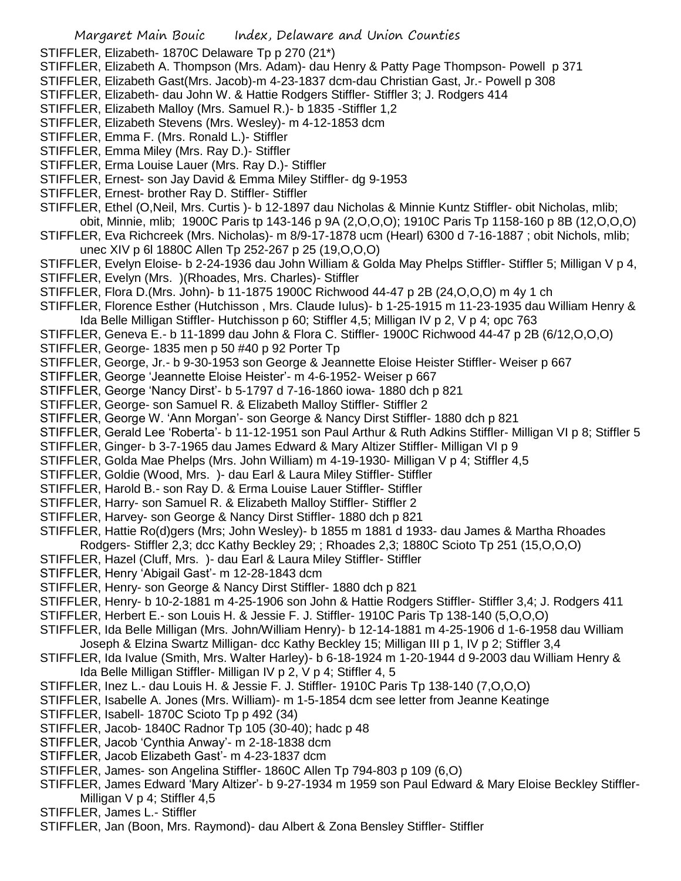STIFFLER, Elizabeth- 1870C Delaware Tp p 270 (21\*)

- STIFFLER, Elizabeth A. Thompson (Mrs. Adam)- dau Henry & Patty Page Thompson- Powell p 371
- STIFFLER, Elizabeth Gast(Mrs. Jacob)-m 4-23-1837 dcm-dau Christian Gast, Jr.- Powell p 308
- STIFFLER, Elizabeth- dau John W. & Hattie Rodgers Stiffler- Stiffler 3; J. Rodgers 414
- STIFFLER, Elizabeth Malloy (Mrs. Samuel R.)- b 1835 -Stiffler 1,2
- STIFFLER, Elizabeth Stevens (Mrs. Wesley)- m 4-12-1853 dcm
- STIFFLER, Emma F. (Mrs. Ronald L.)- Stiffler
- STIFFLER, Emma Miley (Mrs. Ray D.)- Stiffler
- STIFFLER, Erma Louise Lauer (Mrs. Ray D.)- Stiffler
- STIFFLER, Ernest- son Jay David & Emma Miley Stiffler- dg 9-1953
- STIFFLER, Ernest- brother Ray D. Stiffler- Stiffler
- STIFFLER, Ethel (O,Neil, Mrs. Curtis )- b 12-1897 dau Nicholas & Minnie Kuntz Stiffler- obit Nicholas, mlib; obit, Minnie, mlib; 1900C Paris tp 143-146 p 9A (2,O,O,O); 1910C Paris Tp 1158-160 p 8B (12,O,O,O)
- STIFFLER, Eva Richcreek (Mrs. Nicholas)- m 8/9-17-1878 ucm (Hearl) 6300 d 7-16-1887 ; obit Nichols, mlib; unec XIV p 6l 1880C Allen Tp 252-267 p 25 (19,O,O,O)
- STIFFLER, Evelyn Eloise- b 2-24-1936 dau John William & Golda May Phelps Stiffler- Stiffler 5; Milligan V p 4,
- STIFFLER, Evelyn (Mrs. )(Rhoades, Mrs. Charles)- Stiffler
- STIFFLER, Flora D.(Mrs. John)- b 11-1875 1900C Richwood 44-47 p 2B (24,O,O,O) m 4y 1 ch
- STIFFLER, Florence Esther (Hutchisson , Mrs. Claude Iulus)- b 1-25-1915 m 11-23-1935 dau William Henry & Ida Belle Milligan Stiffler- Hutchisson p 60; Stiffler 4,5; Milligan IV p 2, V p 4; opc 763
- STIFFLER, Geneva E.- b 11-1899 dau John & Flora C. Stiffler- 1900C Richwood 44-47 p 2B (6/12,O,O,O)
- STIFFLER, George- 1835 men p 50 #40 p 92 Porter Tp
- STIFFLER, George, Jr.- b 9-30-1953 son George & Jeannette Eloise Heister Stiffler- Weiser p 667
- STIFFLER, George 'Jeannette Eloise Heister'- m 4-6-1952- Weiser p 667
- STIFFLER, George 'Nancy Dirst'- b 5-1797 d 7-16-1860 iowa- 1880 dch p 821
- STIFFLER, George- son Samuel R. & Elizabeth Malloy Stiffler- Stiffler 2
- STIFFLER, George W. 'Ann Morgan'- son George & Nancy Dirst Stiffler- 1880 dch p 821
- STIFFLER, Gerald Lee 'Roberta'- b 11-12-1951 son Paul Arthur & Ruth Adkins Stiffler- Milligan VI p 8; Stiffler 5
- STIFFLER, Ginger- b 3-7-1965 dau James Edward & Mary Altizer Stiffler- Milligan VI p 9
- STIFFLER, Golda Mae Phelps (Mrs. John William) m 4-19-1930- Milligan V p 4; Stiffler 4,5
- STIFFLER, Goldie (Wood, Mrs. )- dau Earl & Laura Miley Stiffler- Stiffler
- STIFFLER, Harold B.- son Ray D. & Erma Louise Lauer Stiffler- Stiffler
- STIFFLER, Harry- son Samuel R. & Elizabeth Malloy Stiffler- Stiffler 2
- STIFFLER, Harvey- son George & Nancy Dirst Stiffler- 1880 dch p 821
- STIFFLER, Hattie Ro(d)gers (Mrs; John Wesley)- b 1855 m 1881 d 1933- dau James & Martha Rhoades
- Rodgers- Stiffler 2,3; dcc Kathy Beckley 29; ; Rhoades 2,3; 1880C Scioto Tp 251 (15,O,O,O)
- STIFFLER, Hazel (Cluff, Mrs. )- dau Earl & Laura Miley Stiffler- Stiffler
- STIFFLER, Henry 'Abigail Gast'- m 12-28-1843 dcm
- STIFFLER, Henry- son George & Nancy Dirst Stiffler- 1880 dch p 821
- STIFFLER, Henry- b 10-2-1881 m 4-25-1906 son John & Hattie Rodgers Stiffler- Stiffler 3,4; J. Rodgers 411
- STIFFLER, Herbert E.- son Louis H. & Jessie F. J. Stiffler- 1910C Paris Tp 138-140 (5,O,O,O)
- STIFFLER, Ida Belle Milligan (Mrs. John/William Henry)- b 12-14-1881 m 4-25-1906 d 1-6-1958 dau William Joseph & Elzina Swartz Milligan- dcc Kathy Beckley 15; Milligan III p 1, IV p 2; Stiffler 3,4
- STIFFLER, Ida Ivalue (Smith, Mrs. Walter Harley)- b 6-18-1924 m 1-20-1944 d 9-2003 dau William Henry & Ida Belle Milligan Stiffler- Milligan IV p 2, V p 4; Stiffler 4, 5
- STIFFLER, Inez L.- dau Louis H. & Jessie F. J. Stiffler- 1910C Paris Tp 138-140 (7,O,O,O)
- STIFFLER, Isabelle A. Jones (Mrs. William)- m 1-5-1854 dcm see letter from Jeanne Keatinge
- STIFFLER, Isabell- 1870C Scioto Tp p 492 (34)
- STIFFLER, Jacob- 1840C Radnor Tp 105 (30-40); hadc p 48
- STIFFLER, Jacob 'Cynthia Anway'- m 2-18-1838 dcm
- STIFFLER, Jacob Elizabeth Gast'- m 4-23-1837 dcm
- STIFFLER, James- son Angelina Stiffler- 1860C Allen Tp 794-803 p 109 (6,O)
- STIFFLER, James Edward 'Mary Altizer'- b 9-27-1934 m 1959 son Paul Edward & Mary Eloise Beckley Stiffler-Milligan V p 4; Stiffler 4,5
- STIFFLER, James L.- Stiffler
- STIFFLER, Jan (Boon, Mrs. Raymond)- dau Albert & Zona Bensley Stiffler- Stiffler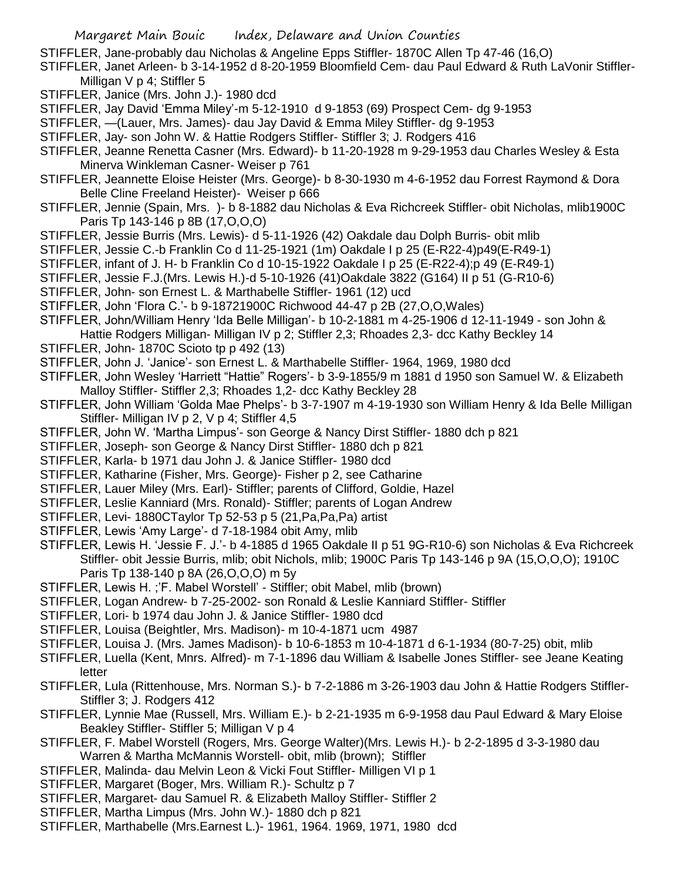- STIFFLER, Jane-probably dau Nicholas & Angeline Epps Stiffler- 1870C Allen Tp 47-46 (16,O)
- STIFFLER, Janet Arleen- b 3-14-1952 d 8-20-1959 Bloomfield Cem- dau Paul Edward & Ruth LaVonir Stiffler-Milligan V p 4; Stiffler 5
- STIFFLER, Janice (Mrs. John J.)- 1980 dcd
- STIFFLER, Jay David 'Emma Miley'-m 5-12-1910 d 9-1853 (69) Prospect Cem- dg 9-1953
- STIFFLER, —(Lauer, Mrs. James)- dau Jay David & Emma Miley Stiffler- dg 9-1953
- STIFFLER, Jay- son John W. & Hattie Rodgers Stiffler- Stiffler 3; J. Rodgers 416
- STIFFLER, Jeanne Renetta Casner (Mrs. Edward)- b 11-20-1928 m 9-29-1953 dau Charles Wesley & Esta Minerva Winkleman Casner- Weiser p 761
- STIFFLER, Jeannette Eloise Heister (Mrs. George)- b 8-30-1930 m 4-6-1952 dau Forrest Raymond & Dora Belle Cline Freeland Heister)- Weiser p 666
- STIFFLER, Jennie (Spain, Mrs. )- b 8-1882 dau Nicholas & Eva Richcreek Stiffler- obit Nicholas, mlib1900C Paris Tp 143-146 p 8B (17,O,O,O)
- STIFFLER, Jessie Burris (Mrs. Lewis)- d 5-11-1926 (42) Oakdale dau Dolph Burris- obit mlib
- STIFFLER, Jessie C.-b Franklin Co d 11-25-1921 (1m) Oakdale I p 25 (E-R22-4)p49(E-R49-1)
- STIFFLER, infant of J. H- b Franklin Co d 10-15-1922 Oakdale I p 25 (E-R22-4);p 49 (E-R49-1)
- STIFFLER, Jessie F.J.(Mrs. Lewis H.)-d 5-10-1926 (41)Oakdale 3822 (G164) II p 51 (G-R10-6)
- STIFFLER, John- son Ernest L. & Marthabelle Stiffler- 1961 (12) ucd
- STIFFLER, John 'Flora C.'- b 9-18721900C Richwood 44-47 p 2B (27,O,O,Wales)
- STIFFLER, John/William Henry 'Ida Belle Milligan'- b 10-2-1881 m 4-25-1906 d 12-11-1949 son John &
- Hattie Rodgers Milligan- Milligan IV p 2; Stiffler 2,3; Rhoades 2,3- dcc Kathy Beckley 14
- STIFFLER, John- 1870C Scioto tp p 492 (13)
- STIFFLER, John J. 'Janice'- son Ernest L. & Marthabelle Stiffler- 1964, 1969, 1980 dcd
- STIFFLER, John Wesley 'Harriett "Hattie" Rogers'- b 3-9-1855/9 m 1881 d 1950 son Samuel W. & Elizabeth Malloy Stiffler- Stiffler 2,3; Rhoades 1,2- dcc Kathy Beckley 28
- STIFFLER, John William 'Golda Mae Phelps'- b 3-7-1907 m 4-19-1930 son William Henry & Ida Belle Milligan Stiffler- Milligan IV p 2, V p 4; Stiffler 4,5
- STIFFLER, John W. 'Martha Limpus'- son George & Nancy Dirst Stiffler- 1880 dch p 821
- STIFFLER, Joseph- son George & Nancy Dirst Stiffler- 1880 dch p 821
- STIFFLER, Karla- b 1971 dau John J. & Janice Stiffler- 1980 dcd
- STIFFLER, Katharine (Fisher, Mrs. George)- Fisher p 2, see Catharine
- STIFFLER, Lauer Miley (Mrs. Earl)- Stiffler; parents of Clifford, Goldie, Hazel
- STIFFLER, Leslie Kanniard (Mrs. Ronald)- Stiffler; parents of Logan Andrew
- STIFFLER, Levi- 1880CTaylor Tp 52-53 p 5 (21,Pa,Pa,Pa) artist
- STIFFLER, Lewis 'Amy Large'- d 7-18-1984 obit Amy, mlib
- STIFFLER, Lewis H. 'Jessie F. J.'- b 4-1885 d 1965 Oakdale II p 51 9G-R10-6) son Nicholas & Eva Richcreek Stiffler- obit Jessie Burris, mlib; obit Nichols, mlib; 1900C Paris Tp 143-146 p 9A (15,O,O,O); 1910C Paris Tp 138-140 p 8A (26,O,O,O) m 5y
- STIFFLER, Lewis H. ;'F. Mabel Worstell' Stiffler; obit Mabel, mlib (brown)
- STIFFLER, Logan Andrew- b 7-25-2002- son Ronald & Leslie Kanniard Stiffler- Stiffler
- STIFFLER, Lori- b 1974 dau John J. & Janice Stiffler- 1980 dcd
- STIFFLER, Louisa (Beightler, Mrs. Madison)- m 10-4-1871 ucm 4987
- STIFFLER, Louisa J. (Mrs. James Madison)- b 10-6-1853 m 10-4-1871 d 6-1-1934 (80-7-25) obit, mlib
- STIFFLER, Luella (Kent, Mnrs. Alfred)- m 7-1-1896 dau William & Isabelle Jones Stiffler- see Jeane Keating letter
- STIFFLER, Lula (Rittenhouse, Mrs. Norman S.)- b 7-2-1886 m 3-26-1903 dau John & Hattie Rodgers Stiffler-Stiffler 3; J. Rodgers 412
- STIFFLER, Lynnie Mae (Russell, Mrs. William E.)- b 2-21-1935 m 6-9-1958 dau Paul Edward & Mary Eloise Beakley Stiffler- Stiffler 5; Milligan V p 4
- STIFFLER, F. Mabel Worstell (Rogers, Mrs. George Walter)(Mrs. Lewis H.)- b 2-2-1895 d 3-3-1980 dau Warren & Martha McMannis Worstell- obit, mlib (brown); Stiffler
- STIFFLER, Malinda- dau Melvin Leon & Vicki Fout Stiffler- Milligen VI p 1
- STIFFLER, Margaret (Boger, Mrs. William R.)- Schultz p 7
- STIFFLER, Margaret- dau Samuel R. & Elizabeth Malloy Stiffler- Stiffler 2
- STIFFLER, Martha Limpus (Mrs. John W.)- 1880 dch p 821
- STIFFLER, Marthabelle (Mrs.Earnest L.)- 1961, 1964. 1969, 1971, 1980 dcd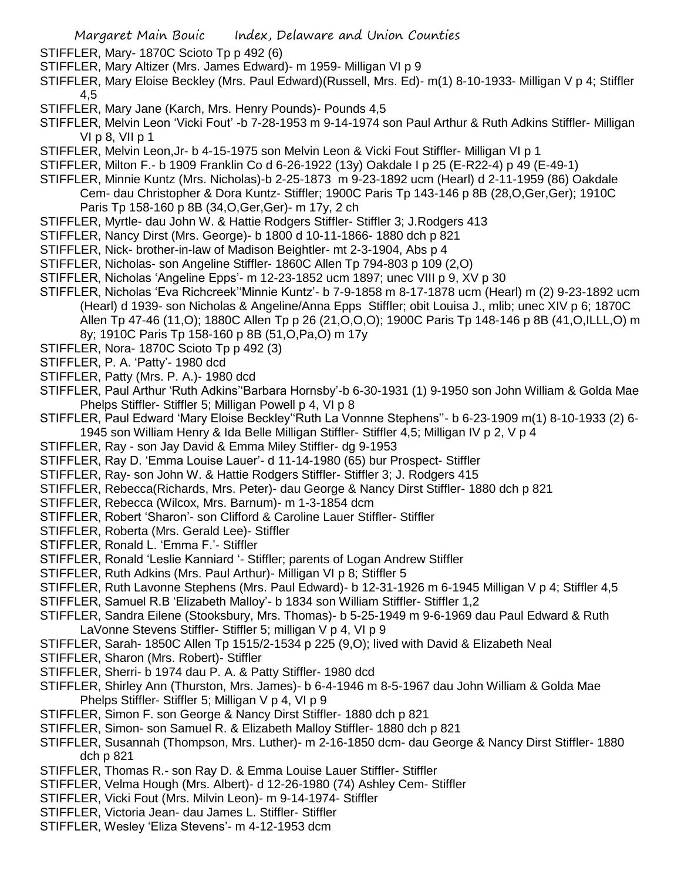- STIFFLER, Mary- 1870C Scioto Tp p 492 (6)
- STIFFLER, Mary Altizer (Mrs. James Edward)- m 1959- Milligan VI p 9
- STIFFLER, Mary Eloise Beckley (Mrs. Paul Edward)(Russell, Mrs. Ed)- m(1) 8-10-1933- Milligan V p 4; Stiffler 4,5
- STIFFLER, Mary Jane (Karch, Mrs. Henry Pounds)- Pounds 4,5
- STIFFLER, Melvin Leon 'Vicki Fout' -b 7-28-1953 m 9-14-1974 son Paul Arthur & Ruth Adkins Stiffler- Milligan VI p 8, VII p 1
- STIFFLER, Melvin Leon,Jr- b 4-15-1975 son Melvin Leon & Vicki Fout Stiffler- Milligan VI p 1
- STIFFLER, Milton F.- b 1909 Franklin Co d 6-26-1922 (13y) Oakdale I p 25 (E-R22-4) p 49 (E-49-1)
- STIFFLER, Minnie Kuntz (Mrs. Nicholas)-b 2-25-1873 m 9-23-1892 ucm (Hearl) d 2-11-1959 (86) Oakdale Cem- dau Christopher & Dora Kuntz- Stiffler; 1900C Paris Tp 143-146 p 8B (28,O,Ger,Ger); 1910C Paris Tp 158-160 p 8B (34,O,Ger,Ger)- m 17y, 2 ch
- STIFFLER, Myrtle- dau John W. & Hattie Rodgers Stiffler- Stiffler 3; J.Rodgers 413
- STIFFLER, Nancy Dirst (Mrs. George)- b 1800 d 10-11-1866- 1880 dch p 821
- STIFFLER, Nick- brother-in-law of Madison Beightler- mt 2-3-1904, Abs p 4
- STIFFLER, Nicholas- son Angeline Stiffler- 1860C Allen Tp 794-803 p 109 (2,O)
- STIFFLER, Nicholas 'Angeline Epps'- m 12-23-1852 ucm 1897; unec VIII p 9, XV p 30
- STIFFLER, Nicholas 'Eva Richcreek''Minnie Kuntz'- b 7-9-1858 m 8-17-1878 ucm (Hearl) m (2) 9-23-1892 ucm (Hearl) d 1939- son Nicholas & Angeline/Anna Epps Stiffler; obit Louisa J., mlib; unec XIV p 6; 1870C Allen Tp 47-46 (11,O); 1880C Allen Tp p 26 (21,O,O,O); 1900C Paris Tp 148-146 p 8B (41,O,ILLL,O) m 8y; 1910C Paris Tp 158-160 p 8B (51,O,Pa,O) m 17y
- STIFFLER, Nora- 1870C Scioto Tp p 492 (3)
- STIFFLER, P. A. 'Patty'- 1980 dcd
- STIFFLER, Patty (Mrs. P. A.)- 1980 dcd
- STIFFLER, Paul Arthur 'Ruth Adkins''Barbara Hornsby'-b 6-30-1931 (1) 9-1950 son John William & Golda Mae Phelps Stiffler- Stiffler 5; Milligan Powell p 4, VI p 8
- STIFFLER, Paul Edward 'Mary Eloise Beckley''Ruth La Vonnne Stephens''- b 6-23-1909 m(1) 8-10-1933 (2) 6- 1945 son William Henry & Ida Belle Milligan Stiffler- Stiffler 4,5; Milligan IV p 2, V p 4
- STIFFLER, Ray son Jay David & Emma Miley Stiffler- dg 9-1953
- STIFFLER, Ray D. 'Emma Louise Lauer'- d 11-14-1980 (65) bur Prospect- Stiffler
- STIFFLER, Ray- son John W. & Hattie Rodgers Stiffler- Stiffler 3; J. Rodgers 415
- STIFFLER, Rebecca(Richards, Mrs. Peter)- dau George & Nancy Dirst Stiffler- 1880 dch p 821
- STIFFLER, Rebecca (Wilcox, Mrs. Barnum)- m 1-3-1854 dcm
- STIFFLER, Robert 'Sharon'- son Clifford & Caroline Lauer Stiffler- Stiffler
- STIFFLER, Roberta (Mrs. Gerald Lee)- Stiffler
- STIFFLER, Ronald L. 'Emma F.'- Stiffler
- STIFFLER, Ronald 'Leslie Kanniard '- Stiffler; parents of Logan Andrew Stiffler
- STIFFLER, Ruth Adkins (Mrs. Paul Arthur)- Milligan VI p 8; Stiffler 5
- STIFFLER, Ruth Lavonne Stephens (Mrs. Paul Edward)- b 12-31-1926 m 6-1945 Milligan V p 4; Stiffler 4,5
- STIFFLER, Samuel R.B 'Elizabeth Malloy'- b 1834 son William Stiffler- Stiffler 1,2
- STIFFLER, Sandra Eilene (Stooksbury, Mrs. Thomas)- b 5-25-1949 m 9-6-1969 dau Paul Edward & Ruth LaVonne Stevens Stiffler- Stiffler 5; milligan V p 4, VI p 9
- STIFFLER, Sarah- 1850C Allen Tp 1515/2-1534 p 225 (9,O); lived with David & Elizabeth Neal
- STIFFLER, Sharon (Mrs. Robert)- Stiffler
- STIFFLER, Sherri- b 1974 dau P. A. & Patty Stiffler- 1980 dcd
- STIFFLER, Shirley Ann (Thurston, Mrs. James)- b 6-4-1946 m 8-5-1967 dau John William & Golda Mae Phelps Stiffler- Stiffler 5; Milligan V p 4, VI p 9
- STIFFLER, Simon F. son George & Nancy Dirst Stiffler- 1880 dch p 821
- STIFFLER, Simon- son Samuel R. & Elizabeth Malloy Stiffler- 1880 dch p 821
- STIFFLER, Susannah (Thompson, Mrs. Luther)- m 2-16-1850 dcm- dau George & Nancy Dirst Stiffler- 1880 dch p 821
- STIFFLER, Thomas R.- son Ray D. & Emma Louise Lauer Stiffler- Stiffler
- STIFFLER, Velma Hough (Mrs. Albert)- d 12-26-1980 (74) Ashley Cem- Stiffler
- STIFFLER, Vicki Fout (Mrs. Milvin Leon)- m 9-14-1974- Stiffler
- STIFFLER, Victoria Jean- dau James L. Stiffler- Stiffler
- STIFFLER, Wesley 'Eliza Stevens'- m 4-12-1953 dcm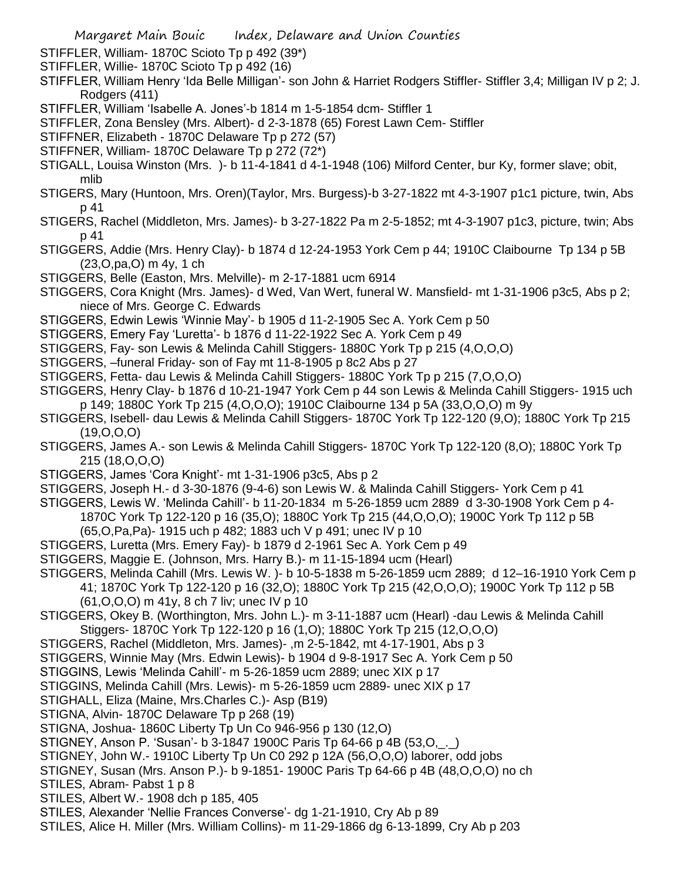- STIFFLER, William- 1870C Scioto Tp p 492 (39\*)
- STIFFLER, Willie- 1870C Scioto Tp p 492 (16)
- STIFFLER, William Henry 'Ida Belle Milligan'- son John & Harriet Rodgers Stiffler- Stiffler 3,4; Milligan IV p 2; J. Rodgers (411)
- STIFFLER, William 'Isabelle A. Jones'-b 1814 m 1-5-1854 dcm- Stiffler 1
- STIFFLER, Zona Bensley (Mrs. Albert)- d 2-3-1878 (65) Forest Lawn Cem- Stiffler
- STIFFNER, Elizabeth 1870C Delaware Tp p 272 (57)
- STIFFNER, William- 1870C Delaware Tp p 272 (72\*)
- STIGALL, Louisa Winston (Mrs. )- b 11-4-1841 d 4-1-1948 (106) Milford Center, bur Ky, former slave; obit, mlib
- STIGERS, Mary (Huntoon, Mrs. Oren)(Taylor, Mrs. Burgess)-b 3-27-1822 mt 4-3-1907 p1c1 picture, twin, Abs p 41
- STIGERS, Rachel (Middleton, Mrs. James)- b 3-27-1822 Pa m 2-5-1852; mt 4-3-1907 p1c3, picture, twin; Abs p 41
- STIGGERS, Addie (Mrs. Henry Clay)- b 1874 d 12-24-1953 York Cem p 44; 1910C Claibourne Tp 134 p 5B (23,O,pa,O) m 4y, 1 ch
- STIGGERS, Belle (Easton, Mrs. Melville)- m 2-17-1881 ucm 6914
- STIGGERS, Cora Knight (Mrs. James)- d Wed, Van Wert, funeral W. Mansfield- mt 1-31-1906 p3c5, Abs p 2; niece of Mrs. George C. Edwards
- STIGGERS, Edwin Lewis 'Winnie May'- b 1905 d 11-2-1905 Sec A. York Cem p 50
- STIGGERS, Emery Fay 'Luretta'- b 1876 d 11-22-1922 Sec A. York Cem p 49
- STIGGERS, Fay- son Lewis & Melinda Cahill Stiggers- 1880C York Tp p 215 (4,O,O,O)
- STIGGERS, –funeral Friday- son of Fay mt 11-8-1905 p 8c2 Abs p 27
- STIGGERS, Fetta- dau Lewis & Melinda Cahill Stiggers- 1880C York Tp p 215 (7,O,O,O)
- STIGGERS, Henry Clay- b 1876 d 10-21-1947 York Cem p 44 son Lewis & Melinda Cahill Stiggers- 1915 uch p 149; 1880C York Tp 215 (4,O,O,O); 1910C Claibourne 134 p 5A (33,O,O,O) m 9y
- STIGGERS, Isebell- dau Lewis & Melinda Cahill Stiggers- 1870C York Tp 122-120 (9,O); 1880C York Tp 215 (19,O,O,O)
- STIGGERS, James A.- son Lewis & Melinda Cahill Stiggers- 1870C York Tp 122-120 (8,O); 1880C York Tp 215 (18,O,O,O)
- STIGGERS, James 'Cora Knight'- mt 1-31-1906 p3c5, Abs p 2
- STIGGERS, Joseph H.- d 3-30-1876 (9-4-6) son Lewis W. & Malinda Cahill Stiggers- York Cem p 41
- STIGGERS, Lewis W. 'Melinda Cahill'- b 11-20-1834 m 5-26-1859 ucm 2889 d 3-30-1908 York Cem p 4- 1870C York Tp 122-120 p 16 (35,O); 1880C York Tp 215 (44,O,O,O); 1900C York Tp 112 p 5B (65,O,Pa,Pa)- 1915 uch p 482; 1883 uch V p 491; unec IV p 10
- STIGGERS, Luretta (Mrs. Emery Fay)- b 1879 d 2-1961 Sec A. York Cem p 49
- STIGGERS, Maggie E. (Johnson, Mrs. Harry B.)- m 11-15-1894 ucm (Hearl)
- STIGGERS, Melinda Cahill (Mrs. Lewis W. )- b 10-5-1838 m 5-26-1859 ucm 2889; d 12–16-1910 York Cem p 41; 1870C York Tp 122-120 p 16 (32,O); 1880C York Tp 215 (42,O,O,O); 1900C York Tp 112 p 5B (61,O,O,O) m 41y, 8 ch 7 liv; unec IV p 10
- STIGGERS, Okey B. (Worthington, Mrs. John L.)- m 3-11-1887 ucm (Hearl) -dau Lewis & Melinda Cahill Stiggers- 1870C York Tp 122-120 p 16 (1,O); 1880C York Tp 215 (12,O,O,O)
- STIGGERS, Rachel (Middleton, Mrs. James)- ,m 2-5-1842, mt 4-17-1901, Abs p 3
- STIGGERS, Winnie May (Mrs. Edwin Lewis)- b 1904 d 9-8-1917 Sec A. York Cem p 50
- STIGGINS, Lewis 'Melinda Cahill'- m 5-26-1859 ucm 2889; unec XIX p 17
- STIGGINS, Melinda Cahill (Mrs. Lewis)- m 5-26-1859 ucm 2889- unec XIX p 17
- STIGHALL, Eliza (Maine, Mrs.Charles C.)- Asp (B19)
- STIGNA, Alvin- 1870C Delaware Tp p 268 (19)
- STIGNA, Joshua- 1860C Liberty Tp Un Co 946-956 p 130 (12,O)
- STIGNEY, Anson P. 'Susan'- b 3-1847 1900C Paris Tp 64-66 p 4B (53,O,\_.\_)
- STIGNEY, John W.- 1910C Liberty Tp Un C0 292 p 12A (56,O,O,O) laborer, odd jobs
- STIGNEY, Susan (Mrs. Anson P.)- b 9-1851- 1900C Paris Tp 64-66 p 4B (48,O,O,O) no ch
- STILES, Abram- Pabst 1 p 8
- STILES, Albert W.- 1908 dch p 185, 405
- STILES, Alexander 'Nellie Frances Converse'- dg 1-21-1910, Cry Ab p 89
- STILES, Alice H. Miller (Mrs. William Collins)- m 11-29-1866 dg 6-13-1899, Cry Ab p 203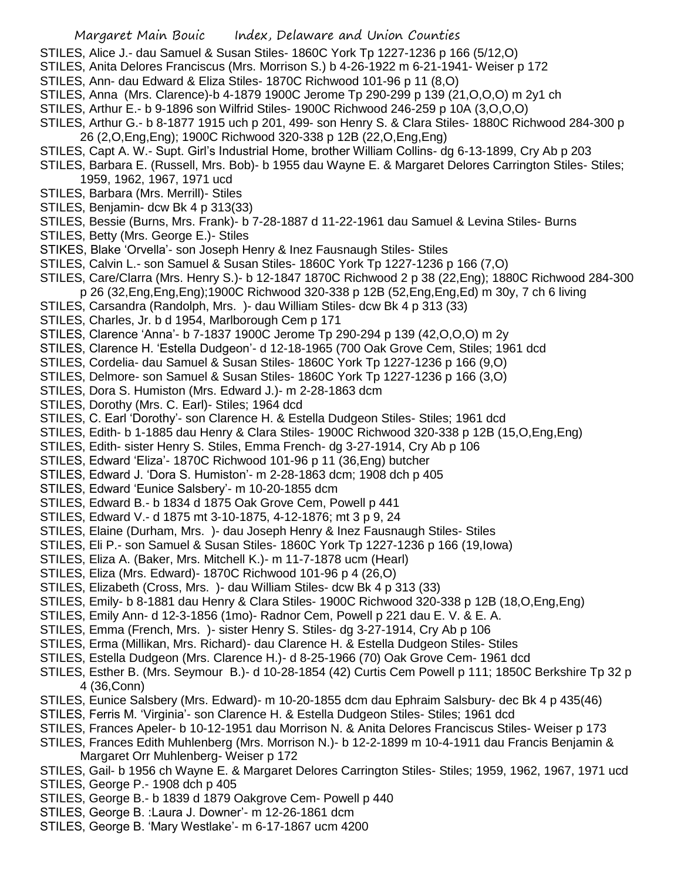STILES, Alice J.- dau Samuel & Susan Stiles- 1860C York Tp 1227-1236 p 166 (5/12,O)

STILES, Anita Delores Franciscus (Mrs. Morrison S.) b 4-26-1922 m 6-21-1941- Weiser p 172

- STILES, Ann- dau Edward & Eliza Stiles- 1870C Richwood 101-96 p 11 (8,O)
- STILES, Anna (Mrs. Clarence)-b 4-1879 1900C Jerome Tp 290-299 p 139 (21,O,O,O) m 2y1 ch
- STILES, Arthur E.- b 9-1896 son Wilfrid Stiles- 1900C Richwood 246-259 p 10A (3,O,O,O)
- STILES, Arthur G.- b 8-1877 1915 uch p 201, 499- son Henry S. & Clara Stiles- 1880C Richwood 284-300 p 26 (2,O,Eng,Eng); 1900C Richwood 320-338 p 12B (22,O,Eng,Eng)
- STILES, Capt A. W.- Supt. Girl's Industrial Home, brother William Collins- dg 6-13-1899, Cry Ab p 203
- STILES, Barbara E. (Russell, Mrs. Bob)- b 1955 dau Wayne E. & Margaret Delores Carrington Stiles- Stiles; 1959, 1962, 1967, 1971 ucd
- STILES, Barbara (Mrs. Merrill)- Stiles
- STILES, Benjamin- dcw Bk 4 p 313(33)
- STILES, Bessie (Burns, Mrs. Frank)- b 7-28-1887 d 11-22-1961 dau Samuel & Levina Stiles- Burns
- STILES, Betty (Mrs. George E.)- Stiles
- STIKES, Blake 'Orvella'- son Joseph Henry & Inez Fausnaugh Stiles- Stiles
- STILES, Calvin L.- son Samuel & Susan Stiles- 1860C York Tp 1227-1236 p 166 (7,O)
- STILES, Care/Clarra (Mrs. Henry S.)- b 12-1847 1870C Richwood 2 p 38 (22,Eng); 1880C Richwood 284-300 p 26 (32,Eng,Eng,Eng);1900C Richwood 320-338 p 12B (52,Eng,Eng,Ed) m 30y, 7 ch 6 living
- STILES, Carsandra (Randolph, Mrs. )- dau William Stiles- dcw Bk 4 p 313 (33)
- STILES, Charles, Jr. b d 1954, Marlborough Cem p 171
- STILES, Clarence 'Anna'- b 7-1837 1900C Jerome Tp 290-294 p 139 (42,O,O,O) m 2y
- STILES, Clarence H. 'Estella Dudgeon'- d 12-18-1965 (700 Oak Grove Cem, Stiles; 1961 dcd
- STILES, Cordelia- dau Samuel & Susan Stiles- 1860C York Tp 1227-1236 p 166 (9,O)
- STILES, Delmore- son Samuel & Susan Stiles- 1860C York Tp 1227-1236 p 166 (3,O)
- STILES, Dora S. Humiston (Mrs. Edward J.)- m 2-28-1863 dcm
- STILES, Dorothy (Mrs. C. Earl)- Stiles; 1964 dcd
- STILES, C. Earl 'Dorothy'- son Clarence H. & Estella Dudgeon Stiles- Stiles; 1961 dcd
- STILES, Edith- b 1-1885 dau Henry & Clara Stiles- 1900C Richwood 320-338 p 12B (15,O,Eng,Eng)
- STILES, Edith- sister Henry S. Stiles, Emma French- dg 3-27-1914, Cry Ab p 106
- STILES, Edward 'Eliza'- 1870C Richwood 101-96 p 11 (36,Eng) butcher
- STILES, Edward J. 'Dora S. Humiston'- m 2-28-1863 dcm; 1908 dch p 405
- STILES, Edward 'Eunice Salsbery'- m 10-20-1855 dcm
- STILES, Edward B.- b 1834 d 1875 Oak Grove Cem, Powell p 441
- STILES, Edward V.- d 1875 mt 3-10-1875, 4-12-1876; mt 3 p 9, 24
- STILES, Elaine (Durham, Mrs. )- dau Joseph Henry & Inez Fausnaugh Stiles- Stiles
- STILES, Eli P.- son Samuel & Susan Stiles- 1860C York Tp 1227-1236 p 166 (19,Iowa)
- STILES, Eliza A. (Baker, Mrs. Mitchell K.)- m 11-7-1878 ucm (Hearl)
- STILES, Eliza (Mrs. Edward)- 1870C Richwood 101-96 p 4 (26,O)
- STILES, Elizabeth (Cross, Mrs. )- dau William Stiles- dcw Bk 4 p 313 (33)
- STILES, Emily- b 8-1881 dau Henry & Clara Stiles- 1900C Richwood 320-338 p 12B (18,O,Eng,Eng)
- STILES, Emily Ann- d 12-3-1856 (1mo)- Radnor Cem, Powell p 221 dau E. V. & E. A.
- STILES, Emma (French, Mrs. )- sister Henry S. Stiles- dg 3-27-1914, Cry Ab p 106
- STILES, Erma (Millikan, Mrs. Richard)- dau Clarence H. & Estella Dudgeon Stiles- Stiles
- STILES, Estella Dudgeon (Mrs. Clarence H.)- d 8-25-1966 (70) Oak Grove Cem- 1961 dcd
- STILES, Esther B. (Mrs. Seymour B.)- d 10-28-1854 (42) Curtis Cem Powell p 111; 1850C Berkshire Tp 32 p 4 (36,Conn)
- STILES, Eunice Salsbery (Mrs. Edward)- m 10-20-1855 dcm dau Ephraim Salsbury- dec Bk 4 p 435(46)
- STILES, Ferris M. 'Virginia'- son Clarence H. & Estella Dudgeon Stiles- Stiles; 1961 dcd
- STILES, Frances Apeler- b 10-12-1951 dau Morrison N. & Anita Delores Franciscus Stiles- Weiser p 173
- STILES, Frances Edith Muhlenberg (Mrs. Morrison N.)- b 12-2-1899 m 10-4-1911 dau Francis Benjamin & Margaret Orr Muhlenberg- Weiser p 172
- STILES, Gail- b 1956 ch Wayne E. & Margaret Delores Carrington Stiles- Stiles; 1959, 1962, 1967, 1971 ucd
- STILES, George P.- 1908 dch p 405
- STILES, George B.- b 1839 d 1879 Oakgrove Cem- Powell p 440
- STILES, George B. :Laura J. Downer'- m 12-26-1861 dcm
- STILES, George B. 'Mary Westlake'- m 6-17-1867 ucm 4200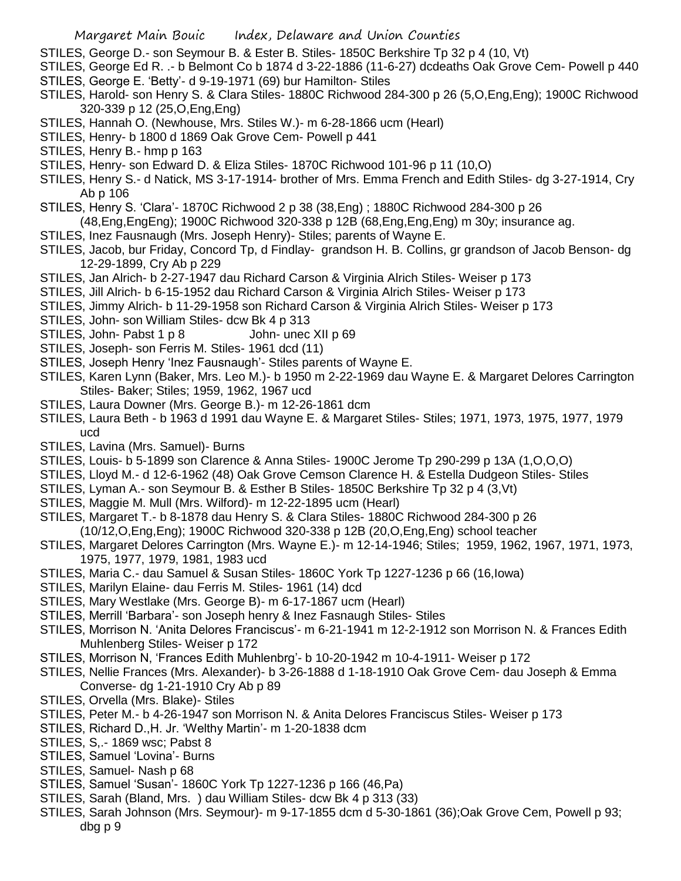- STILES, George D.- son Seymour B. & Ester B. Stiles- 1850C Berkshire Tp 32 p 4 (10, Vt)
- STILES, George Ed R. .- b Belmont Co b 1874 d 3-22-1886 (11-6-27) dcdeaths Oak Grove Cem- Powell p 440 STILES, George E. 'Betty'- d 9-19-1971 (69) bur Hamilton- Stiles
- STILES, Harold- son Henry S. & Clara Stiles- 1880C Richwood 284-300 p 26 (5,O,Eng,Eng); 1900C Richwood 320-339 p 12 (25,O,Eng,Eng)
- STILES, Hannah O. (Newhouse, Mrs. Stiles W.)- m 6-28-1866 ucm (Hearl)
- STILES, Henry- b 1800 d 1869 Oak Grove Cem- Powell p 441
- STILES, Henry B.- hmp p 163
- STILES, Henry- son Edward D. & Eliza Stiles- 1870C Richwood 101-96 p 11 (10,O)
- STILES, Henry S.- d Natick, MS 3-17-1914- brother of Mrs. Emma French and Edith Stiles- dg 3-27-1914, Cry Ab p 106
- STILES, Henry S. 'Clara'- 1870C Richwood 2 p 38 (38,Eng) ; 1880C Richwood 284-300 p 26
- (48,Eng,EngEng); 1900C Richwood 320-338 p 12B (68,Eng,Eng,Eng) m 30y; insurance ag.
- STILES, Inez Fausnaugh (Mrs. Joseph Henry)- Stiles; parents of Wayne E.
- STILES, Jacob, bur Friday, Concord Tp, d Findlay- grandson H. B. Collins, gr grandson of Jacob Benson- dg 12-29-1899, Cry Ab p 229
- STILES, Jan Alrich- b 2-27-1947 dau Richard Carson & Virginia Alrich Stiles- Weiser p 173
- STILES, Jill Alrich- b 6-15-1952 dau Richard Carson & Virginia Alrich Stiles- Weiser p 173
- STILES, Jimmy Alrich- b 11-29-1958 son Richard Carson & Virginia Alrich Stiles- Weiser p 173
- STILES, John- son William Stiles- dcw Bk 4 p 313
- STILES, John- Pabst 1 p 8 John- unec XII p 69
- STILES, Joseph- son Ferris M. Stiles- 1961 dcd (11)
- STILES, Joseph Henry 'Inez Fausnaugh'- Stiles parents of Wayne E.
- STILES, Karen Lynn (Baker, Mrs. Leo M.)- b 1950 m 2-22-1969 dau Wayne E. & Margaret Delores Carrington Stiles- Baker; Stiles; 1959, 1962, 1967 ucd
- STILES, Laura Downer (Mrs. George B.)- m 12-26-1861 dcm
- STILES, Laura Beth b 1963 d 1991 dau Wayne E. & Margaret Stiles- Stiles; 1971, 1973, 1975, 1977, 1979 ucd
- STILES, Lavina (Mrs. Samuel)- Burns
- STILES, Louis- b 5-1899 son Clarence & Anna Stiles- 1900C Jerome Tp 290-299 p 13A (1,O,O,O)
- STILES, Lloyd M.- d 12-6-1962 (48) Oak Grove Cemson Clarence H. & Estella Dudgeon Stiles- Stiles
- STILES, Lyman A.- son Seymour B. & Esther B Stiles- 1850C Berkshire Tp 32 p 4 (3,Vt)
- STILES, Maggie M. Mull (Mrs. Wilford)- m 12-22-1895 ucm (Hearl)
- STILES, Margaret T.- b 8-1878 dau Henry S. & Clara Stiles- 1880C Richwood 284-300 p 26 (10/12,O,Eng,Eng); 1900C Richwood 320-338 p 12B (20,O,Eng,Eng) school teacher
- STILES, Margaret Delores Carrington (Mrs. Wayne E.)- m 12-14-1946; Stiles; 1959, 1962, 1967, 1971, 1973, 1975, 1977, 1979, 1981, 1983 ucd
- STILES, Maria C.- dau Samuel & Susan Stiles- 1860C York Tp 1227-1236 p 66 (16,Iowa)
- STILES, Marilyn Elaine- dau Ferris M. Stiles- 1961 (14) dcd
- STILES, Mary Westlake (Mrs. George B)- m 6-17-1867 ucm (Hearl)
- STILES, Merrill 'Barbara'- son Joseph henry & Inez Fasnaugh Stiles- Stiles
- STILES, Morrison N. 'Anita Delores Franciscus'- m 6-21-1941 m 12-2-1912 son Morrison N. & Frances Edith Muhlenberg Stiles- Weiser p 172
- STILES, Morrison N, 'Frances Edith Muhlenbrg'- b 10-20-1942 m 10-4-1911- Weiser p 172
- STILES, Nellie Frances (Mrs. Alexander)- b 3-26-1888 d 1-18-1910 Oak Grove Cem- dau Joseph & Emma Converse- dg 1-21-1910 Cry Ab p 89
- STILES, Orvella (Mrs. Blake)- Stiles
- STILES, Peter M.- b 4-26-1947 son Morrison N. & Anita Delores Franciscus Stiles- Weiser p 173
- STILES, Richard D.,H. Jr. 'Welthy Martin'- m 1-20-1838 dcm
- STILES, S,.- 1869 wsc; Pabst 8
- STILES, Samuel 'Lovina'- Burns
- STILES, Samuel- Nash p 68
- STILES, Samuel 'Susan'- 1860C York Tp 1227-1236 p 166 (46,Pa)
- STILES, Sarah (Bland, Mrs. ) dau William Stiles- dcw Bk 4 p 313 (33)
- STILES, Sarah Johnson (Mrs. Seymour)- m 9-17-1855 dcm d 5-30-1861 (36);Oak Grove Cem, Powell p 93; dbg p 9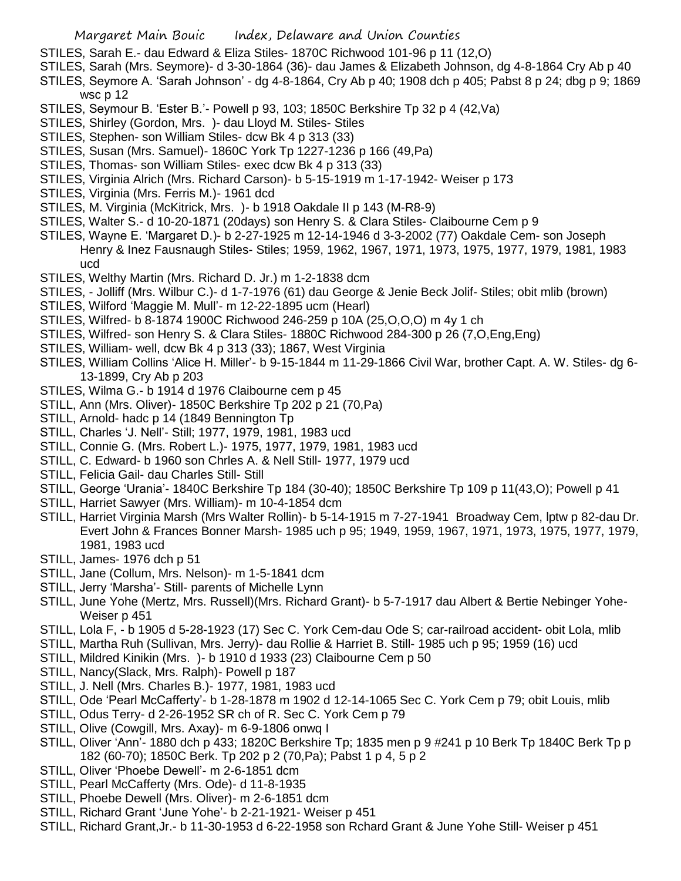- STILES, Sarah E.- dau Edward & Eliza Stiles- 1870C Richwood 101-96 p 11 (12,O)
- STILES, Sarah (Mrs. Seymore)- d 3-30-1864 (36)- dau James & Elizabeth Johnson, dg 4-8-1864 Cry Ab p 40
- STILES, Seymore A. 'Sarah Johnson' dg 4-8-1864, Cry Ab p 40; 1908 dch p 405; Pabst 8 p 24; dbg p 9; 1869 wsc p 12
- STILES, Seymour B. 'Ester B.'- Powell p 93, 103; 1850C Berkshire Tp 32 p 4 (42,Va)
- STILES, Shirley (Gordon, Mrs. )- dau Lloyd M. Stiles- Stiles
- STILES, Stephen- son William Stiles- dcw Bk 4 p 313 (33)
- STILES, Susan (Mrs. Samuel)- 1860C York Tp 1227-1236 p 166 (49,Pa)
- STILES, Thomas- son William Stiles- exec dcw Bk 4 p 313 (33)
- STILES, Virginia Alrich (Mrs. Richard Carson)- b 5-15-1919 m 1-17-1942- Weiser p 173
- STILES, Virginia (Mrs. Ferris M.)- 1961 dcd
- STILES, M. Virginia (McKitrick, Mrs. )- b 1918 Oakdale II p 143 (M-R8-9)
- STILES, Walter S.- d 10-20-1871 (20days) son Henry S. & Clara Stiles- Claibourne Cem p 9
- STILES, Wayne E. 'Margaret D.)- b 2-27-1925 m 12-14-1946 d 3-3-2002 (77) Oakdale Cem- son Joseph Henry & Inez Fausnaugh Stiles- Stiles; 1959, 1962, 1967, 1971, 1973, 1975, 1977, 1979, 1981, 1983 ucd
- STILES, Welthy Martin (Mrs. Richard D. Jr.) m 1-2-1838 dcm
- STILES, Jolliff (Mrs. Wilbur C.)- d 1-7-1976 (61) dau George & Jenie Beck Jolif- Stiles; obit mlib (brown)
- STILES, Wilford 'Maggie M. Mull'- m 12-22-1895 ucm (Hearl)
- STILES, Wilfred- b 8-1874 1900C Richwood 246-259 p 10A (25,O,O,O) m 4y 1 ch
- STILES, Wilfred- son Henry S. & Clara Stiles- 1880C Richwood 284-300 p 26 (7,O,Eng,Eng)
- STILES, William- well, dcw Bk 4 p 313 (33); 1867, West Virginia
- STILES, William Collins 'Alice H. Miller'- b 9-15-1844 m 11-29-1866 Civil War, brother Capt. A. W. Stiles- dg 6- 13-1899, Cry Ab p 203
- STILES, Wilma G.- b 1914 d 1976 Claibourne cem p 45
- STILL, Ann (Mrs. Oliver)- 1850C Berkshire Tp 202 p 21 (70,Pa)
- STILL, Arnold- hadc p 14 (1849 Bennington Tp
- STILL, Charles 'J. Nell'- Still; 1977, 1979, 1981, 1983 ucd
- STILL, Connie G. (Mrs. Robert L.)- 1975, 1977, 1979, 1981, 1983 ucd
- STILL, C. Edward- b 1960 son Chrles A. & Nell Still- 1977, 1979 ucd
- STILL, Felicia Gail- dau Charles Still- Still
- STILL, George 'Urania'- 1840C Berkshire Tp 184 (30-40); 1850C Berkshire Tp 109 p 11(43,O); Powell p 41
- STILL, Harriet Sawyer (Mrs. William)- m 10-4-1854 dcm
- STILL, Harriet Virginia Marsh (Mrs Walter Rollin)- b 5-14-1915 m 7-27-1941 Broadway Cem, lptw p 82-dau Dr. Evert John & Frances Bonner Marsh- 1985 uch p 95; 1949, 1959, 1967, 1971, 1973, 1975, 1977, 1979, 1981, 1983 ucd
- STILL, James- 1976 dch p 51
- STILL, Jane (Collum, Mrs. Nelson)- m 1-5-1841 dcm
- STILL, Jerry 'Marsha'- Still- parents of Michelle Lynn
- STILL, June Yohe (Mertz, Mrs. Russell)(Mrs. Richard Grant)- b 5-7-1917 dau Albert & Bertie Nebinger Yohe-Weiser p 451
- STILL, Lola F, b 1905 d 5-28-1923 (17) Sec C. York Cem-dau Ode S; car-railroad accident- obit Lola, mlib
- STILL, Martha Ruh (Sullivan, Mrs. Jerry)- dau Rollie & Harriet B. Still- 1985 uch p 95; 1959 (16) ucd
- STILL, Mildred Kinikin (Mrs. )- b 1910 d 1933 (23) Claibourne Cem p 50
- STILL, Nancy(Slack, Mrs. Ralph)- Powell p 187
- STILL, J. Nell (Mrs. Charles B.)- 1977, 1981, 1983 ucd
- STILL, Ode 'Pearl McCafferty'- b 1-28-1878 m 1902 d 12-14-1065 Sec C. York Cem p 79; obit Louis, mlib
- STILL, Odus Terry- d 2-26-1952 SR ch of R. Sec C. York Cem p 79
- STILL, Olive (Cowgill, Mrs. Axay)- m 6-9-1806 onwq I
- STILL, Oliver 'Ann'- 1880 dch p 433; 1820C Berkshire Tp; 1835 men p 9 #241 p 10 Berk Tp 1840C Berk Tp p 182 (60-70); 1850C Berk. Tp 202 p 2 (70,Pa); Pabst 1 p 4, 5 p 2
- STILL, Oliver 'Phoebe Dewell'- m 2-6-1851 dcm
- STILL, Pearl McCafferty (Mrs. Ode)- d 11-8-1935
- STILL, Phoebe Dewell (Mrs. Oliver)- m 2-6-1851 dcm
- STILL, Richard Grant 'June Yohe'- b 2-21-1921- Weiser p 451
- STILL, Richard Grant,Jr.- b 11-30-1953 d 6-22-1958 son Rchard Grant & June Yohe Still- Weiser p 451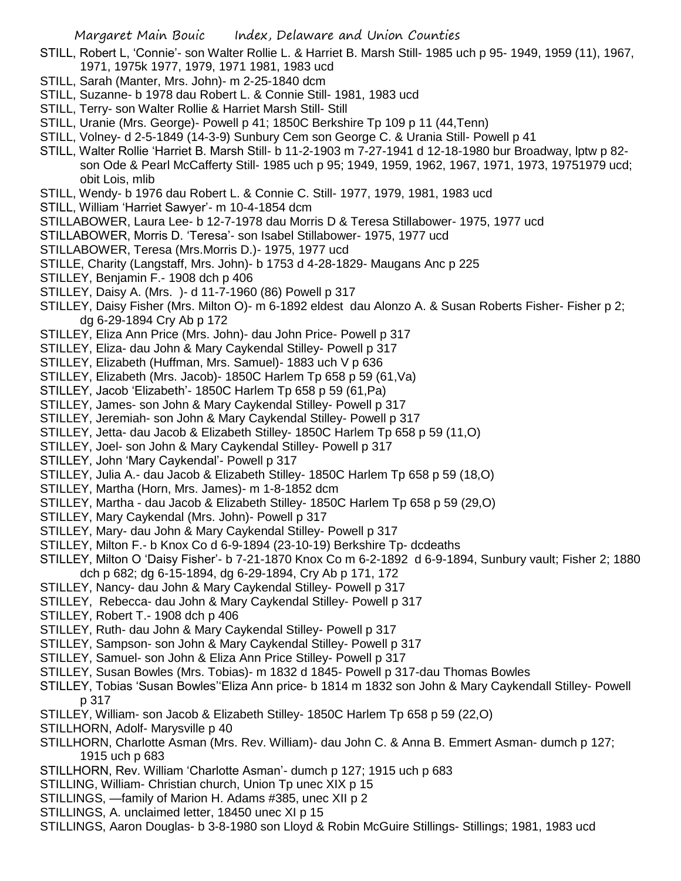- STILL, Robert L, 'Connie'- son Walter Rollie L. & Harriet B. Marsh Still- 1985 uch p 95- 1949, 1959 (11), 1967, 1971, 1975k 1977, 1979, 1971 1981, 1983 ucd
- STILL, Sarah (Manter, Mrs. John)- m 2-25-1840 dcm
- STILL, Suzanne- b 1978 dau Robert L. & Connie Still- 1981, 1983 ucd
- STILL, Terry- son Walter Rollie & Harriet Marsh Still- Still
- STILL, Uranie (Mrs. George)- Powell p 41; 1850C Berkshire Tp 109 p 11 (44,Tenn)
- STILL, Volney- d 2-5-1849 (14-3-9) Sunbury Cem son George C. & Urania Still- Powell p 41
- STILL, Walter Rollie 'Harriet B. Marsh Still- b 11-2-1903 m 7-27-1941 d 12-18-1980 bur Broadway, lptw p 82 son Ode & Pearl McCafferty Still- 1985 uch p 95; 1949, 1959, 1962, 1967, 1971, 1973, 19751979 ucd; obit Lois, mlib
- STILL, Wendy- b 1976 dau Robert L. & Connie C. Still- 1977, 1979, 1981, 1983 ucd
- STILL, William 'Harriet Sawyer'- m 10-4-1854 dcm
- STILLABOWER, Laura Lee- b 12-7-1978 dau Morris D & Teresa Stillabower- 1975, 1977 ucd
- STILLABOWER, Morris D. 'Teresa'- son Isabel Stillabower- 1975, 1977 ucd
- STILLABOWER, Teresa (Mrs.Morris D.)- 1975, 1977 ucd
- STILLE, Charity (Langstaff, Mrs. John)- b 1753 d 4-28-1829- Maugans Anc p 225
- STILLEY, Benjamin F.- 1908 dch p 406
- STILLEY, Daisy A. (Mrs. )- d 11-7-1960 (86) Powell p 317
- STILLEY, Daisy Fisher (Mrs. Milton O)- m 6-1892 eldest dau Alonzo A. & Susan Roberts Fisher- Fisher p 2; dg 6-29-1894 Cry Ab p 172
- STILLEY, Eliza Ann Price (Mrs. John)- dau John Price- Powell p 317
- STILLEY, Eliza- dau John & Mary Caykendal Stilley- Powell p 317
- STILLEY, Elizabeth (Huffman, Mrs. Samuel)- 1883 uch V p 636
- STILLEY, Elizabeth (Mrs. Jacob)- 1850C Harlem Tp 658 p 59 (61,Va)
- STILLEY, Jacob 'Elizabeth'- 1850C Harlem Tp 658 p 59 (61,Pa)
- STILLEY, James- son John & Mary Caykendal Stilley- Powell p 317
- STILLEY, Jeremiah- son John & Mary Caykendal Stilley- Powell p 317
- STILLEY, Jetta- dau Jacob & Elizabeth Stilley- 1850C Harlem Tp 658 p 59 (11,O)
- STILLEY, Joel- son John & Mary Caykendal Stilley- Powell p 317
- STILLEY, John 'Mary Caykendal'- Powell p 317
- STILLEY, Julia A.- dau Jacob & Elizabeth Stilley- 1850C Harlem Tp 658 p 59 (18,O)
- STILLEY, Martha (Horn, Mrs. James)- m 1-8-1852 dcm
- STILLEY, Martha dau Jacob & Elizabeth Stilley- 1850C Harlem Tp 658 p 59 (29,O)
- STILLEY, Mary Caykendal (Mrs. John)- Powell p 317
- STILLEY, Mary- dau John & Mary Caykendal Stilley- Powell p 317
- STILLEY, Milton F.- b Knox Co d 6-9-1894 (23-10-19) Berkshire Tp- dcdeaths
- STILLEY, Milton O 'Daisy Fisher'- b 7-21-1870 Knox Co m 6-2-1892 d 6-9-1894, Sunbury vault; Fisher 2; 1880 dch p 682; dg 6-15-1894, dg 6-29-1894, Cry Ab p 171, 172
- STILLEY, Nancy- dau John & Mary Caykendal Stilley- Powell p 317
- STILLEY, Rebecca- dau John & Mary Caykendal Stilley- Powell p 317
- STILLEY, Robert T.- 1908 dch p 406
- STILLEY, Ruth- dau John & Mary Caykendal Stilley- Powell p 317
- STILLEY, Sampson- son John & Mary Caykendal Stilley- Powell p 317
- STILLEY, Samuel- son John & Eliza Ann Price Stilley- Powell p 317
- STILLEY, Susan Bowles (Mrs. Tobias)- m 1832 d 1845- Powell p 317-dau Thomas Bowles
- STILLEY, Tobias 'Susan Bowles''Eliza Ann price- b 1814 m 1832 son John & Mary Caykendall Stilley- Powell p 317
- STILLEY, William- son Jacob & Elizabeth Stilley- 1850C Harlem Tp 658 p 59 (22,O)
- STILLHORN, Adolf- Marysville p 40
- STILLHORN, Charlotte Asman (Mrs. Rev. William)- dau John C. & Anna B. Emmert Asman- dumch p 127; 1915 uch p 683
- STILLHORN, Rev. William 'Charlotte Asman'- dumch p 127; 1915 uch p 683
- STILLING, William- Christian church, Union Tp unec XIX p 15
- STILLINGS, —family of Marion H. Adams #385, unec XII p 2
- STILLINGS, A. unclaimed letter, 18450 unec XI p 15
- STILLINGS, Aaron Douglas- b 3-8-1980 son Lloyd & Robin McGuire Stillings- Stillings; 1981, 1983 ucd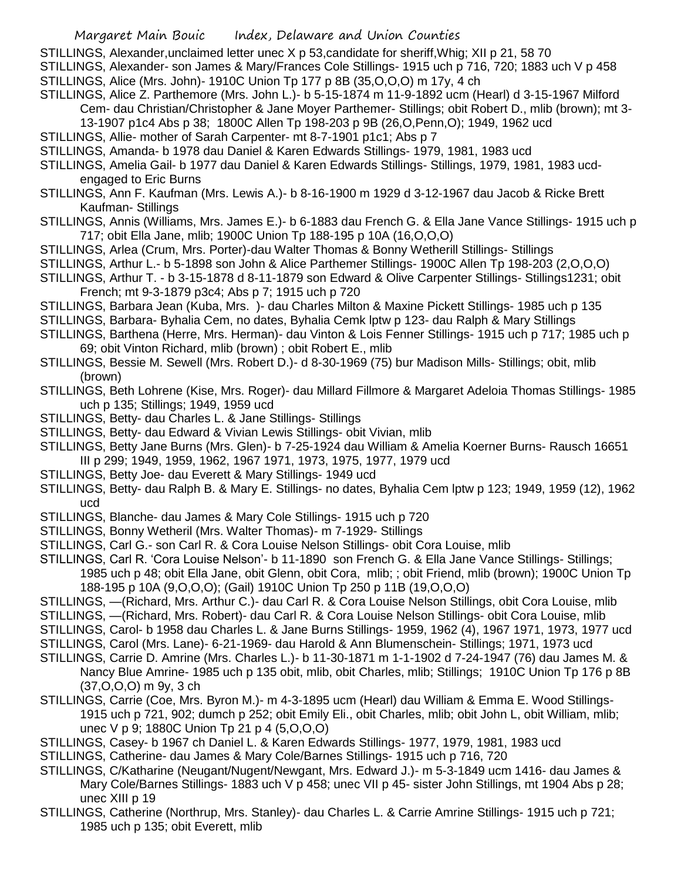STILLINGS, Alexander,unclaimed letter unec X p 53,candidate for sheriff,Whig; XII p 21, 58 70 STILLINGS, Alexander- son James & Mary/Frances Cole Stillings- 1915 uch p 716, 720; 1883 uch V p 458 STILLINGS, Alice (Mrs. John)- 1910C Union Tp 177 p 8B (35,O,O,O) m 17y, 4 ch

STILLINGS, Alice Z. Parthemore (Mrs. John L.)- b 5-15-1874 m 11-9-1892 ucm (Hearl) d 3-15-1967 Milford Cem- dau Christian/Christopher & Jane Moyer Parthemer- Stillings; obit Robert D., mlib (brown); mt 3-

13-1907 p1c4 Abs p 38; 1800C Allen Tp 198-203 p 9B (26,O,Penn,O); 1949, 1962 ucd

STILLINGS, Allie- mother of Sarah Carpenter- mt 8-7-1901 p1c1; Abs p 7

STILLINGS, Amanda- b 1978 dau Daniel & Karen Edwards Stillings- 1979, 1981, 1983 ucd

- STILLINGS, Amelia Gail- b 1977 dau Daniel & Karen Edwards Stillings- Stillings, 1979, 1981, 1983 ucdengaged to Eric Burns
- STILLINGS, Ann F. Kaufman (Mrs. Lewis A.)- b 8-16-1900 m 1929 d 3-12-1967 dau Jacob & Ricke Brett Kaufman- Stillings
- STILLINGS, Annis (Williams, Mrs. James E.)- b 6-1883 dau French G. & Ella Jane Vance Stillings- 1915 uch p 717; obit Ella Jane, mlib; 1900C Union Tp 188-195 p 10A (16,O,O,O)
- STILLINGS, Arlea (Crum, Mrs. Porter)-dau Walter Thomas & Bonny Wetherill Stillings- Stillings
- STILLINGS, Arthur L.- b 5-1898 son John & Alice Parthemer Stillings- 1900C Allen Tp 198-203 (2,O,O,O)
- STILLINGS, Arthur T. b 3-15-1878 d 8-11-1879 son Edward & Olive Carpenter Stillings- Stillings1231; obit French; mt 9-3-1879 p3c4; Abs p 7; 1915 uch p 720
- STILLINGS, Barbara Jean (Kuba, Mrs. )- dau Charles Milton & Maxine Pickett Stillings- 1985 uch p 135
- STILLINGS, Barbara- Byhalia Cem, no dates, Byhalia Cemk lptw p 123- dau Ralph & Mary Stillings
- STILLINGS, Barthena (Herre, Mrs. Herman)- dau Vinton & Lois Fenner Stillings- 1915 uch p 717; 1985 uch p 69; obit Vinton Richard, mlib (brown) ; obit Robert E., mlib
- STILLINGS, Bessie M. Sewell (Mrs. Robert D.)- d 8-30-1969 (75) bur Madison Mills- Stillings; obit, mlib (brown)
- STILLINGS, Beth Lohrene (Kise, Mrs. Roger)- dau Millard Fillmore & Margaret Adeloia Thomas Stillings- 1985 uch p 135; Stillings; 1949, 1959 ucd
- STILLINGS, Betty- dau Charles L. & Jane Stillings- Stillings
- STILLINGS, Betty- dau Edward & Vivian Lewis Stillings- obit Vivian, mlib
- STILLINGS, Betty Jane Burns (Mrs. Glen)- b 7-25-1924 dau William & Amelia Koerner Burns- Rausch 16651 III p 299; 1949, 1959, 1962, 1967 1971, 1973, 1975, 1977, 1979 ucd
- STILLINGS, Betty Joe- dau Everett & Mary Stillings- 1949 ucd
- STILLINGS, Betty- dau Ralph B. & Mary E. Stillings- no dates, Byhalia Cem lptw p 123; 1949, 1959 (12), 1962 ucd
- STILLINGS, Blanche- dau James & Mary Cole Stillings- 1915 uch p 720
- STILLINGS, Bonny Wetheril (Mrs. Walter Thomas)- m 7-1929- Stillings
- STILLINGS, Carl G.- son Carl R. & Cora Louise Nelson Stillings- obit Cora Louise, mlib
- STILLINGS, Carl R. 'Cora Louise Nelson'- b 11-1890 son French G. & Ella Jane Vance Stillings- Stillings; 1985 uch p 48; obit Ella Jane, obit Glenn, obit Cora, mlib; ; obit Friend, mlib (brown); 1900C Union Tp 188-195 p 10A (9,O,O,O); (Gail) 1910C Union Tp 250 p 11B (19,O,O,O)
- STILLINGS, —(Richard, Mrs. Arthur C.)- dau Carl R. & Cora Louise Nelson Stillings, obit Cora Louise, mlib
- STILLINGS, —(Richard, Mrs. Robert)- dau Carl R. & Cora Louise Nelson Stillings- obit Cora Louise, mlib
- STILLINGS, Carol- b 1958 dau Charles L. & Jane Burns Stillings- 1959, 1962 (4), 1967 1971, 1973, 1977 ucd
- STILLINGS, Carol (Mrs. Lane)- 6-21-1969- dau Harold & Ann Blumenschein- Stillings; 1971, 1973 ucd
- STILLINGS, Carrie D. Amrine (Mrs. Charles L.)- b 11-30-1871 m 1-1-1902 d 7-24-1947 (76) dau James M. & Nancy Blue Amrine- 1985 uch p 135 obit, mlib, obit Charles, mlib; Stillings; 1910C Union Tp 176 p 8B (37,O,O,O) m 9y, 3 ch
- STILLINGS, Carrie (Coe, Mrs. Byron M.)- m 4-3-1895 ucm (Hearl) dau William & Emma E. Wood Stillings-1915 uch p 721, 902; dumch p 252; obit Emily Eli., obit Charles, mlib; obit John L, obit William, mlib; unec V p 9; 1880C Union Tp 21 p 4 (5, O, O, O)
- STILLINGS, Casey- b 1967 ch Daniel L. & Karen Edwards Stillings- 1977, 1979, 1981, 1983 ucd
- STILLINGS, Catherine- dau James & Mary Cole/Barnes Stillings- 1915 uch p 716, 720
- STILLINGS, C/Katharine (Neugant/Nugent/Newgant, Mrs. Edward J.)- m 5-3-1849 ucm 1416- dau James & Mary Cole/Barnes Stillings- 1883 uch V p 458; unec VII p 45- sister John Stillings, mt 1904 Abs p 28; unec XIII p 19
- STILLINGS, Catherine (Northrup, Mrs. Stanley)- dau Charles L. & Carrie Amrine Stillings- 1915 uch p 721; 1985 uch p 135; obit Everett, mlib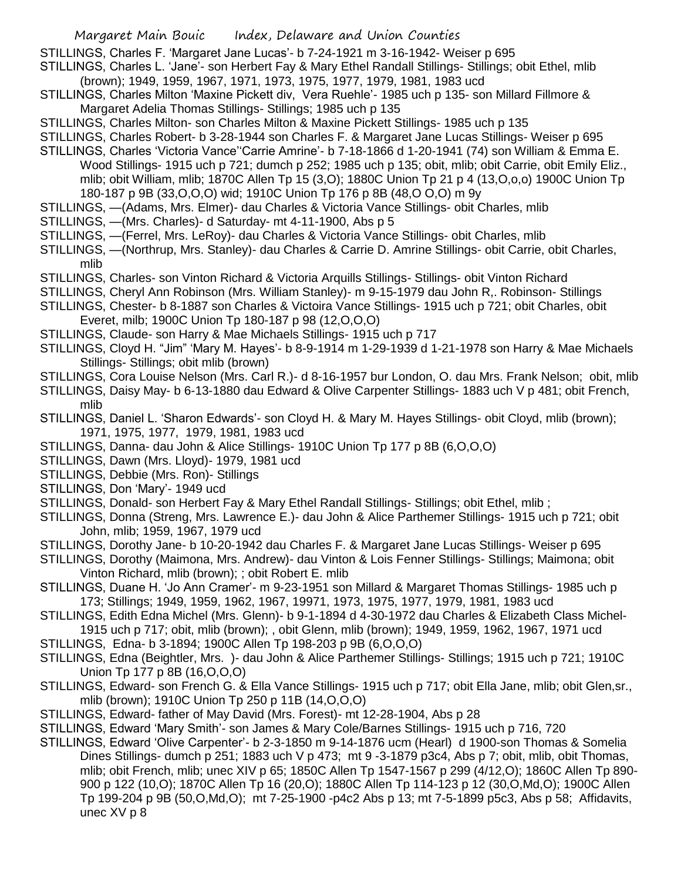STILLINGS, Charles F. 'Margaret Jane Lucas'- b 7-24-1921 m 3-16-1942- Weiser p 695

STILLINGS, Charles L. 'Jane'- son Herbert Fay & Mary Ethel Randall Stillings- Stillings; obit Ethel, mlib (brown); 1949, 1959, 1967, 1971, 1973, 1975, 1977, 1979, 1981, 1983 ucd

- STILLINGS, Charles Milton 'Maxine Pickett div, Vera Ruehle'- 1985 uch p 135- son Millard Fillmore & Margaret Adelia Thomas Stillings- Stillings; 1985 uch p 135
- STILLINGS, Charles Milton- son Charles Milton & Maxine Pickett Stillings- 1985 uch p 135
- STILLINGS, Charles Robert- b 3-28-1944 son Charles F. & Margaret Jane Lucas Stillings- Weiser p 695
- STILLINGS, Charles 'Victoria Vance''Carrie Amrine'- b 7-18-1866 d 1-20-1941 (74) son William & Emma E. Wood Stillings- 1915 uch p 721; dumch p 252; 1985 uch p 135; obit, mlib; obit Carrie, obit Emily Eliz., mlib; obit William, mlib; 1870C Allen Tp 15 (3,O); 1880C Union Tp 21 p 4 (13,O,o,o) 1900C Union Tp 180-187 p 9B (33,O,O,O) wid; 1910C Union Tp 176 p 8B (48,O O,O) m 9y
- STILLINGS, —(Adams, Mrs. Elmer)- dau Charles & Victoria Vance Stillings- obit Charles, mlib
- STILLINGS, —(Mrs. Charles)- d Saturday- mt 4-11-1900, Abs p 5
- STILLINGS, —(Ferrel, Mrs. LeRoy)- dau Charles & Victoria Vance Stillings- obit Charles, mlib
- STILLINGS, —(Northrup, Mrs. Stanley)- dau Charles & Carrie D. Amrine Stillings- obit Carrie, obit Charles, mlib
- STILLINGS, Charles- son Vinton Richard & Victoria Arquills Stillings- Stillings- obit Vinton Richard
- STILLINGS, Cheryl Ann Robinson (Mrs. William Stanley)- m 9-15-1979 dau John R,. Robinson- Stillings
- STILLINGS, Chester- b 8-1887 son Charles & Victoira Vance Stillings- 1915 uch p 721; obit Charles, obit Everet, milb; 1900C Union Tp 180-187 p 98 (12,O,O,O)
- STILLINGS, Claude- son Harry & Mae Michaels Stillings- 1915 uch p 717
- STILLINGS, Cloyd H. "Jim" 'Mary M. Hayes'- b 8-9-1914 m 1-29-1939 d 1-21-1978 son Harry & Mae Michaels Stillings- Stillings; obit mlib (brown)
- STILLINGS, Cora Louise Nelson (Mrs. Carl R.)- d 8-16-1957 bur London, O. dau Mrs. Frank Nelson; obit, mlib

STILLINGS, Daisy May- b 6-13-1880 dau Edward & Olive Carpenter Stillings- 1883 uch V p 481; obit French, mlib

- STILLINGS, Daniel L. 'Sharon Edwards'- son Cloyd H. & Mary M. Hayes Stillings- obit Cloyd, mlib (brown); 1971, 1975, 1977, 1979, 1981, 1983 ucd
- STILLINGS, Danna- dau John & Alice Stillings- 1910C Union Tp 177 p 8B (6,O,O,O)
- STILLINGS, Dawn (Mrs. Lloyd)- 1979, 1981 ucd
- STILLINGS, Debbie (Mrs. Ron)- Stillings
- STILLINGS, Don 'Mary'- 1949 ucd
- STILLINGS, Donald- son Herbert Fay & Mary Ethel Randall Stillings- Stillings; obit Ethel, mlib ;
- STILLINGS, Donna (Streng, Mrs. Lawrence E.)- dau John & Alice Parthemer Stillings- 1915 uch p 721; obit John, mlib; 1959, 1967, 1979 ucd
- STILLINGS, Dorothy Jane- b 10-20-1942 dau Charles F. & Margaret Jane Lucas Stillings- Weiser p 695
- STILLINGS, Dorothy (Maimona, Mrs. Andrew)- dau Vinton & Lois Fenner Stillings- Stillings; Maimona; obit Vinton Richard, mlib (brown); ; obit Robert E. mlib
- STILLINGS, Duane H. 'Jo Ann Cramer'- m 9-23-1951 son Millard & Margaret Thomas Stillings- 1985 uch p 173; Stillings; 1949, 1959, 1962, 1967, 19971, 1973, 1975, 1977, 1979, 1981, 1983 ucd
- STILLINGS, Edith Edna Michel (Mrs. Glenn)- b 9-1-1894 d 4-30-1972 dau Charles & Elizabeth Class Michel-1915 uch p 717; obit, mlib (brown); , obit Glenn, mlib (brown); 1949, 1959, 1962, 1967, 1971 ucd
- STILLINGS, Edna- b 3-1894; 1900C Allen Tp 198-203 p 9B (6,O,O,O)
- STILLINGS, Edna (Beightler, Mrs. )- dau John & Alice Parthemer Stillings- Stillings; 1915 uch p 721; 1910C Union Tp 177 p 8B (16,O,O,O)
- STILLINGS, Edward- son French G. & Ella Vance Stillings- 1915 uch p 717; obit Ella Jane, mlib; obit Glen,sr., mlib (brown); 1910C Union Tp 250 p 11B (14,O,O,O)
- STILLINGS, Edward- father of May David (Mrs. Forest)- mt 12-28-1904, Abs p 28
- STILLINGS, Edward 'Mary Smith'- son James & Mary Cole/Barnes Stillings- 1915 uch p 716, 720
- STILLINGS, Edward 'Olive Carpenter'- b 2-3-1850 m 9-14-1876 ucm (Hearl) d 1900-son Thomas & Somelia Dines Stillings- dumch p 251; 1883 uch V p 473; mt 9 -3-1879 p3c4, Abs p 7; obit, mlib, obit Thomas, mlib; obit French, mlib; unec XIV p 65; 1850C Allen Tp 1547-1567 p 299 (4/12,O); 1860C Allen Tp 890- 900 p 122 (10,O); 1870C Allen Tp 16 (20,O); 1880C Allen Tp 114-123 p 12 (30,O,Md,O); 1900C Allen Tp 199-204 p 9B (50,O,Md,O); mt 7-25-1900 -p4c2 Abs p 13; mt 7-5-1899 p5c3, Abs p 58; Affidavits, unec XV p 8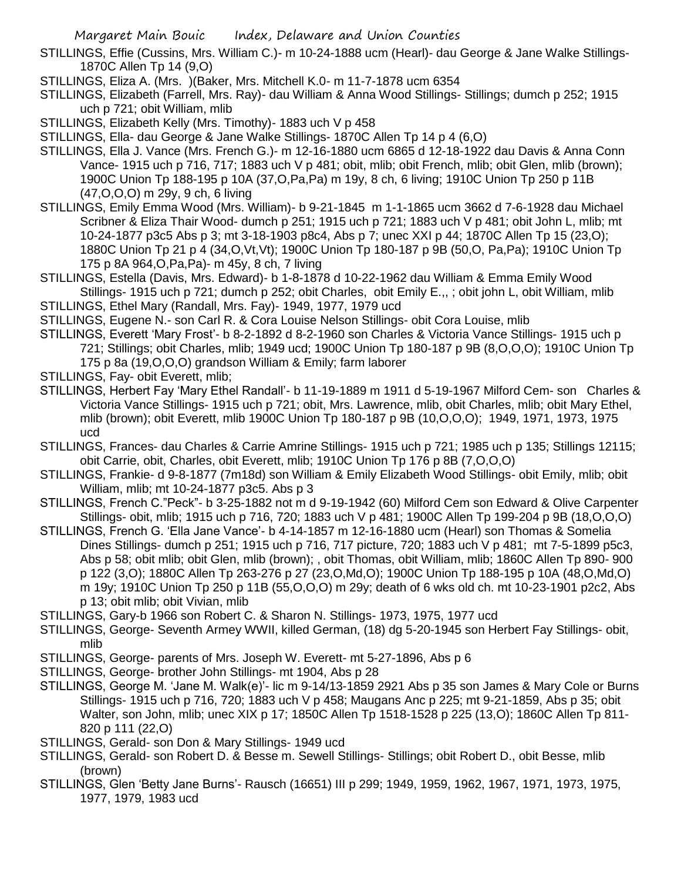- STILLINGS, Effie (Cussins, Mrs. William C.)- m 10-24-1888 ucm (Hearl)- dau George & Jane Walke Stillings-1870C Allen Tp 14 (9,O)
- STILLINGS, Eliza A. (Mrs. )(Baker, Mrs. Mitchell K.0- m 11-7-1878 ucm 6354
- STILLINGS, Elizabeth (Farrell, Mrs. Ray)- dau William & Anna Wood Stillings- Stillings; dumch p 252; 1915 uch p 721; obit William, mlib
- STILLINGS, Elizabeth Kelly (Mrs. Timothy)- 1883 uch V p 458
- STILLINGS, Ella- dau George & Jane Walke Stillings- 1870C Allen Tp 14 p 4 (6,O)
- STILLINGS, Ella J. Vance (Mrs. French G.)- m 12-16-1880 ucm 6865 d 12-18-1922 dau Davis & Anna Conn Vance- 1915 uch p 716, 717; 1883 uch V p 481; obit, mlib; obit French, mlib; obit Glen, mlib (brown); 1900C Union Tp 188-195 p 10A (37,O,Pa,Pa) m 19y, 8 ch, 6 living; 1910C Union Tp 250 p 11B (47,O,O,O) m 29y, 9 ch, 6 living
- STILLINGS, Emily Emma Wood (Mrs. William)- b 9-21-1845 m 1-1-1865 ucm 3662 d 7-6-1928 dau Michael Scribner & Eliza Thair Wood- dumch p 251; 1915 uch p 721; 1883 uch V p 481; obit John L, mlib; mt 10-24-1877 p3c5 Abs p 3; mt 3-18-1903 p8c4, Abs p 7; unec XXI p 44; 1870C Allen Tp 15 (23,O); 1880C Union Tp 21 p 4 (34,O,Vt,Vt); 1900C Union Tp 180-187 p 9B (50,O, Pa,Pa); 1910C Union Tp 175 p 8A 964,O,Pa,Pa)- m 45y, 8 ch, 7 living
- STILLINGS, Estella (Davis, Mrs. Edward)- b 1-8-1878 d 10-22-1962 dau William & Emma Emily Wood Stillings- 1915 uch p 721; dumch p 252; obit Charles, obit Emily E.,, ; obit john L, obit William, mlib
- STILLINGS, Ethel Mary (Randall, Mrs. Fay)- 1949, 1977, 1979 ucd
- STILLINGS, Eugene N.- son Carl R. & Cora Louise Nelson Stillings- obit Cora Louise, mlib
- STILLINGS, Everett 'Mary Frost'- b 8-2-1892 d 8-2-1960 son Charles & Victoria Vance Stillings- 1915 uch p 721; Stillings; obit Charles, mlib; 1949 ucd; 1900C Union Tp 180-187 p 9B (8,O,O,O); 1910C Union Tp 175 p 8a (19,O,O,O) grandson William & Emily; farm laborer
- STILLINGS, Fay- obit Everett, mlib;
- STILLINGS, Herbert Fay 'Mary Ethel Randall'- b 11-19-1889 m 1911 d 5-19-1967 Milford Cem- son Charles & Victoria Vance Stillings- 1915 uch p 721; obit, Mrs. Lawrence, mlib, obit Charles, mlib; obit Mary Ethel, mlib (brown); obit Everett, mlib 1900C Union Tp 180-187 p 9B (10,O,O,O); 1949, 1971, 1973, 1975 ucd
- STILLINGS, Frances- dau Charles & Carrie Amrine Stillings- 1915 uch p 721; 1985 uch p 135; Stillings 12115; obit Carrie, obit, Charles, obit Everett, mlib; 1910C Union Tp 176 p 8B (7,O,O,O)
- STILLINGS, Frankie- d 9-8-1877 (7m18d) son William & Emily Elizabeth Wood Stillings- obit Emily, mlib; obit William, mlib; mt 10-24-1877 p3c5. Abs p 3
- STILLINGS, French C."Peck"- b 3-25-1882 not m d 9-19-1942 (60) Milford Cem son Edward & Olive Carpenter Stillings- obit, mlib; 1915 uch p 716, 720; 1883 uch V p 481; 1900C Allen Tp 199-204 p 9B (18,O,O,O)
- STILLINGS, French G. 'Ella Jane Vance'- b 4-14-1857 m 12-16-1880 ucm (Hearl) son Thomas & Somelia Dines Stillings- dumch p 251; 1915 uch p 716, 717 picture, 720; 1883 uch V p 481; mt 7-5-1899 p5c3, Abs p 58; obit mlib; obit Glen, mlib (brown); , obit Thomas, obit William, mlib; 1860C Allen Tp 890- 900 p 122 (3,O); 1880C Allen Tp 263-276 p 27 (23,O,Md,O); 1900C Union Tp 188-195 p 10A (48,O,Md,O) m 19y; 1910C Union Tp 250 p 11B (55,O,O,O) m 29y; death of 6 wks old ch. mt 10-23-1901 p2c2, Abs p 13; obit mlib; obit Vivian, mlib
- STILLINGS, Gary-b 1966 son Robert C. & Sharon N. Stillings- 1973, 1975, 1977 ucd
- STILLINGS, George- Seventh Armey WWII, killed German, (18) dg 5-20-1945 son Herbert Fay Stillings- obit, mlib
- STILLINGS, George- parents of Mrs. Joseph W. Everett- mt 5-27-1896, Abs p 6
- STILLINGS, George- brother John Stillings- mt 1904, Abs p 28
- STILLINGS, George M. 'Jane M. Walk(e)'- lic m 9-14/13-1859 2921 Abs p 35 son James & Mary Cole or Burns Stillings- 1915 uch p 716, 720; 1883 uch V p 458; Maugans Anc p 225; mt 9-21-1859, Abs p 35; obit Walter, son John, mlib; unec XIX p 17; 1850C Allen Tp 1518-1528 p 225 (13,O); 1860C Allen Tp 811- 820 p 111 (22,O)
- STILLINGS, Gerald- son Don & Mary Stillings- 1949 ucd
- STILLINGS, Gerald- son Robert D. & Besse m. Sewell Stillings- Stillings; obit Robert D., obit Besse, mlib (brown)
- STILLINGS, Glen 'Betty Jane Burns'- Rausch (16651) III p 299; 1949, 1959, 1962, 1967, 1971, 1973, 1975, 1977, 1979, 1983 ucd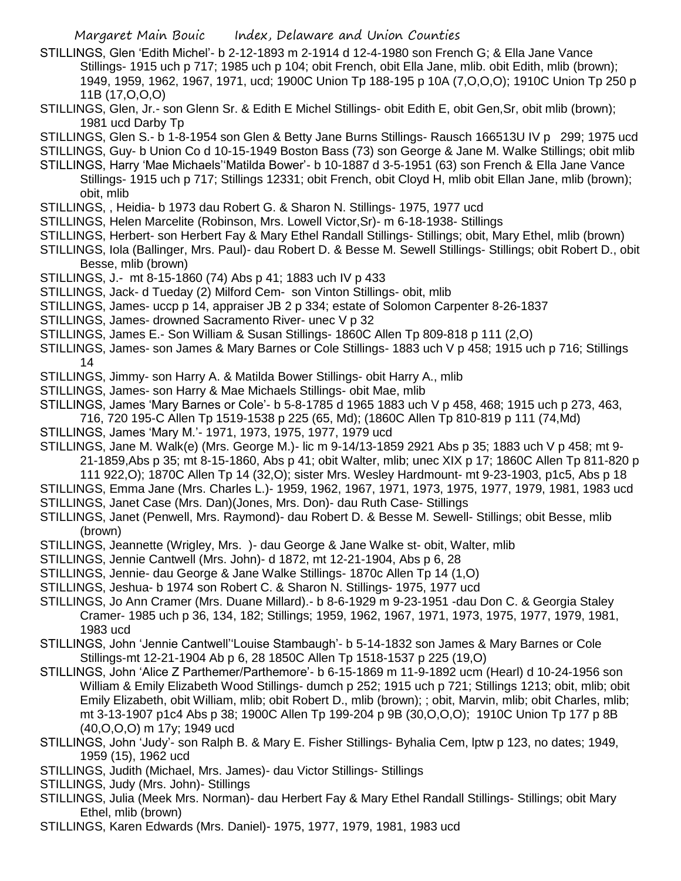- STILLINGS, Glen 'Edith Michel'- b 2-12-1893 m 2-1914 d 12-4-1980 son French G; & Ella Jane Vance Stillings- 1915 uch p 717; 1985 uch p 104; obit French, obit Ella Jane, mlib. obit Edith, mlib (brown); 1949, 1959, 1962, 1967, 1971, ucd; 1900C Union Tp 188-195 p 10A (7,O,O,O); 1910C Union Tp 250 p 11B (17,O,O,O)
- STILLINGS, Glen, Jr.- son Glenn Sr. & Edith E Michel Stillings- obit Edith E, obit Gen,Sr, obit mlib (brown); 1981 ucd Darby Tp
- STILLINGS, Glen S.- b 1-8-1954 son Glen & Betty Jane Burns Stillings- Rausch 166513U IV p 299; 1975 ucd
- STILLINGS, Guy- b Union Co d 10-15-1949 Boston Bass (73) son George & Jane M. Walke Stillings; obit mlib
- STILLINGS, Harry 'Mae Michaels''Matilda Bower'- b 10-1887 d 3-5-1951 (63) son French & Ella Jane Vance Stillings- 1915 uch p 717; Stillings 12331; obit French, obit Cloyd H, mlib obit Ellan Jane, mlib (brown); obit, mlib
- STILLINGS, , Heidia- b 1973 dau Robert G. & Sharon N. Stillings- 1975, 1977 ucd
- STILLINGS, Helen Marcelite (Robinson, Mrs. Lowell Victor,Sr)- m 6-18-1938- Stillings
- STILLINGS, Herbert- son Herbert Fay & Mary Ethel Randall Stillings- Stillings; obit, Mary Ethel, mlib (brown)
- STILLINGS, Iola (Ballinger, Mrs. Paul)- dau Robert D. & Besse M. Sewell Stillings- Stillings; obit Robert D., obit Besse, mlib (brown)
- STILLINGS, J.- mt 8-15-1860 (74) Abs p 41; 1883 uch IV p 433
- STILLINGS, Jack- d Tueday (2) Milford Cem- son Vinton Stillings- obit, mlib
- STILLINGS, James- uccp p 14, appraiser JB 2 p 334; estate of Solomon Carpenter 8-26-1837
- STILLINGS, James- drowned Sacramento River- unec V p 32
- STILLINGS, James E.- Son William & Susan Stillings- 1860C Allen Tp 809-818 p 111 (2,O)
- STILLINGS, James- son James & Mary Barnes or Cole Stillings- 1883 uch V p 458; 1915 uch p 716; Stillings 14
- STILLINGS, Jimmy- son Harry A. & Matilda Bower Stillings- obit Harry A., mlib
- STILLINGS, James- son Harry & Mae Michaels Stillings- obit Mae, mlib
- STILLINGS, James 'Mary Barnes or Cole'- b 5-8-1785 d 1965 1883 uch V p 458, 468; 1915 uch p 273, 463, 716, 720 195-C Allen Tp 1519-1538 p 225 (65, Md); (1860C Allen Tp 810-819 p 111 (74,Md)
- STILLINGS, James 'Mary M.'- 1971, 1973, 1975, 1977, 1979 ucd
- STILLINGS, Jane M. Walk(e) (Mrs. George M.)- lic m 9-14/13-1859 2921 Abs p 35; 1883 uch V p 458; mt 9- 21-1859,Abs p 35; mt 8-15-1860, Abs p 41; obit Walter, mlib; unec XIX p 17; 1860C Allen Tp 811-820 p 111 922,O); 1870C Allen Tp 14 (32,O); sister Mrs. Wesley Hardmount- mt 9-23-1903, p1c5, Abs p 18
- STILLINGS, Emma Jane (Mrs. Charles L.)- 1959, 1962, 1967, 1971, 1973, 1975, 1977, 1979, 1981, 1983 ucd STILLINGS, Janet Case (Mrs. Dan)(Jones, Mrs. Don)- dau Ruth Case- Stillings
- STILLINGS, Janet (Penwell, Mrs. Raymond)- dau Robert D. & Besse M. Sewell- Stillings; obit Besse, mlib
	- (brown)
- STILLINGS, Jeannette (Wrigley, Mrs. )- dau George & Jane Walke st- obit, Walter, mlib
- STILLINGS, Jennie Cantwell (Mrs. John)- d 1872, mt 12-21-1904, Abs p 6, 28
- STILLINGS, Jennie- dau George & Jane Walke Stillings- 1870c Allen Tp 14 (1,O)
- STILLINGS, Jeshua- b 1974 son Robert C. & Sharon N. Stillings- 1975, 1977 ucd
- STILLINGS, Jo Ann Cramer (Mrs. Duane Millard).- b 8-6-1929 m 9-23-1951 -dau Don C. & Georgia Staley Cramer- 1985 uch p 36, 134, 182; Stillings; 1959, 1962, 1967, 1971, 1973, 1975, 1977, 1979, 1981, 1983 ucd
- STILLINGS, John 'Jennie Cantwell''Louise Stambaugh'- b 5-14-1832 son James & Mary Barnes or Cole Stillings-mt 12-21-1904 Ab p 6, 28 1850C Allen Tp 1518-1537 p 225 (19,O)
- STILLINGS, John 'Alice Z Parthemer/Parthemore'- b 6-15-1869 m 11-9-1892 ucm (Hearl) d 10-24-1956 son William & Emily Elizabeth Wood Stillings- dumch p 252; 1915 uch p 721; Stillings 1213; obit, mlib; obit Emily Elizabeth, obit William, mlib; obit Robert D., mlib (brown); ; obit, Marvin, mlib; obit Charles, mlib; mt 3-13-1907 p1c4 Abs p 38; 1900C Allen Tp 199-204 p 9B (30,O,O,O); 1910C Union Tp 177 p 8B (40,O,O,O) m 17y; 1949 ucd
- STILLINGS, John 'Judy'- son Ralph B. & Mary E. Fisher Stillings- Byhalia Cem, lptw p 123, no dates; 1949, 1959 (15), 1962 ucd
- STILLINGS, Judith (Michael, Mrs. James)- dau Victor Stillings- Stillings
- STILLINGS, Judy (Mrs. John)- Stillings
- STILLINGS, Julia (Meek Mrs. Norman)- dau Herbert Fay & Mary Ethel Randall Stillings- Stillings; obit Mary Ethel, mlib (brown)
- STILLINGS, Karen Edwards (Mrs. Daniel)- 1975, 1977, 1979, 1981, 1983 ucd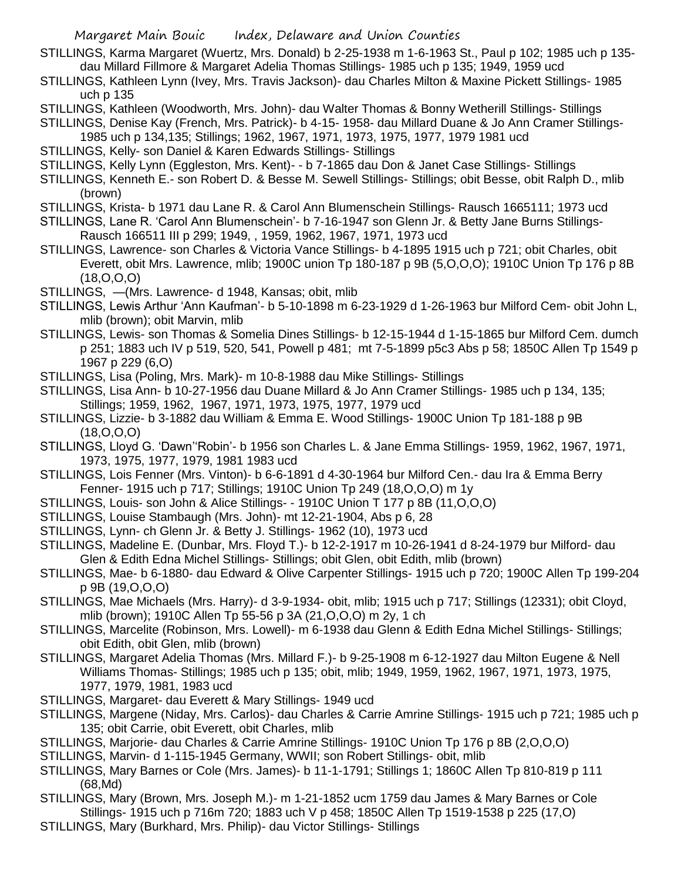- STILLINGS, Karma Margaret (Wuertz, Mrs. Donald) b 2-25-1938 m 1-6-1963 St., Paul p 102; 1985 uch p 135 dau Millard Fillmore & Margaret Adelia Thomas Stillings- 1985 uch p 135; 1949, 1959 ucd
- STILLINGS, Kathleen Lynn (Ivey, Mrs. Travis Jackson)- dau Charles Milton & Maxine Pickett Stillings- 1985 uch p 135
- STILLINGS, Kathleen (Woodworth, Mrs. John)- dau Walter Thomas & Bonny Wetherill Stillings- Stillings
- STILLINGS, Denise Kay (French, Mrs. Patrick)- b 4-15- 1958- dau Millard Duane & Jo Ann Cramer Stillings-
- 1985 uch p 134,135; Stillings; 1962, 1967, 1971, 1973, 1975, 1977, 1979 1981 ucd
- STILLINGS, Kelly- son Daniel & Karen Edwards Stillings- Stillings
- STILLINGS, Kelly Lynn (Eggleston, Mrs. Kent)- b 7-1865 dau Don & Janet Case Stillings- Stillings
- STILLINGS, Kenneth E.- son Robert D. & Besse M. Sewell Stillings- Stillings; obit Besse, obit Ralph D., mlib (brown)
- STILLINGS, Krista- b 1971 dau Lane R. & Carol Ann Blumenschein Stillings- Rausch 1665111; 1973 ucd
- STILLINGS, Lane R. 'Carol Ann Blumenschein'- b 7-16-1947 son Glenn Jr. & Betty Jane Burns Stillings-Rausch 166511 III p 299; 1949, , 1959, 1962, 1967, 1971, 1973 ucd
- STILLINGS, Lawrence- son Charles & Victoria Vance Stillings- b 4-1895 1915 uch p 721; obit Charles, obit Everett, obit Mrs. Lawrence, mlib; 1900C union Tp 180-187 p 9B (5,O,O,O); 1910C Union Tp 176 p 8B (18,O,O,O)
- STILLINGS, —(Mrs. Lawrence- d 1948, Kansas; obit, mlib
- STILLINGS, Lewis Arthur 'Ann Kaufman'- b 5-10-1898 m 6-23-1929 d 1-26-1963 bur Milford Cem- obit John L, mlib (brown); obit Marvin, mlib
- STILLINGS, Lewis- son Thomas & Somelia Dines Stillings- b 12-15-1944 d 1-15-1865 bur Milford Cem. dumch p 251; 1883 uch IV p 519, 520, 541, Powell p 481; mt 7-5-1899 p5c3 Abs p 58; 1850C Allen Tp 1549 p 1967 p 229 (6,O)
- STILLINGS, Lisa (Poling, Mrs. Mark)- m 10-8-1988 dau Mike Stillings- Stillings
- STILLINGS, Lisa Ann- b 10-27-1956 dau Duane Millard & Jo Ann Cramer Stillings- 1985 uch p 134, 135; Stillings; 1959, 1962, 1967, 1971, 1973, 1975, 1977, 1979 ucd
- STILLINGS, Lizzie- b 3-1882 dau William & Emma E. Wood Stillings- 1900C Union Tp 181-188 p 9B (18,O,O,O)
- STILLINGS, Lloyd G. 'Dawn''Robin'- b 1956 son Charles L. & Jane Emma Stillings- 1959, 1962, 1967, 1971, 1973, 1975, 1977, 1979, 1981 1983 ucd
- STILLINGS, Lois Fenner (Mrs. Vinton)- b 6-6-1891 d 4-30-1964 bur Milford Cen.- dau Ira & Emma Berry Fenner- 1915 uch p 717; Stillings; 1910C Union Tp 249 (18,O,O,O) m 1y
- STILLINGS, Louis- son John & Alice Stillings- 1910C Union T 177 p 8B (11,O,O,O)
- STILLINGS, Louise Stambaugh (Mrs. John)- mt 12-21-1904, Abs p 6, 28
- STILLINGS, Lynn- ch Glenn Jr. & Betty J. Stillings- 1962 (10), 1973 ucd
- STILLINGS, Madeline E. (Dunbar, Mrs. Floyd T.)- b 12-2-1917 m 10-26-1941 d 8-24-1979 bur Milford- dau Glen & Edith Edna Michel Stillings- Stillings; obit Glen, obit Edith, mlib (brown)
- STILLINGS, Mae- b 6-1880- dau Edward & Olive Carpenter Stillings- 1915 uch p 720; 1900C Allen Tp 199-204 p 9B (19,O,O,O)
- STILLINGS, Mae Michaels (Mrs. Harry)- d 3-9-1934- obit, mlib; 1915 uch p 717; Stillings (12331); obit Cloyd, mlib (brown); 1910C Allen Tp 55-56 p 3A (21,O,O,O) m 2y, 1 ch
- STILLINGS, Marcelite (Robinson, Mrs. Lowell)- m 6-1938 dau Glenn & Edith Edna Michel Stillings- Stillings; obit Edith, obit Glen, mlib (brown)
- STILLINGS, Margaret Adelia Thomas (Mrs. Millard F.)- b 9-25-1908 m 6-12-1927 dau Milton Eugene & Nell Williams Thomas- Stillings; 1985 uch p 135; obit, mlib; 1949, 1959, 1962, 1967, 1971, 1973, 1975, 1977, 1979, 1981, 1983 ucd
- STILLINGS, Margaret- dau Everett & Mary Stillings- 1949 ucd
- STILLINGS, Margene (Niday, Mrs. Carlos)- dau Charles & Carrie Amrine Stillings- 1915 uch p 721; 1985 uch p 135; obit Carrie, obit Everett, obit Charles, mlib
- STILLINGS, Marjorie- dau Charles & Carrie Amrine Stillings- 1910C Union Tp 176 p 8B (2,O,O,O)
- STILLINGS, Marvin- d 1-115-1945 Germany, WWII; son Robert Stillings- obit, mlib
- STILLINGS, Mary Barnes or Cole (Mrs. James)- b 11-1-1791; Stillings 1; 1860C Allen Tp 810-819 p 111 (68,Md)
- STILLINGS, Mary (Brown, Mrs. Joseph M.)- m 1-21-1852 ucm 1759 dau James & Mary Barnes or Cole Stillings- 1915 uch p 716m 720; 1883 uch V p 458; 1850C Allen Tp 1519-1538 p 225 (17,O)
- STILLINGS, Mary (Burkhard, Mrs. Philip)- dau Victor Stillings- Stillings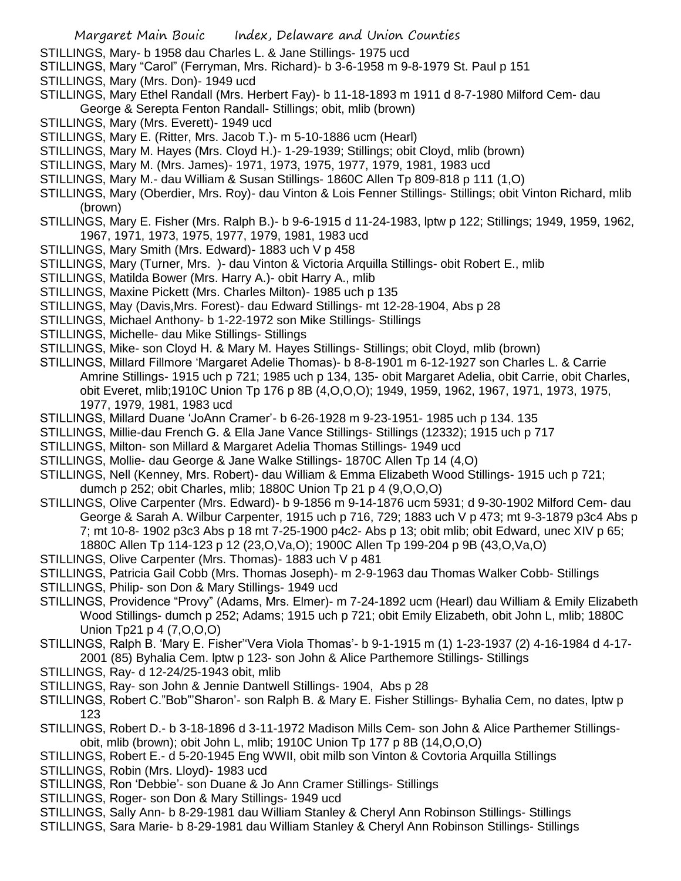- STILLINGS, Mary- b 1958 dau Charles L. & Jane Stillings- 1975 ucd
- STILLINGS, Mary "Carol" (Ferryman, Mrs. Richard)- b 3-6-1958 m 9-8-1979 St. Paul p 151
- STILLINGS, Mary (Mrs. Don)- 1949 ucd
- STILLINGS, Mary Ethel Randall (Mrs. Herbert Fay)- b 11-18-1893 m 1911 d 8-7-1980 Milford Cem- dau George & Serepta Fenton Randall- Stillings; obit, mlib (brown)
- STILLINGS, Mary (Mrs. Everett)- 1949 ucd
- STILLINGS, Mary E. (Ritter, Mrs. Jacob T.)- m 5-10-1886 ucm (Hearl)
- STILLINGS, Mary M. Hayes (Mrs. Cloyd H.)- 1-29-1939; Stillings; obit Cloyd, mlib (brown)
- STILLINGS, Mary M. (Mrs. James)- 1971, 1973, 1975, 1977, 1979, 1981, 1983 ucd
- STILLINGS, Mary M.- dau William & Susan Stillings- 1860C Allen Tp 809-818 p 111 (1,O)
- STILLINGS, Mary (Oberdier, Mrs. Roy)- dau Vinton & Lois Fenner Stillings- Stillings; obit Vinton Richard, mlib (brown)
- STILLINGS, Mary E. Fisher (Mrs. Ralph B.)- b 9-6-1915 d 11-24-1983, lptw p 122; Stillings; 1949, 1959, 1962, 1967, 1971, 1973, 1975, 1977, 1979, 1981, 1983 ucd
- STILLINGS, Mary Smith (Mrs. Edward)- 1883 uch V p 458
- STILLINGS, Mary (Turner, Mrs. )- dau Vinton & Victoria Arquilla Stillings- obit Robert E., mlib
- STILLINGS, Matilda Bower (Mrs. Harry A.)- obit Harry A., mlib
- STILLINGS, Maxine Pickett (Mrs. Charles Milton)- 1985 uch p 135
- STILLINGS, May (Davis,Mrs. Forest)- dau Edward Stillings- mt 12-28-1904, Abs p 28
- STILLINGS, Michael Anthony- b 1-22-1972 son Mike Stillings- Stillings
- STILLINGS, Michelle- dau Mike Stillings- Stillings
- STILLINGS, Mike- son Cloyd H. & Mary M. Hayes Stillings- Stillings; obit Cloyd, mlib (brown)
- STILLINGS, Millard Fillmore 'Margaret Adelie Thomas)- b 8-8-1901 m 6-12-1927 son Charles L. & Carrie Amrine Stillings- 1915 uch p 721; 1985 uch p 134, 135- obit Margaret Adelia, obit Carrie, obit Charles, obit Everet, mlib;1910C Union Tp 176 p 8B (4,O,O,O); 1949, 1959, 1962, 1967, 1971, 1973, 1975, 1977, 1979, 1981, 1983 ucd
- STILLINGS, Millard Duane 'JoAnn Cramer'- b 6-26-1928 m 9-23-1951- 1985 uch p 134. 135
- STILLINGS, Millie-dau French G. & Ella Jane Vance Stillings- Stillings (12332); 1915 uch p 717
- STILLINGS, Milton- son Millard & Margaret Adelia Thomas Stillings- 1949 ucd
- STILLINGS, Mollie- dau George & Jane Walke Stillings- 1870C Allen Tp 14 (4,O)
- STILLINGS, Nell (Kenney, Mrs. Robert)- dau William & Emma Elizabeth Wood Stillings- 1915 uch p 721; dumch p 252; obit Charles, mlib; 1880C Union Tp 21 p 4 (9,O,O,O)
- STILLINGS, Olive Carpenter (Mrs. Edward)- b 9-1856 m 9-14-1876 ucm 5931; d 9-30-1902 Milford Cem- dau George & Sarah A. Wilbur Carpenter, 1915 uch p 716, 729; 1883 uch V p 473; mt 9-3-1879 p3c4 Abs p 7; mt 10-8- 1902 p3c3 Abs p 18 mt 7-25-1900 p4c2- Abs p 13; obit mlib; obit Edward, unec XIV p 65; 1880C Allen Tp 114-123 p 12 (23,O,Va,O); 1900C Allen Tp 199-204 p 9B (43,O,Va,O)
- STILLINGS, Olive Carpenter (Mrs. Thomas)- 1883 uch V p 481
- STILLINGS, Patricia Gail Cobb (Mrs. Thomas Joseph)- m 2-9-1963 dau Thomas Walker Cobb- Stillings
- STILLINGS, Philip- son Don & Mary Stillings- 1949 ucd
- STILLINGS, Providence "Provy" (Adams, Mrs. Elmer)- m 7-24-1892 ucm (Hearl) dau William & Emily Elizabeth Wood Stillings- dumch p 252; Adams; 1915 uch p 721; obit Emily Elizabeth, obit John L, mlib; 1880C Union Tp21 p 4 (7,O,O,O)
- STILLINGS, Ralph B. 'Mary E. Fisher''Vera Viola Thomas'- b 9-1-1915 m (1) 1-23-1937 (2) 4-16-1984 d 4-17- 2001 (85) Byhalia Cem. lptw p 123- son John & Alice Parthemore Stillings- Stillings
- STILLINGS, Ray- d 12-24/25-1943 obit, mlib
- STILLINGS, Ray- son John & Jennie Dantwell Stillings- 1904, Abs p 28
- STILLINGS, Robert C."Bob"'Sharon'- son Ralph B. & Mary E. Fisher Stillings- Byhalia Cem, no dates, lptw p 123
- STILLINGS, Robert D.- b 3-18-1896 d 3-11-1972 Madison Mills Cem- son John & Alice Parthemer Stillingsobit, mlib (brown); obit John L, mlib; 1910C Union Tp 177 p 8B (14,O,O,O)
- STILLINGS, Robert E.- d 5-20-1945 Eng WWII, obit milb son Vinton & Covtoria Arquilla Stillings
- STILLINGS, Robin (Mrs. Lloyd)- 1983 ucd
- STILLINGS, Ron 'Debbie'- son Duane & Jo Ann Cramer Stillings- Stillings
- STILLINGS, Roger- son Don & Mary Stillings- 1949 ucd
- STILLINGS, Sally Ann- b 8-29-1981 dau William Stanley & Cheryl Ann Robinson Stillings- Stillings
- STILLINGS, Sara Marie- b 8-29-1981 dau William Stanley & Cheryl Ann Robinson Stillings- Stillings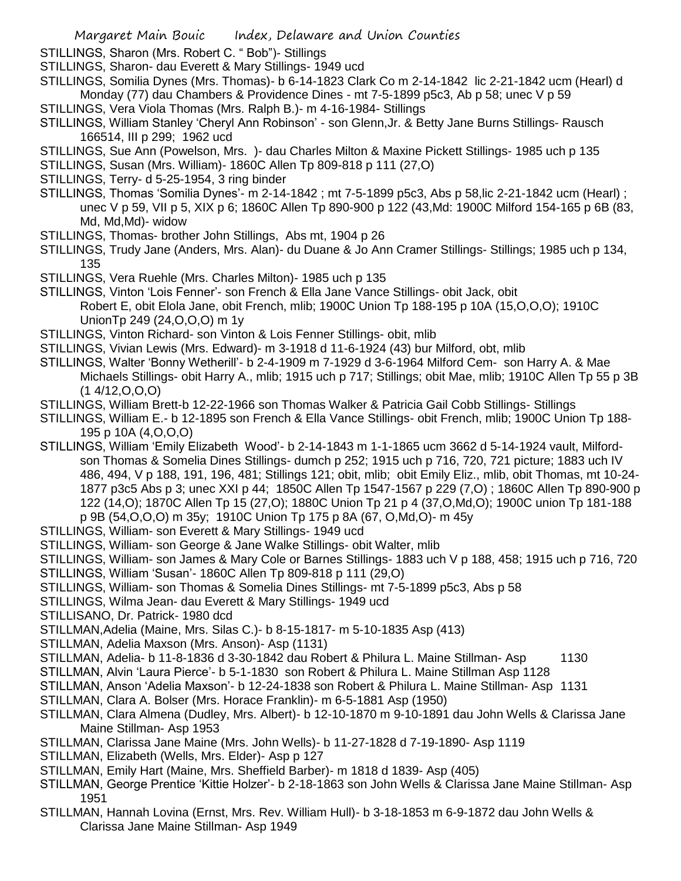STILLINGS, Sharon (Mrs. Robert C. " Bob")- Stillings

- STILLINGS, Sharon- dau Everett & Mary Stillings- 1949 ucd
- STILLINGS, Somilia Dynes (Mrs. Thomas)- b 6-14-1823 Clark Co m 2-14-1842 lic 2-21-1842 ucm (Hearl) d Monday (77) dau Chambers & Providence Dines - mt 7-5-1899 p5c3, Ab p 58; unec V p 59
- STILLINGS, Vera Viola Thomas (Mrs. Ralph B.)- m 4-16-1984- Stillings
- STILLINGS, William Stanley 'Cheryl Ann Robinson' son Glenn,Jr. & Betty Jane Burns Stillings- Rausch 166514, III p 299; 1962 ucd
- STILLINGS, Sue Ann (Powelson, Mrs. )- dau Charles Milton & Maxine Pickett Stillings- 1985 uch p 135
- STILLINGS, Susan (Mrs. William)- 1860C Allen Tp 809-818 p 111 (27,O)
- STILLINGS, Terry- d 5-25-1954, 3 ring binder
- STILLINGS, Thomas 'Somilia Dynes'- m 2-14-1842 ; mt 7-5-1899 p5c3, Abs p 58,lic 2-21-1842 ucm (Hearl) ; unec V p 59, VII p 5, XIX p 6; 1860C Allen Tp 890-900 p 122 (43,Md: 1900C Milford 154-165 p 6B (83, Md, Md, Md)- widow
- STILLINGS, Thomas- brother John Stillings, Abs mt, 1904 p 26
- STILLINGS, Trudy Jane (Anders, Mrs. Alan)- du Duane & Jo Ann Cramer Stillings- Stillings; 1985 uch p 134, 135
- STILLINGS, Vera Ruehle (Mrs. Charles Milton)- 1985 uch p 135
- STILLINGS, Vinton 'Lois Fenner'- son French & Ella Jane Vance Stillings- obit Jack, obit Robert E, obit Elola Jane, obit French, mlib; 1900C Union Tp 188-195 p 10A (15,O,O,O); 1910C UnionTp 249 (24,O,O,O) m 1y
- STILLINGS, Vinton Richard- son Vinton & Lois Fenner Stillings- obit, mlib
- STILLINGS, Vivian Lewis (Mrs. Edward)- m 3-1918 d 11-6-1924 (43) bur Milford, obt, mlib
- STILLINGS, Walter 'Bonny Wetherill'- b 2-4-1909 m 7-1929 d 3-6-1964 Milford Cem- son Harry A. & Mae Michaels Stillings- obit Harry A., mlib; 1915 uch p 717; Stillings; obit Mae, mlib; 1910C Allen Tp 55 p 3B  $(1 4/12, 0, 0, 0)$
- STILLINGS, William Brett-b 12-22-1966 son Thomas Walker & Patricia Gail Cobb Stillings- Stillings
- STILLINGS, William E.- b 12-1895 son French & Ella Vance Stillings- obit French, mlib; 1900C Union Tp 188- 195 p 10A (4,O,O,O)
- STILLINGS, William 'Emily Elizabeth Wood'- b 2-14-1843 m 1-1-1865 ucm 3662 d 5-14-1924 vault, Milfordson Thomas & Somelia Dines Stillings- dumch p 252; 1915 uch p 716, 720, 721 picture; 1883 uch IV 486, 494, V p 188, 191, 196, 481; Stillings 121; obit, mlib; obit Emily Eliz., mlib, obit Thomas, mt 10-24- 1877 p3c5 Abs p 3; unec XXI p 44; 1850C Allen Tp 1547-1567 p 229 (7,O) ; 1860C Allen Tp 890-900 p 122 (14,O); 1870C Allen Tp 15 (27,O); 1880C Union Tp 21 p 4 (37,O,Md,O); 1900C union Tp 181-188 p 9B (54,O,O,O) m 35y; 1910C Union Tp 175 p 8A (67, O,Md,O)- m 45y
- STILLINGS, William- son Everett & Mary Stillings- 1949 ucd
- STILLINGS, William- son George & Jane Walke Stillings- obit Walter, mlib
- STILLINGS, William- son James & Mary Cole or Barnes Stillings- 1883 uch V p 188, 458; 1915 uch p 716, 720
- STILLINGS, William 'Susan'- 1860C Allen Tp 809-818 p 111 (29,O)
- STILLINGS, William- son Thomas & Somelia Dines Stillings- mt 7-5-1899 p5c3, Abs p 58
- STILLINGS, Wilma Jean- dau Everett & Mary Stillings- 1949 ucd
- STILLISANO, Dr. Patrick- 1980 dcd
- STILLMAN,Adelia (Maine, Mrs. Silas C.)- b 8-15-1817- m 5-10-1835 Asp (413)
- STILLMAN, Adelia Maxson (Mrs. Anson)- Asp (1131)
- STILLMAN, Adelia- b 11-8-1836 d 3-30-1842 dau Robert & Philura L. Maine Stillman- Asp 1130
- STILLMAN, Alvin 'Laura Pierce'- b 5-1-1830 son Robert & Philura L. Maine Stillman Asp 1128
- STILLMAN, Anson 'Adelia Maxson'- b 12-24-1838 son Robert & Philura L. Maine Stillman- Asp 1131
- STILLMAN, Clara A. Bolser (Mrs. Horace Franklin)- m 6-5-1881 Asp (1950)
- STILLMAN, Clara Almena (Dudley, Mrs. Albert)- b 12-10-1870 m 9-10-1891 dau John Wells & Clarissa Jane Maine Stillman- Asp 1953
- STILLMAN, Clarissa Jane Maine (Mrs. John Wells)- b 11-27-1828 d 7-19-1890- Asp 1119
- STILLMAN, Elizabeth (Wells, Mrs. Elder)- Asp p 127
- STILLMAN, Emily Hart (Maine, Mrs. Sheffield Barber)- m 1818 d 1839- Asp (405)
- STILLMAN, George Prentice 'Kittie Holzer'- b 2-18-1863 son John Wells & Clarissa Jane Maine Stillman- Asp 1951
- STILLMAN, Hannah Lovina (Ernst, Mrs. Rev. William Hull)- b 3-18-1853 m 6-9-1872 dau John Wells & Clarissa Jane Maine Stillman- Asp 1949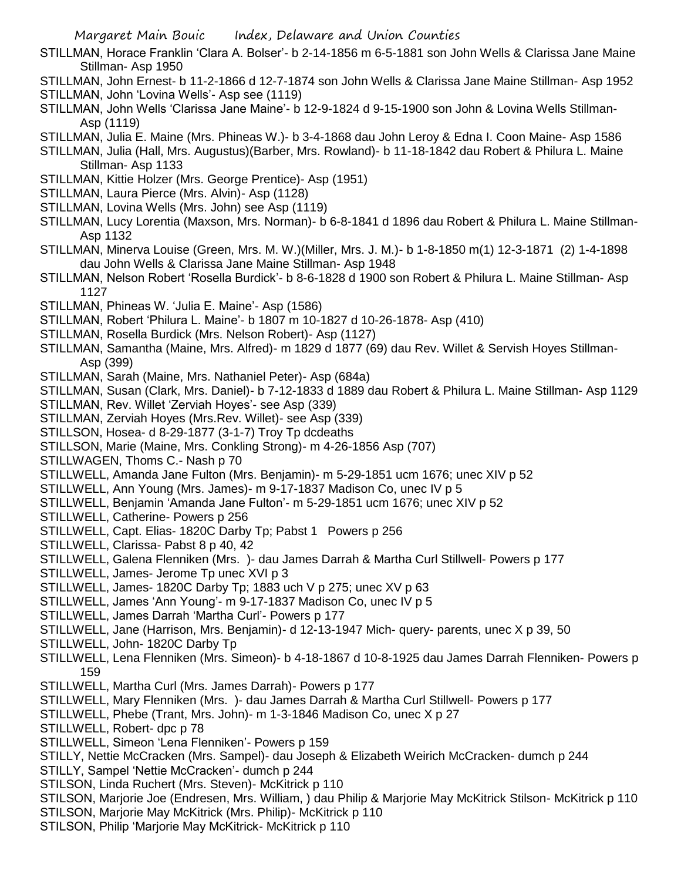- STILLMAN, Horace Franklin 'Clara A. Bolser'- b 2-14-1856 m 6-5-1881 son John Wells & Clarissa Jane Maine Stillman- Asp 1950
- STILLMAN, John Ernest- b 11-2-1866 d 12-7-1874 son John Wells & Clarissa Jane Maine Stillman- Asp 1952 STILLMAN, John 'Lovina Wells'- Asp see (1119)
- STILLMAN, John Wells 'Clarissa Jane Maine'- b 12-9-1824 d 9-15-1900 son John & Lovina Wells Stillman-Asp (1119)
- STILLMAN, Julia E. Maine (Mrs. Phineas W.)- b 3-4-1868 dau John Leroy & Edna I. Coon Maine- Asp 1586
- STILLMAN, Julia (Hall, Mrs. Augustus)(Barber, Mrs. Rowland)- b 11-18-1842 dau Robert & Philura L. Maine Stillman- Asp 1133
- STILLMAN, Kittie Holzer (Mrs. George Prentice)- Asp (1951)
- STILLMAN, Laura Pierce (Mrs. Alvin)- Asp (1128)
- STILLMAN, Lovina Wells (Mrs. John) see Asp (1119)
- STILLMAN, Lucy Lorentia (Maxson, Mrs. Norman)- b 6-8-1841 d 1896 dau Robert & Philura L. Maine Stillman-Asp 1132
- STILLMAN, Minerva Louise (Green, Mrs. M. W.)(Miller, Mrs. J. M.)- b 1-8-1850 m(1) 12-3-1871 (2) 1-4-1898 dau John Wells & Clarissa Jane Maine Stillman- Asp 1948
- STILLMAN, Nelson Robert 'Rosella Burdick'- b 8-6-1828 d 1900 son Robert & Philura L. Maine Stillman- Asp 1127
- STILLMAN, Phineas W. 'Julia E. Maine'- Asp (1586)
- STILLMAN, Robert 'Philura L. Maine'- b 1807 m 10-1827 d 10-26-1878- Asp (410)
- STILLMAN, Rosella Burdick (Mrs. Nelson Robert)- Asp (1127)
- STILLMAN, Samantha (Maine, Mrs. Alfred)- m 1829 d 1877 (69) dau Rev. Willet & Servish Hoyes Stillman-Asp (399)
- STILLMAN, Sarah (Maine, Mrs. Nathaniel Peter)- Asp (684a)
- STILLMAN, Susan (Clark, Mrs. Daniel)- b 7-12-1833 d 1889 dau Robert & Philura L. Maine Stillman- Asp 1129
- STILLMAN, Rev. Willet 'Zerviah Hoyes'- see Asp (339)
- STILLMAN, Zerviah Hoyes (Mrs.Rev. Willet)- see Asp (339)
- STILLSON, Hosea- d 8-29-1877 (3-1-7) Troy Tp dcdeaths
- STILLSON, Marie (Maine, Mrs. Conkling Strong)- m 4-26-1856 Asp (707)
- STILLWAGEN, Thoms C.- Nash p 70
- STILLWELL, Amanda Jane Fulton (Mrs. Benjamin)- m 5-29-1851 ucm 1676; unec XIV p 52
- STILLWELL, Ann Young (Mrs. James)- m 9-17-1837 Madison Co, unec IV p 5
- STILLWELL, Benjamin 'Amanda Jane Fulton'- m 5-29-1851 ucm 1676; unec XIV p 52
- STILLWELL, Catherine- Powers p 256
- STILLWELL, Capt. Elias- 1820C Darby Tp; Pabst 1 Powers p 256
- STILLWELL, Clarissa- Pabst 8 p 40, 42
- STILLWELL, Galena Flenniken (Mrs. )- dau James Darrah & Martha Curl Stillwell- Powers p 177
- STILLWELL, James- Jerome Tp unec XVI p 3
- STILLWELL, James- 1820C Darby Tp; 1883 uch V p 275; unec XV p 63
- STILLWELL, James 'Ann Young'- m 9-17-1837 Madison Co, unec IV p 5
- STILLWELL, James Darrah 'Martha Curl'- Powers p 177
- STILLWELL, Jane (Harrison, Mrs. Benjamin)- d 12-13-1947 Mich- query- parents, unec X p 39, 50
- STILLWELL, John- 1820C Darby Tp
- STILLWELL, Lena Flenniken (Mrs. Simeon)- b 4-18-1867 d 10-8-1925 dau James Darrah Flenniken- Powers p 159
- STILLWELL, Martha Curl (Mrs. James Darrah)- Powers p 177
- STILLWELL, Mary Flenniken (Mrs. )- dau James Darrah & Martha Curl Stillwell- Powers p 177
- STILLWELL, Phebe (Trant, Mrs. John)- m 1-3-1846 Madison Co, unec X p 27
- STILLWELL, Robert- dpc p 78
- STILLWELL, Simeon 'Lena Flenniken'- Powers p 159
- STILLY, Nettie McCracken (Mrs. Sampel)- dau Joseph & Elizabeth Weirich McCracken- dumch p 244 STILLY, Sampel 'Nettie McCracken'- dumch p 244
- STILSON, Linda Ruchert (Mrs. Steven)- McKitrick p 110
- STILSON, Marjorie Joe (Endresen, Mrs. William, ) dau Philip & Marjorie May McKitrick Stilson- McKitrick p 110
- STILSON, Marjorie May McKitrick (Mrs. Philip)- McKitrick p 110
- STILSON, Philip 'Marjorie May McKitrick- McKitrick p 110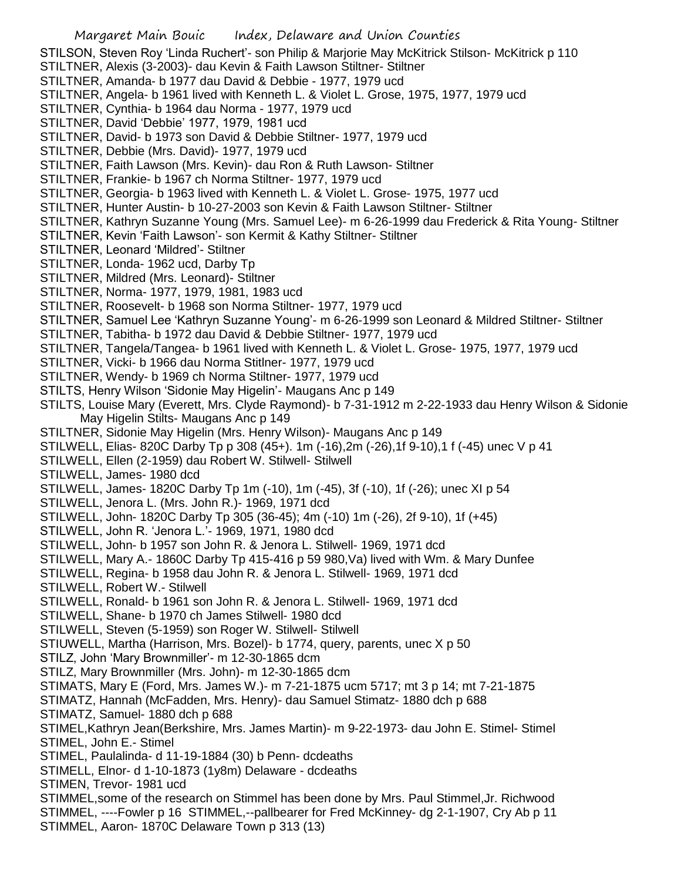Margaret Main Bouic Index, Delaware and Union Counties STILSON, Steven Roy 'Linda Ruchert'- son Philip & Marjorie May McKitrick Stilson- McKitrick p 110 STILTNER, Alexis (3-2003)- dau Kevin & Faith Lawson Stiltner- Stiltner STILTNER, Amanda- b 1977 dau David & Debbie - 1977, 1979 ucd STILTNER, Angela- b 1961 lived with Kenneth L. & Violet L. Grose, 1975, 1977, 1979 ucd STILTNER, Cynthia- b 1964 dau Norma - 1977, 1979 ucd STILTNER, David 'Debbie' 1977, 1979, 1981 ucd STILTNER, David- b 1973 son David & Debbie Stiltner- 1977, 1979 ucd STILTNER, Debbie (Mrs. David)- 1977, 1979 ucd STILTNER, Faith Lawson (Mrs. Kevin)- dau Ron & Ruth Lawson- Stiltner STILTNER, Frankie- b 1967 ch Norma Stiltner- 1977, 1979 ucd STILTNER, Georgia- b 1963 lived with Kenneth L. & Violet L. Grose- 1975, 1977 ucd STILTNER, Hunter Austin- b 10-27-2003 son Kevin & Faith Lawson Stiltner- Stiltner STILTNER, Kathryn Suzanne Young (Mrs. Samuel Lee)- m 6-26-1999 dau Frederick & Rita Young- Stiltner STILTNER, Kevin 'Faith Lawson'- son Kermit & Kathy Stiltner- Stiltner STILTNER, Leonard 'Mildred'- Stiltner STILTNER, Londa- 1962 ucd, Darby Tp STILTNER, Mildred (Mrs. Leonard)- Stiltner STILTNER, Norma- 1977, 1979, 1981, 1983 ucd STILTNER, Roosevelt- b 1968 son Norma Stiltner- 1977, 1979 ucd STILTNER, Samuel Lee 'Kathryn Suzanne Young'- m 6-26-1999 son Leonard & Mildred Stiltner- Stiltner STILTNER, Tabitha- b 1972 dau David & Debbie Stiltner- 1977, 1979 ucd STILTNER, Tangela/Tangea- b 1961 lived with Kenneth L. & Violet L. Grose- 1975, 1977, 1979 ucd STILTNER, Vicki- b 1966 dau Norma Stitlner- 1977, 1979 ucd STILTNER, Wendy- b 1969 ch Norma Stiltner- 1977, 1979 ucd STILTS, Henry Wilson 'Sidonie May Higelin'- Maugans Anc p 149 STILTS, Louise Mary (Everett, Mrs. Clyde Raymond)- b 7-31-1912 m 2-22-1933 dau Henry Wilson & Sidonie May Higelin Stilts- Maugans Anc p 149 STILTNER, Sidonie May Higelin (Mrs. Henry Wilson)- Maugans Anc p 149 STILWELL, Elias- 820C Darby Tp p 308 (45+). 1m (-16),2m (-26),1f 9-10),1 f (-45) unec V p 41 STILWELL, Ellen (2-1959) dau Robert W. Stilwell- Stilwell STILWELL, James- 1980 dcd STILWELL, James- 1820C Darby Tp 1m (-10), 1m (-45), 3f (-10), 1f (-26); unec XI p 54 STILWELL, Jenora L. (Mrs. John R.)- 1969, 1971 dcd STILWELL, John- 1820C Darby Tp 305 (36-45); 4m (-10) 1m (-26), 2f 9-10), 1f (+45) STILWELL, John R. 'Jenora L.'- 1969, 1971, 1980 dcd STILWELL, John- b 1957 son John R. & Jenora L. Stilwell- 1969, 1971 dcd STILWELL, Mary A.- 1860C Darby Tp 415-416 p 59 980,Va) lived with Wm. & Mary Dunfee STILWELL, Regina- b 1958 dau John R. & Jenora L. Stilwell- 1969, 1971 dcd STILWELL, Robert W.- Stilwell STILWELL, Ronald- b 1961 son John R. & Jenora L. Stilwell- 1969, 1971 dcd STILWELL, Shane- b 1970 ch James Stilwell- 1980 dcd STILWELL, Steven (5-1959) son Roger W. Stilwell- Stilwell STIUWELL, Martha (Harrison, Mrs. Bozel)- b 1774, query, parents, unec X p 50 STILZ, John 'Mary Brownmiller'- m 12-30-1865 dcm STILZ, Mary Brownmiller (Mrs. John)- m 12-30-1865 dcm STIMATS, Mary E (Ford, Mrs. James W.)- m 7-21-1875 ucm 5717; mt 3 p 14; mt 7-21-1875 STIMATZ, Hannah (McFadden, Mrs. Henry)- dau Samuel Stimatz- 1880 dch p 688 STIMATZ, Samuel- 1880 dch p 688 STIMEL,Kathryn Jean(Berkshire, Mrs. James Martin)- m 9-22-1973- dau John E. Stimel- Stimel STIMEL, John E.- Stimel STIMEL, Paulalinda- d 11-19-1884 (30) b Penn- dcdeaths STIMELL, Elnor- d 1-10-1873 (1y8m) Delaware - dcdeaths STIMEN, Trevor- 1981 ucd STIMMEL,some of the research on Stimmel has been done by Mrs. Paul Stimmel,Jr. Richwood STIMMEL, ----Fowler p 16 STIMMEL,--pallbearer for Fred McKinney- dg 2-1-1907, Cry Ab p 11 STIMMEL, Aaron- 1870C Delaware Town p 313 (13)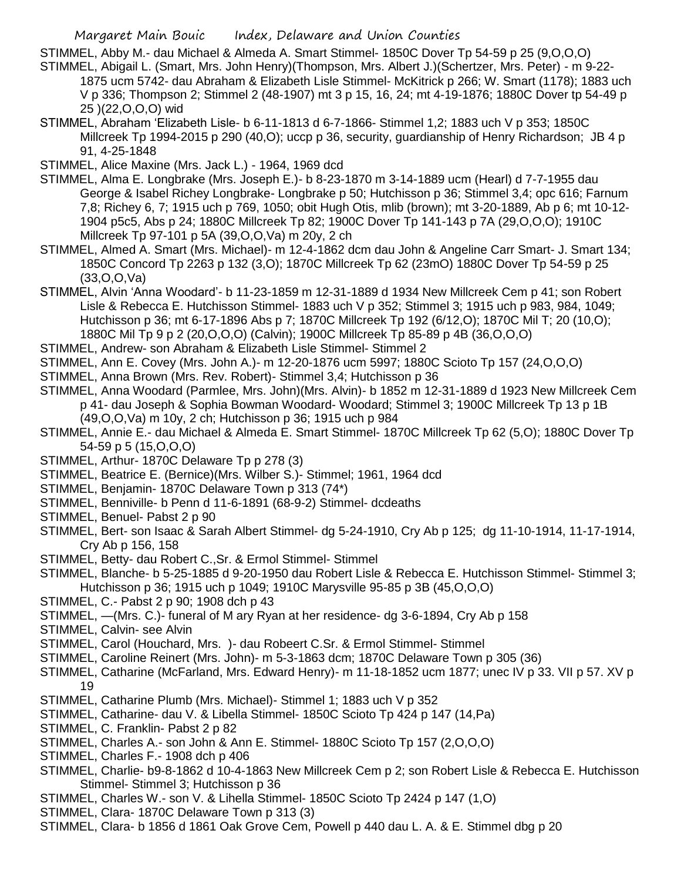STIMMEL, Abby M.- dau Michael & Almeda A. Smart Stimmel- 1850C Dover Tp 54-59 p 25 (9,O,O,O)

- STIMMEL, Abigail L. (Smart, Mrs. John Henry)(Thompson, Mrs. Albert J.)(Schertzer, Mrs. Peter) m 9-22- 1875 ucm 5742- dau Abraham & Elizabeth Lisle Stimmel- McKitrick p 266; W. Smart (1178); 1883 uch V p 336; Thompson 2; Stimmel 2 (48-1907) mt 3 p 15, 16, 24; mt 4-19-1876; 1880C Dover tp 54-49 p 25 )(22,O,O,O) wid
- STIMMEL, Abraham 'Elizabeth Lisle- b 6-11-1813 d 6-7-1866- Stimmel 1,2; 1883 uch V p 353; 1850C Millcreek Tp 1994-2015 p 290 (40,O); uccp p 36, security, guardianship of Henry Richardson; JB 4 p 91, 4-25-1848

STIMMEL, Alice Maxine (Mrs. Jack L.) - 1964, 1969 dcd

- STIMMEL, Alma E. Longbrake (Mrs. Joseph E.)- b 8-23-1870 m 3-14-1889 ucm (Hearl) d 7-7-1955 dau George & Isabel Richey Longbrake- Longbrake p 50; Hutchisson p 36; Stimmel 3,4; opc 616; Farnum 7,8; Richey 6, 7; 1915 uch p 769, 1050; obit Hugh Otis, mlib (brown); mt 3-20-1889, Ab p 6; mt 10-12- 1904 p5c5, Abs p 24; 1880C Millcreek Tp 82; 1900C Dover Tp 141-143 p 7A (29,O,O,O); 1910C Millcreek Tp 97-101 p 5A (39,O,O,Va) m 20y, 2 ch
- STIMMEL, Almed A. Smart (Mrs. Michael)- m 12-4-1862 dcm dau John & Angeline Carr Smart- J. Smart 134; 1850C Concord Tp 2263 p 132 (3,O); 1870C Millcreek Tp 62 (23mO) 1880C Dover Tp 54-59 p 25 (33,O,O,Va)
- STIMMEL, Alvin 'Anna Woodard'- b 11-23-1859 m 12-31-1889 d 1934 New Millcreek Cem p 41; son Robert Lisle & Rebecca E. Hutchisson Stimmel- 1883 uch V p 352; Stimmel 3; 1915 uch p 983, 984, 1049; Hutchisson p 36; mt 6-17-1896 Abs p 7; 1870C Millcreek Tp 192 (6/12,O); 1870C Mil T; 20 (10,O); 1880C Mil Tp 9 p 2 (20,O,O,O) (Calvin); 1900C Millcreek Tp 85-89 p 4B (36,O,O,O)
- STIMMEL, Andrew- son Abraham & Elizabeth Lisle Stimmel- Stimmel 2
- STIMMEL, Ann E. Covey (Mrs. John A.)- m 12-20-1876 ucm 5997; 1880C Scioto Tp 157 (24,O,O,O)
- STIMMEL, Anna Brown (Mrs. Rev. Robert)- Stimmel 3,4; Hutchisson p 36
- STIMMEL, Anna Woodard (Parmlee, Mrs. John)(Mrs. Alvin)- b 1852 m 12-31-1889 d 1923 New Millcreek Cem p 41- dau Joseph & Sophia Bowman Woodard- Woodard; Stimmel 3; 1900C Millcreek Tp 13 p 1B (49,O,O,Va) m 10y, 2 ch; Hutchisson p 36; 1915 uch p 984
- STIMMEL, Annie E.- dau Michael & Almeda E. Smart Stimmel- 1870C Millcreek Tp 62 (5,O); 1880C Dover Tp 54-59 p 5 (15,O,O,O)
- STIMMEL, Arthur- 1870C Delaware Tp p 278 (3)
- STIMMEL, Beatrice E. (Bernice)(Mrs. Wilber S.)- Stimmel; 1961, 1964 dcd
- STIMMEL, Benjamin- 1870C Delaware Town p 313 (74\*)
- STIMMEL, Benniville- b Penn d 11-6-1891 (68-9-2) Stimmel- dcdeaths
- STIMMEL, Benuel- Pabst 2 p 90
- STIMMEL, Bert- son Isaac & Sarah Albert Stimmel- dg 5-24-1910, Cry Ab p 125; dg 11-10-1914, 11-17-1914, Cry Ab p 156, 158
- STIMMEL, Betty- dau Robert C.,Sr. & Ermol Stimmel- Stimmel
- STIMMEL, Blanche- b 5-25-1885 d 9-20-1950 dau Robert Lisle & Rebecca E. Hutchisson Stimmel- Stimmel 3; Hutchisson p 36; 1915 uch p 1049; 1910C Marysville 95-85 p 3B (45,O,O,O)
- STIMMEL, C.- Pabst 2 p 90; 1908 dch p 43
- STIMMEL, —(Mrs. C.)- funeral of M ary Ryan at her residence- dg 3-6-1894, Cry Ab p 158
- STIMMEL, Calvin- see Alvin
- STIMMEL, Carol (Houchard, Mrs. )- dau Robeert C.Sr. & Ermol Stimmel- Stimmel
- STIMMEL, Caroline Reinert (Mrs. John)- m 5-3-1863 dcm; 1870C Delaware Town p 305 (36)
- STIMMEL, Catharine (McFarland, Mrs. Edward Henry)- m 11-18-1852 ucm 1877; unec IV p 33. VII p 57. XV p 19
- STIMMEL, Catharine Plumb (Mrs. Michael)- Stimmel 1; 1883 uch V p 352
- STIMMEL, Catharine- dau V. & Libella Stimmel- 1850C Scioto Tp 424 p 147 (14,Pa)
- STIMMEL, C. Franklin- Pabst 2 p 82
- STIMMEL, Charles A.- son John & Ann E. Stimmel- 1880C Scioto Tp 157 (2,O,O,O)
- STIMMEL, Charles F.- 1908 dch p 406
- STIMMEL, Charlie- b9-8-1862 d 10-4-1863 New Millcreek Cem p 2; son Robert Lisle & Rebecca E. Hutchisson Stimmel- Stimmel 3; Hutchisson p 36
- STIMMEL, Charles W.- son V. & Lihella Stimmel- 1850C Scioto Tp 2424 p 147 (1,O)
- STIMMEL, Clara- 1870C Delaware Town p 313 (3)
- STIMMEL, Clara- b 1856 d 1861 Oak Grove Cem, Powell p 440 dau L. A. & E. Stimmel dbg p 20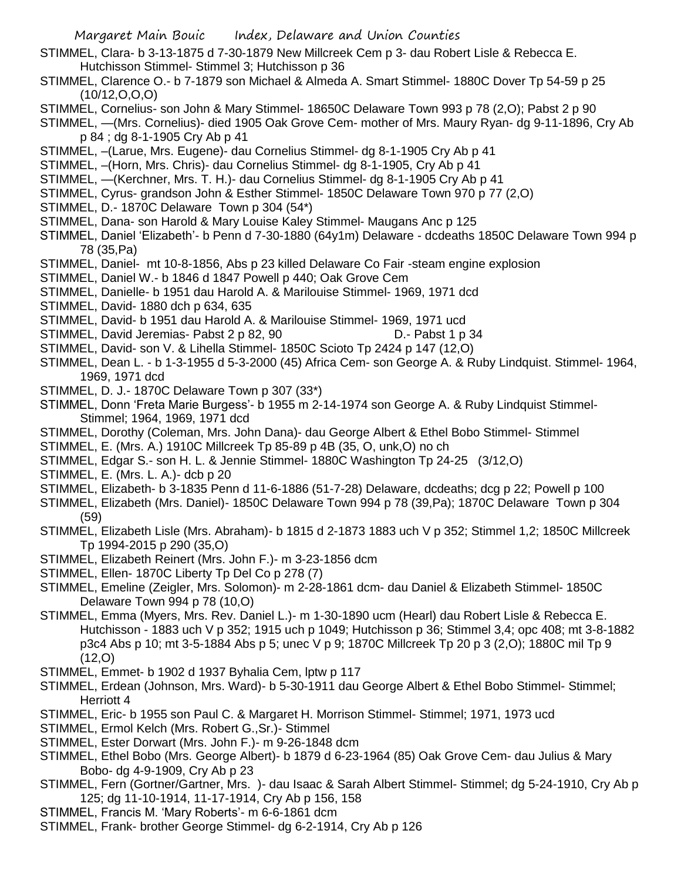- STIMMEL, Clara- b 3-13-1875 d 7-30-1879 New Millcreek Cem p 3- dau Robert Lisle & Rebecca E. Hutchisson Stimmel- Stimmel 3; Hutchisson p 36
- STIMMEL, Clarence O.- b 7-1879 son Michael & Almeda A. Smart Stimmel- 1880C Dover Tp 54-59 p 25  $(10/12, 0, 0, 0)$
- STIMMEL, Cornelius- son John & Mary Stimmel- 18650C Delaware Town 993 p 78 (2,O); Pabst 2 p 90
- STIMMEL, —(Mrs. Cornelius)- died 1905 Oak Grove Cem- mother of Mrs. Maury Ryan- dg 9-11-1896, Cry Ab p 84 ; dg 8-1-1905 Cry Ab p 41
- STIMMEL, –(Larue, Mrs. Eugene)- dau Cornelius Stimmel- dg 8-1-1905 Cry Ab p 41
- STIMMEL, –(Horn, Mrs. Chris)- dau Cornelius Stimmel- dg 8-1-1905, Cry Ab p 41
- STIMMEL, —(Kerchner, Mrs. T. H.)- dau Cornelius Stimmel- dg 8-1-1905 Cry Ab p 41
- STIMMEL, Cyrus- grandson John & Esther Stimmel- 1850C Delaware Town 970 p 77 (2,O)
- STIMMEL, D.- 1870C Delaware Town p 304 (54\*)
- STIMMEL, Dana- son Harold & Mary Louise Kaley Stimmel- Maugans Anc p 125
- STIMMEL, Daniel 'Elizabeth'- b Penn d 7-30-1880 (64y1m) Delaware dcdeaths 1850C Delaware Town 994 p 78 (35,Pa)
- STIMMEL, Daniel- mt 10-8-1856, Abs p 23 killed Delaware Co Fair -steam engine explosion
- STIMMEL, Daniel W.- b 1846 d 1847 Powell p 440; Oak Grove Cem
- STIMMEL, Danielle- b 1951 dau Harold A. & Marilouise Stimmel- 1969, 1971 dcd
- STIMMEL, David- 1880 dch p 634, 635
- STIMMEL, David- b 1951 dau Harold A. & Marilouise Stimmel- 1969, 1971 ucd
- STIMMEL, David Jeremias- Pabst 2 p 82, 90 D.- Pabst 1 p 34
- STIMMEL, David- son V. & Lihella Stimmel- 1850C Scioto Tp 2424 p 147 (12,O)
- STIMMEL, Dean L. b 1-3-1955 d 5-3-2000 (45) Africa Cem- son George A. & Ruby Lindquist. Stimmel- 1964, 1969, 1971 dcd
- STIMMEL, D. J.- 1870C Delaware Town p 307 (33\*)
- STIMMEL, Donn 'Freta Marie Burgess'- b 1955 m 2-14-1974 son George A. & Ruby Lindquist Stimmel-Stimmel; 1964, 1969, 1971 dcd
- STIMMEL, Dorothy (Coleman, Mrs. John Dana)- dau George Albert & Ethel Bobo Stimmel- Stimmel
- STIMMEL, E. (Mrs. A.) 1910C Millcreek Tp 85-89 p 4B (35, O, unk,O) no ch
- STIMMEL, Edgar S.- son H. L. & Jennie Stimmel- 1880C Washington Tp 24-25 (3/12,O)
- STIMMEL, E. (Mrs. L. A.)- dcb p 20
- STIMMEL, Elizabeth- b 3-1835 Penn d 11-6-1886 (51-7-28) Delaware, dcdeaths; dcg p 22; Powell p 100
- STIMMEL, Elizabeth (Mrs. Daniel)- 1850C Delaware Town 994 p 78 (39,Pa); 1870C Delaware Town p 304 (59)
- STIMMEL, Elizabeth Lisle (Mrs. Abraham)- b 1815 d 2-1873 1883 uch V p 352; Stimmel 1,2; 1850C Millcreek Tp 1994-2015 p 290 (35,O)
- STIMMEL, Elizabeth Reinert (Mrs. John F.)- m 3-23-1856 dcm
- STIMMEL, Ellen- 1870C Liberty Tp Del Co p 278 (7)
- STIMMEL, Emeline (Zeigler, Mrs. Solomon)- m 2-28-1861 dcm- dau Daniel & Elizabeth Stimmel- 1850C Delaware Town 994 p 78 (10,O)
- STIMMEL, Emma (Myers, Mrs. Rev. Daniel L.)- m 1-30-1890 ucm (Hearl) dau Robert Lisle & Rebecca E. Hutchisson - 1883 uch V p 352; 1915 uch p 1049; Hutchisson p 36; Stimmel 3,4; opc 408; mt 3-8-1882 p3c4 Abs p 10; mt 3-5-1884 Abs p 5; unec V p 9; 1870C Millcreek Tp 20 p 3 (2,O); 1880C mil Tp 9  $(12, 0)$
- STIMMEL, Emmet- b 1902 d 1937 Byhalia Cem, lptw p 117
- STIMMEL, Erdean (Johnson, Mrs. Ward)- b 5-30-1911 dau George Albert & Ethel Bobo Stimmel- Stimmel; Herriott 4
- STIMMEL, Eric- b 1955 son Paul C. & Margaret H. Morrison Stimmel- Stimmel; 1971, 1973 ucd
- STIMMEL, Ermol Kelch (Mrs. Robert G.,Sr.)- Stimmel
- STIMMEL, Ester Dorwart (Mrs. John F.)- m 9-26-1848 dcm
- STIMMEL, Ethel Bobo (Mrs. George Albert)- b 1879 d 6-23-1964 (85) Oak Grove Cem- dau Julius & Mary Bobo- dg 4-9-1909, Cry Ab p 23
- STIMMEL, Fern (Gortner/Gartner, Mrs. )- dau Isaac & Sarah Albert Stimmel- Stimmel; dg 5-24-1910, Cry Ab p 125; dg 11-10-1914, 11-17-1914, Cry Ab p 156, 158
- STIMMEL, Francis M. 'Mary Roberts'- m 6-6-1861 dcm
- STIMMEL, Frank- brother George Stimmel- dg 6-2-1914, Cry Ab p 126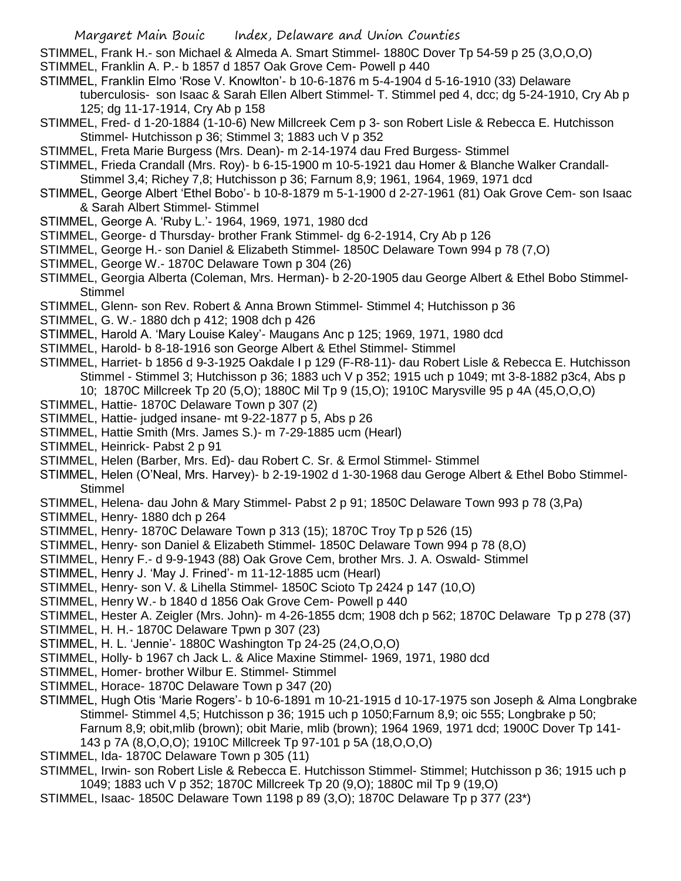STIMMEL, Frank H.- son Michael & Almeda A. Smart Stimmel- 1880C Dover Tp 54-59 p 25 (3,O,O,O)

- STIMMEL, Franklin A. P.- b 1857 d 1857 Oak Grove Cem- Powell p 440
- STIMMEL, Franklin Elmo 'Rose V. Knowlton'- b 10-6-1876 m 5-4-1904 d 5-16-1910 (33) Delaware tuberculosis- son Isaac & Sarah Ellen Albert Stimmel- T. Stimmel ped 4, dcc; dg 5-24-1910, Cry Ab p 125; dg 11-17-1914, Cry Ab p 158
- STIMMEL, Fred- d 1-20-1884 (1-10-6) New Millcreek Cem p 3- son Robert Lisle & Rebecca E. Hutchisson Stimmel- Hutchisson p 36; Stimmel 3; 1883 uch V p 352
- STIMMEL, Freta Marie Burgess (Mrs. Dean)- m 2-14-1974 dau Fred Burgess- Stimmel
- STIMMEL, Frieda Crandall (Mrs. Roy)- b 6-15-1900 m 10-5-1921 dau Homer & Blanche Walker Crandall-Stimmel 3,4; Richey 7,8; Hutchisson p 36; Farnum 8,9; 1961, 1964, 1969, 1971 dcd
- STIMMEL, George Albert 'Ethel Bobo'- b 10-8-1879 m 5-1-1900 d 2-27-1961 (81) Oak Grove Cem- son Isaac & Sarah Albert Stimmel- Stimmel
- STIMMEL, George A. 'Ruby L.'- 1964, 1969, 1971, 1980 dcd
- STIMMEL, George- d Thursday- brother Frank Stimmel- dg 6-2-1914, Cry Ab p 126
- STIMMEL, George H.- son Daniel & Elizabeth Stimmel- 1850C Delaware Town 994 p 78 (7,O)
- STIMMEL, George W.- 1870C Delaware Town p 304 (26)
- STIMMEL, Georgia Alberta (Coleman, Mrs. Herman)- b 2-20-1905 dau George Albert & Ethel Bobo Stimmel-Stimmel
- STIMMEL, Glenn- son Rev. Robert & Anna Brown Stimmel- Stimmel 4; Hutchisson p 36
- STIMMEL, G. W.- 1880 dch p 412; 1908 dch p 426
- STIMMEL, Harold A. 'Mary Louise Kaley'- Maugans Anc p 125; 1969, 1971, 1980 dcd
- STIMMEL, Harold- b 8-18-1916 son George Albert & Ethel Stimmel- Stimmel
- STIMMEL, Harriet- b 1856 d 9-3-1925 Oakdale I p 129 (F-R8-11)- dau Robert Lisle & Rebecca E. Hutchisson Stimmel - Stimmel 3; Hutchisson p 36; 1883 uch V p 352; 1915 uch p 1049; mt 3-8-1882 p3c4, Abs p 10; 1870C Millcreek Tp 20 (5,O); 1880C Mil Tp 9 (15,O); 1910C Marysville 95 p 4A (45,O,O,O)
- STIMMEL, Hattie- 1870C Delaware Town p 307 (2)
- STIMMEL, Hattie- judged insane- mt 9-22-1877 p 5, Abs p 26
- STIMMEL, Hattie Smith (Mrs. James S.)- m 7-29-1885 ucm (Hearl)
- STIMMEL, Heinrick- Pabst 2 p 91
- STIMMEL, Helen (Barber, Mrs. Ed)- dau Robert C. Sr. & Ermol Stimmel- Stimmel
- STIMMEL, Helen (O'Neal, Mrs. Harvey)- b 2-19-1902 d 1-30-1968 dau Geroge Albert & Ethel Bobo Stimmel-Stimmel
- STIMMEL, Helena- dau John & Mary Stimmel- Pabst 2 p 91; 1850C Delaware Town 993 p 78 (3,Pa)
- STIMMEL, Henry- 1880 dch p 264
- STIMMEL, Henry- 1870C Delaware Town p 313 (15); 1870C Troy Tp p 526 (15)
- STIMMEL, Henry- son Daniel & Elizabeth Stimmel- 1850C Delaware Town 994 p 78 (8,O)
- STIMMEL, Henry F.- d 9-9-1943 (88) Oak Grove Cem, brother Mrs. J. A. Oswald- Stimmel
- STIMMEL, Henry J. 'May J. Frined'- m 11-12-1885 ucm (Hearl)
- STIMMEL, Henry- son V. & Lihella Stimmel- 1850C Scioto Tp 2424 p 147 (10,O)
- STIMMEL, Henry W.- b 1840 d 1856 Oak Grove Cem- Powell p 440
- STIMMEL, Hester A. Zeigler (Mrs. John)- m 4-26-1855 dcm; 1908 dch p 562; 1870C Delaware Tp p 278 (37)
- STIMMEL, H. H.- 1870C Delaware Tpwn p 307 (23)
- STIMMEL, H. L. 'Jennie'- 1880C Washington Tp 24-25 (24,O,O,O)
- STIMMEL, Holly- b 1967 ch Jack L. & Alice Maxine Stimmel- 1969, 1971, 1980 dcd
- STIMMEL, Homer- brother Wilbur E. Stimmel- Stimmel
- STIMMEL, Horace- 1870C Delaware Town p 347 (20)
- STIMMEL, Hugh Otis 'Marie Rogers'- b 10-6-1891 m 10-21-1915 d 10-17-1975 son Joseph & Alma Longbrake Stimmel- Stimmel 4,5; Hutchisson p 36; 1915 uch p 1050;Farnum 8,9; oic 555; Longbrake p 50; Farnum 8,9; obit,mlib (brown); obit Marie, mlib (brown); 1964 1969, 1971 dcd; 1900C Dover Tp 141- 143 p 7A (8,O,O,O); 1910C Millcreek Tp 97-101 p 5A (18,O,O,O)
- STIMMEL, Ida- 1870C Delaware Town p 305 (11)
- STIMMEL, Irwin- son Robert Lisle & Rebecca E. Hutchisson Stimmel- Stimmel; Hutchisson p 36; 1915 uch p 1049; 1883 uch V p 352; 1870C Millcreek Tp 20 (9,O); 1880C mil Tp 9 (19,O)
- STIMMEL, Isaac- 1850C Delaware Town 1198 p 89 (3,O); 1870C Delaware Tp p 377 (23\*)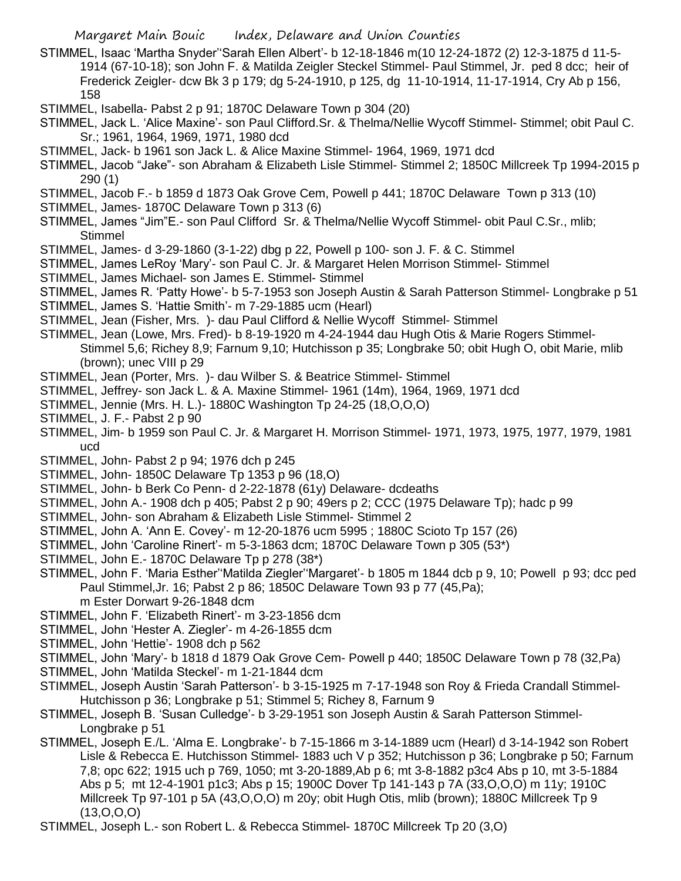- STIMMEL, Isaac 'Martha Snyder''Sarah Ellen Albert'- b 12-18-1846 m(10 12-24-1872 (2) 12-3-1875 d 11-5- 1914 (67-10-18); son John F. & Matilda Zeigler Steckel Stimmel- Paul Stimmel, Jr. ped 8 dcc; heir of Frederick Zeigler- dcw Bk 3 p 179; dg 5-24-1910, p 125, dg 11-10-1914, 11-17-1914, Cry Ab p 156, 158
- STIMMEL, Isabella- Pabst 2 p 91; 1870C Delaware Town p 304 (20)
- STIMMEL, Jack L. 'Alice Maxine'- son Paul Clifford.Sr. & Thelma/Nellie Wycoff Stimmel- Stimmel; obit Paul C. Sr.; 1961, 1964, 1969, 1971, 1980 dcd
- STIMMEL, Jack- b 1961 son Jack L. & Alice Maxine Stimmel- 1964, 1969, 1971 dcd
- STIMMEL, Jacob "Jake"- son Abraham & Elizabeth Lisle Stimmel- Stimmel 2; 1850C Millcreek Tp 1994-2015 p 290 (1)
- STIMMEL, Jacob F.- b 1859 d 1873 Oak Grove Cem, Powell p 441; 1870C Delaware Town p 313 (10)
- STIMMEL, James- 1870C Delaware Town p 313 (6)
- STIMMEL, James "Jim"E.- son Paul Clifford Sr. & Thelma/Nellie Wycoff Stimmel- obit Paul C.Sr., mlib; Stimmel
- STIMMEL, James- d 3-29-1860 (3-1-22) dbg p 22, Powell p 100- son J. F. & C. Stimmel
- STIMMEL, James LeRoy 'Mary'- son Paul C. Jr. & Margaret Helen Morrison Stimmel- Stimmel
- STIMMEL, James Michael- son James E. Stimmel- Stimmel
- STIMMEL, James R. 'Patty Howe'- b 5-7-1953 son Joseph Austin & Sarah Patterson Stimmel- Longbrake p 51
- STIMMEL, James S. 'Hattie Smith'- m 7-29-1885 ucm (Hearl)
- STIMMEL, Jean (Fisher, Mrs. )- dau Paul Clifford & Nellie Wycoff Stimmel- Stimmel
- STIMMEL, Jean (Lowe, Mrs. Fred)- b 8-19-1920 m 4-24-1944 dau Hugh Otis & Marie Rogers Stimmel-Stimmel 5,6; Richey 8,9; Farnum 9,10; Hutchisson p 35; Longbrake 50; obit Hugh O, obit Marie, mlib (brown); unec VIII p 29
- STIMMEL, Jean (Porter, Mrs. )- dau Wilber S. & Beatrice Stimmel- Stimmel
- STIMMEL, Jeffrey- son Jack L. & A. Maxine Stimmel- 1961 (14m), 1964, 1969, 1971 dcd
- STIMMEL, Jennie (Mrs. H. L.)- 1880C Washington Tp 24-25 (18,O,O,O)
- STIMMEL, J. F.- Pabst 2 p 90
- STIMMEL, Jim- b 1959 son Paul C. Jr. & Margaret H. Morrison Stimmel- 1971, 1973, 1975, 1977, 1979, 1981 ucd
- STIMMEL, John- Pabst 2 p 94; 1976 dch p 245
- STIMMEL, John- 1850C Delaware Tp 1353 p 96 (18,O)
- STIMMEL, John- b Berk Co Penn- d 2-22-1878 (61y) Delaware- dcdeaths
- STIMMEL, John A.- 1908 dch p 405; Pabst 2 p 90; 49ers p 2; CCC (1975 Delaware Tp); hadc p 99
- STIMMEL, John- son Abraham & Elizabeth Lisle Stimmel- Stimmel 2
- STIMMEL, John A. 'Ann E. Covey'- m 12-20-1876 ucm 5995 ; 1880C Scioto Tp 157 (26)
- STIMMEL, John 'Caroline Rinert'- m 5-3-1863 dcm; 1870C Delaware Town p 305 (53\*)
- STIMMEL, John E.- 1870C Delaware Tp p 278 (38\*)
- STIMMEL, John F. 'Maria Esther''Matilda Ziegler''Margaret'- b 1805 m 1844 dcb p 9, 10; Powell p 93; dcc ped Paul Stimmel,Jr. 16; Pabst 2 p 86; 1850C Delaware Town 93 p 77 (45,Pa); m Ester Dorwart 9-26-1848 dcm
- STIMMEL, John F. 'Elizabeth Rinert'- m 3-23-1856 dcm
- STIMMEL, John 'Hester A. Ziegler'- m 4-26-1855 dcm
- STIMMEL, John 'Hettie'- 1908 dch p 562
- STIMMEL, John 'Mary'- b 1818 d 1879 Oak Grove Cem- Powell p 440; 1850C Delaware Town p 78 (32,Pa)
- STIMMEL, John 'Matilda Steckel'- m 1-21-1844 dcm
- STIMMEL, Joseph Austin 'Sarah Patterson'- b 3-15-1925 m 7-17-1948 son Roy & Frieda Crandall Stimmel-Hutchisson p 36; Longbrake p 51; Stimmel 5; Richey 8, Farnum 9
- STIMMEL, Joseph B. 'Susan Culledge'- b 3-29-1951 son Joseph Austin & Sarah Patterson Stimmel-Longbrake p 51
- STIMMEL, Joseph E./L. 'Alma E. Longbrake'- b 7-15-1866 m 3-14-1889 ucm (Hearl) d 3-14-1942 son Robert Lisle & Rebecca E. Hutchisson Stimmel- 1883 uch V p 352; Hutchisson p 36; Longbrake p 50; Farnum 7,8; opc 622; 1915 uch p 769, 1050; mt 3-20-1889,Ab p 6; mt 3-8-1882 p3c4 Abs p 10, mt 3-5-1884 Abs p 5; mt 12-4-1901 p1c3; Abs p 15; 1900C Dover Tp 141-143 p 7A (33,O,O,O) m 11y; 1910C Millcreek Tp 97-101 p 5A (43,O,O,O) m 20y; obit Hugh Otis, mlib (brown); 1880C Millcreek Tp 9 (13,O,O,O)
- STIMMEL, Joseph L.- son Robert L. & Rebecca Stimmel- 1870C Millcreek Tp 20 (3,O)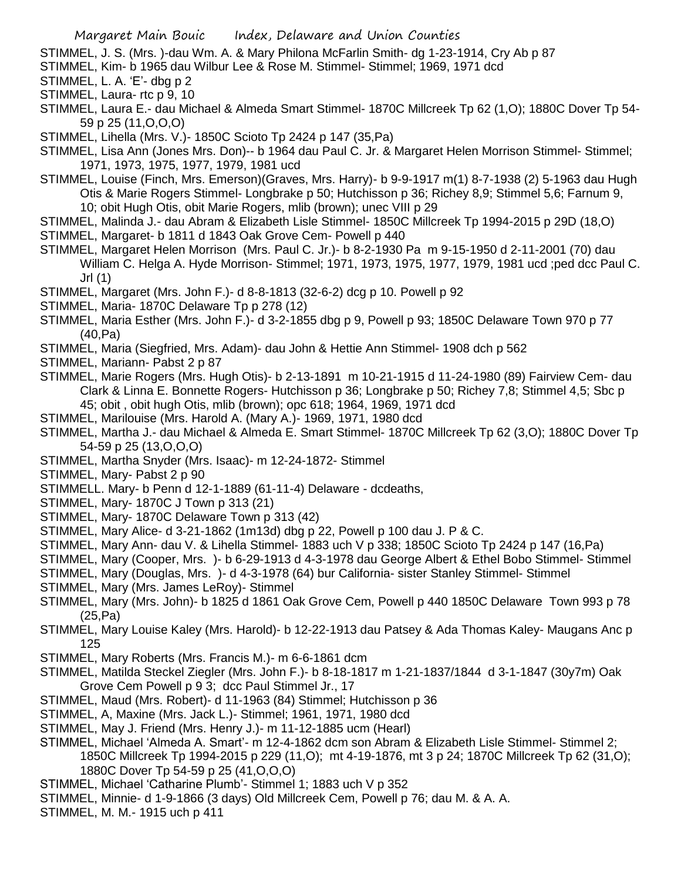STIMMEL, J. S. (Mrs. )-dau Wm. A. & Mary Philona McFarlin Smith- dg 1-23-1914, Cry Ab p 87

STIMMEL, Kim- b 1965 dau Wilbur Lee & Rose M. Stimmel- Stimmel; 1969, 1971 dcd

STIMMEL, L. A. 'E'- dbg p 2

STIMMEL, Laura- rtc p 9, 10

STIMMEL, Laura E.- dau Michael & Almeda Smart Stimmel- 1870C Millcreek Tp 62 (1,O); 1880C Dover Tp 54- 59 p 25 (11,O,O,O)

STIMMEL, Lihella (Mrs. V.)- 1850C Scioto Tp 2424 p 147 (35,Pa)

STIMMEL, Lisa Ann (Jones Mrs. Don)-- b 1964 dau Paul C. Jr. & Margaret Helen Morrison Stimmel- Stimmel; 1971, 1973, 1975, 1977, 1979, 1981 ucd

STIMMEL, Louise (Finch, Mrs. Emerson)(Graves, Mrs. Harry)- b 9-9-1917 m(1) 8-7-1938 (2) 5-1963 dau Hugh Otis & Marie Rogers Stimmel- Longbrake p 50; Hutchisson p 36; Richey 8,9; Stimmel 5,6; Farnum 9, 10; obit Hugh Otis, obit Marie Rogers, mlib (brown); unec VIII p 29

STIMMEL, Malinda J.- dau Abram & Elizabeth Lisle Stimmel- 1850C Millcreek Tp 1994-2015 p 29D (18,O)

STIMMEL, Margaret- b 1811 d 1843 Oak Grove Cem- Powell p 440

STIMMEL, Margaret Helen Morrison (Mrs. Paul C. Jr.)- b 8-2-1930 Pa m 9-15-1950 d 2-11-2001 (70) dau William C. Helga A. Hyde Morrison- Stimmel; 1971, 1973, 1975, 1977, 1979, 1981 ucd ;ped dcc Paul C. Jrl (1)

STIMMEL, Margaret (Mrs. John F.)- d 8-8-1813 (32-6-2) dcg p 10. Powell p 92

- STIMMEL, Maria- 1870C Delaware Tp p 278 (12)
- STIMMEL, Maria Esther (Mrs. John F.)- d 3-2-1855 dbg p 9, Powell p 93; 1850C Delaware Town 970 p 77 (40,Pa)
- STIMMEL, Maria (Siegfried, Mrs. Adam)- dau John & Hettie Ann Stimmel- 1908 dch p 562
- STIMMEL, Mariann- Pabst 2 p 87
- STIMMEL, Marie Rogers (Mrs. Hugh Otis)- b 2-13-1891 m 10-21-1915 d 11-24-1980 (89) Fairview Cem- dau Clark & Linna E. Bonnette Rogers- Hutchisson p 36; Longbrake p 50; Richey 7,8; Stimmel 4,5; Sbc p 45; obit , obit hugh Otis, mlib (brown); opc 618; 1964, 1969, 1971 dcd
- STIMMEL, Marilouise (Mrs. Harold A. (Mary A.)- 1969, 1971, 1980 dcd
- STIMMEL, Martha J.- dau Michael & Almeda E. Smart Stimmel- 1870C Millcreek Tp 62 (3,O); 1880C Dover Tp 54-59 p 25 (13,O,O,O)
- STIMMEL, Martha Snyder (Mrs. Isaac)- m 12-24-1872- Stimmel

STIMMEL, Mary- Pabst 2 p 90

- STIMMELL. Mary- b Penn d 12-1-1889 (61-11-4) Delaware dcdeaths,
- STIMMEL, Mary- 1870C J Town p 313 (21)
- STIMMEL, Mary- 1870C Delaware Town p 313 (42)
- STIMMEL, Mary Alice- d 3-21-1862 (1m13d) dbg p 22, Powell p 100 dau J. P & C.
- STIMMEL, Mary Ann- dau V. & Lihella Stimmel- 1883 uch V p 338; 1850C Scioto Tp 2424 p 147 (16,Pa)
- STIMMEL, Mary (Cooper, Mrs. )- b 6-29-1913 d 4-3-1978 dau George Albert & Ethel Bobo Stimmel- Stimmel
- STIMMEL, Mary (Douglas, Mrs. )- d 4-3-1978 (64) bur California- sister Stanley Stimmel- Stimmel
- STIMMEL, Mary (Mrs. James LeRoy)- Stimmel
- STIMMEL, Mary (Mrs. John)- b 1825 d 1861 Oak Grove Cem, Powell p 440 1850C Delaware Town 993 p 78 (25,Pa)
- STIMMEL, Mary Louise Kaley (Mrs. Harold)- b 12-22-1913 dau Patsey & Ada Thomas Kaley- Maugans Anc p 125
- STIMMEL, Mary Roberts (Mrs. Francis M.)- m 6-6-1861 dcm
- STIMMEL, Matilda Steckel Ziegler (Mrs. John F.)- b 8-18-1817 m 1-21-1837/1844 d 3-1-1847 (30y7m) Oak Grove Cem Powell p 9 3; dcc Paul Stimmel Jr., 17
- STIMMEL, Maud (Mrs. Robert)- d 11-1963 (84) Stimmel; Hutchisson p 36
- STIMMEL, A, Maxine (Mrs. Jack L.)- Stimmel; 1961, 1971, 1980 dcd
- STIMMEL, May J. Friend (Mrs. Henry J.)- m 11-12-1885 ucm (Hearl)
- STIMMEL, Michael 'Almeda A. Smart'- m 12-4-1862 dcm son Abram & Elizabeth Lisle Stimmel- Stimmel 2; 1850C Millcreek Tp 1994-2015 p 229 (11,O); mt 4-19-1876, mt 3 p 24; 1870C Millcreek Tp 62 (31,O); 1880C Dover Tp 54-59 p 25 (41,O,O,O)
- STIMMEL, Michael 'Catharine Plumb'- Stimmel 1; 1883 uch V p 352
- STIMMEL, Minnie- d 1-9-1866 (3 days) Old Millcreek Cem, Powell p 76; dau M. & A. A.
- STIMMEL, M. M.- 1915 uch p 411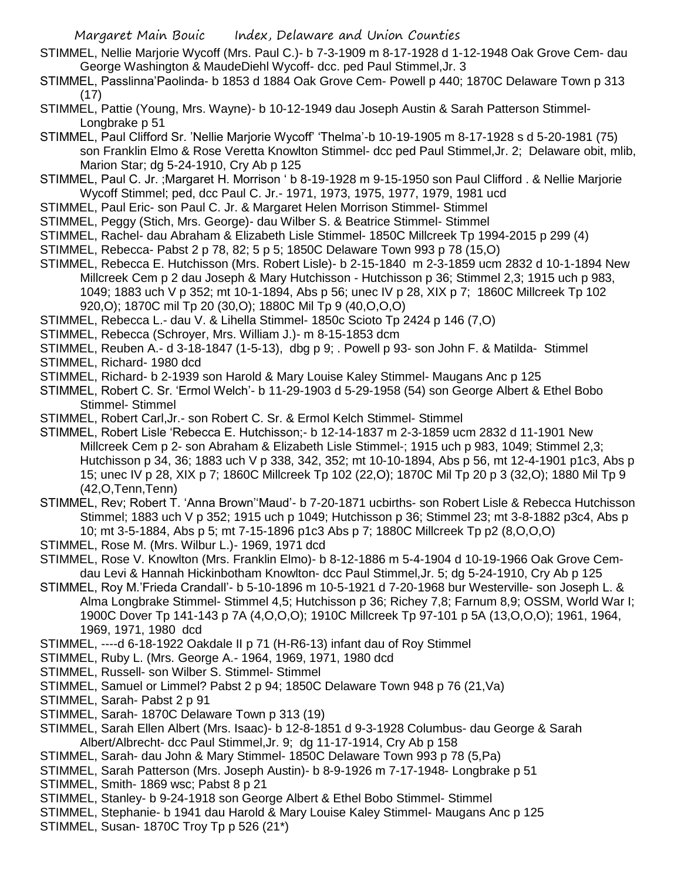- STIMMEL, Nellie Marjorie Wycoff (Mrs. Paul C.)- b 7-3-1909 m 8-17-1928 d 1-12-1948 Oak Grove Cem- dau George Washington & MaudeDiehl Wycoff- dcc. ped Paul Stimmel,Jr. 3
- STIMMEL, Passlinna'Paolinda- b 1853 d 1884 Oak Grove Cem- Powell p 440; 1870C Delaware Town p 313 (17)
- STIMMEL, Pattie (Young, Mrs. Wayne)- b 10-12-1949 dau Joseph Austin & Sarah Patterson Stimmel-Longbrake p 51
- STIMMEL, Paul Clifford Sr. 'Nellie Marjorie Wycoff' 'Thelma'-b 10-19-1905 m 8-17-1928 s d 5-20-1981 (75) son Franklin Elmo & Rose Veretta Knowlton Stimmel- dcc ped Paul Stimmel,Jr. 2; Delaware obit, mlib, Marion Star; dg 5-24-1910, Cry Ab p 125
- STIMMEL, Paul C. Jr. ;Margaret H. Morrison ' b 8-19-1928 m 9-15-1950 son Paul Clifford . & Nellie Marjorie Wycoff Stimmel; ped, dcc Paul C. Jr.- 1971, 1973, 1975, 1977, 1979, 1981 ucd
- STIMMEL, Paul Eric- son Paul C. Jr. & Margaret Helen Morrison Stimmel- Stimmel
- STIMMEL, Peggy (Stich, Mrs. George)- dau Wilber S. & Beatrice Stimmel- Stimmel
- STIMMEL, Rachel- dau Abraham & Elizabeth Lisle Stimmel- 1850C Millcreek Tp 1994-2015 p 299 (4)
- STIMMEL, Rebecca- Pabst 2 p 78, 82; 5 p 5; 1850C Delaware Town 993 p 78 (15,O)
- STIMMEL, Rebecca E. Hutchisson (Mrs. Robert Lisle)- b 2-15-1840 m 2-3-1859 ucm 2832 d 10-1-1894 New Millcreek Cem p 2 dau Joseph & Mary Hutchisson - Hutchisson p 36; Stimmel 2,3; 1915 uch p 983, 1049; 1883 uch V p 352; mt 10-1-1894, Abs p 56; unec IV p 28, XIX p 7; 1860C Millcreek Tp 102 920,O); 1870C mil Tp 20 (30,O); 1880C Mil Tp 9 (40,O,O,O)
- STIMMEL, Rebecca L.- dau V. & Lihella Stimmel- 1850c Scioto Tp 2424 p 146 (7,O)
- STIMMEL, Rebecca (Schroyer, Mrs. William J.)- m 8-15-1853 dcm
- STIMMEL, Reuben A.- d 3-18-1847 (1-5-13), dbg p 9; . Powell p 93- son John F. & Matilda- Stimmel
- STIMMEL, Richard- 1980 dcd
- STIMMEL, Richard- b 2-1939 son Harold & Mary Louise Kaley Stimmel- Maugans Anc p 125
- STIMMEL, Robert C. Sr. 'Ermol Welch'- b 11-29-1903 d 5-29-1958 (54) son George Albert & Ethel Bobo Stimmel- Stimmel
- STIMMEL, Robert Carl,Jr.- son Robert C. Sr. & Ermol Kelch Stimmel- Stimmel
- STIMMEL, Robert Lisle 'Rebecca E. Hutchisson;- b 12-14-1837 m 2-3-1859 ucm 2832 d 11-1901 New Millcreek Cem p 2- son Abraham & Elizabeth Lisle Stimmel-; 1915 uch p 983, 1049; Stimmel 2,3; Hutchisson p 34, 36; 1883 uch V p 338, 342, 352; mt 10-10-1894, Abs p 56, mt 12-4-1901 p1c3, Abs p 15; unec IV p 28, XIX p 7; 1860C Millcreek Tp 102 (22,O); 1870C Mil Tp 20 p 3 (32,O); 1880 Mil Tp 9 (42,O,Tenn,Tenn)
- STIMMEL, Rev; Robert T. 'Anna Brown''Maud'- b 7-20-1871 ucbirths- son Robert Lisle & Rebecca Hutchisson Stimmel; 1883 uch V p 352; 1915 uch p 1049; Hutchisson p 36; Stimmel 23; mt 3-8-1882 p3c4, Abs p 10; mt 3-5-1884, Abs p 5; mt 7-15-1896 p1c3 Abs p 7; 1880C Millcreek Tp p2 (8,O,O,O)
- STIMMEL, Rose M. (Mrs. Wilbur L.)- 1969, 1971 dcd
- STIMMEL, Rose V. Knowlton (Mrs. Franklin Elmo)- b 8-12-1886 m 5-4-1904 d 10-19-1966 Oak Grove Cemdau Levi & Hannah Hickinbotham Knowlton- dcc Paul Stimmel,Jr. 5; dg 5-24-1910, Cry Ab p 125
- STIMMEL, Roy M.'Frieda Crandall'- b 5-10-1896 m 10-5-1921 d 7-20-1968 bur Westerville- son Joseph L. & Alma Longbrake Stimmel- Stimmel 4,5; Hutchisson p 36; Richey 7,8; Farnum 8,9; OSSM, World War I; 1900C Dover Tp 141-143 p 7A (4,O,O,O); 1910C Millcreek Tp 97-101 p 5A (13,O,O,O); 1961, 1964, 1969, 1971, 1980 dcd
- STIMMEL, ----d 6-18-1922 Oakdale II p 71 (H-R6-13) infant dau of Roy Stimmel
- STIMMEL, Ruby L. (Mrs. George A.- 1964, 1969, 1971, 1980 dcd
- STIMMEL, Russell- son Wilber S. Stimmel- Stimmel
- STIMMEL, Samuel or Limmel? Pabst 2 p 94; 1850C Delaware Town 948 p 76 (21,Va)
- STIMMEL, Sarah- Pabst 2 p 91
- STIMMEL, Sarah- 1870C Delaware Town p 313 (19)
- STIMMEL, Sarah Ellen Albert (Mrs. Isaac)- b 12-8-1851 d 9-3-1928 Columbus- dau George & Sarah Albert/Albrecht- dcc Paul Stimmel,Jr. 9; dg 11-17-1914, Cry Ab p 158
- STIMMEL, Sarah- dau John & Mary Stimmel- 1850C Delaware Town 993 p 78 (5,Pa)
- STIMMEL, Sarah Patterson (Mrs. Joseph Austin)- b 8-9-1926 m 7-17-1948- Longbrake p 51
- STIMMEL, Smith- 1869 wsc; Pabst 8 p 21
- STIMMEL, Stanley- b 9-24-1918 son George Albert & Ethel Bobo Stimmel- Stimmel
- STIMMEL, Stephanie- b 1941 dau Harold & Mary Louise Kaley Stimmel- Maugans Anc p 125
- STIMMEL, Susan- 1870C Troy Tp p 526 (21\*)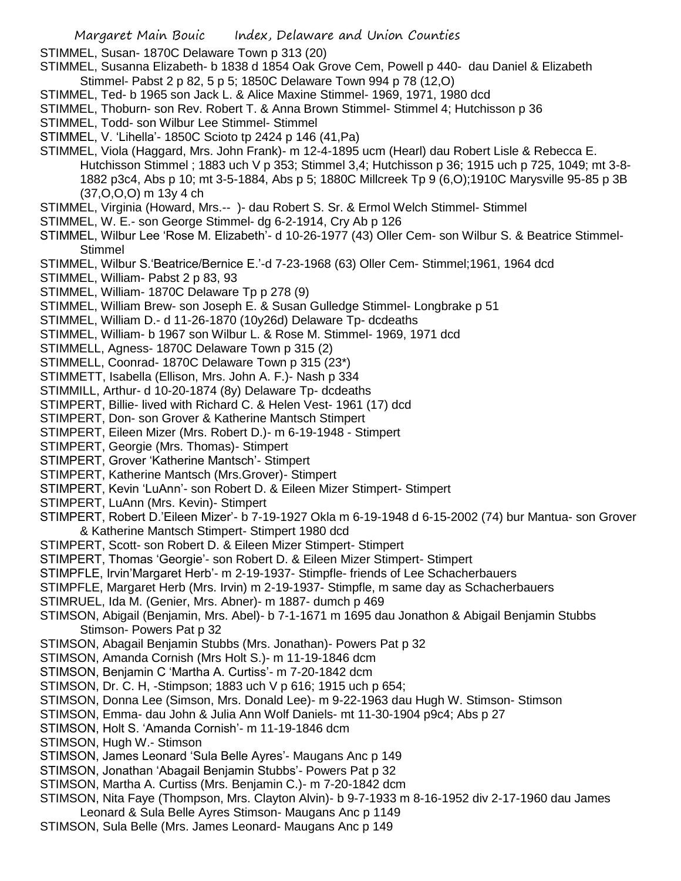STIMMEL, Susan- 1870C Delaware Town p 313 (20)

STIMMEL, Susanna Elizabeth- b 1838 d 1854 Oak Grove Cem, Powell p 440- dau Daniel & Elizabeth Stimmel- Pabst 2 p 82, 5 p 5; 1850C Delaware Town 994 p 78 (12,O)

- STIMMEL, Ted- b 1965 son Jack L. & Alice Maxine Stimmel- 1969, 1971, 1980 dcd
- STIMMEL, Thoburn- son Rev. Robert T. & Anna Brown Stimmel- Stimmel 4; Hutchisson p 36
- STIMMEL, Todd- son Wilbur Lee Stimmel- Stimmel
- STIMMEL, V. 'Lihella'- 1850C Scioto tp 2424 p 146 (41,Pa)
- STIMMEL, Viola (Haggard, Mrs. John Frank)- m 12-4-1895 ucm (Hearl) dau Robert Lisle & Rebecca E. Hutchisson Stimmel ; 1883 uch V p 353; Stimmel 3,4; Hutchisson p 36; 1915 uch p 725, 1049; mt 3-8- 1882 p3c4, Abs p 10; mt 3-5-1884, Abs p 5; 1880C Millcreek Tp 9 (6,O);1910C Marysville 95-85 p 3B (37,O,O,O) m 13y 4 ch
- STIMMEL, Virginia (Howard, Mrs.-- )- dau Robert S. Sr. & Ermol Welch Stimmel- Stimmel
- STIMMEL, W. E.- son George Stimmel- dg 6-2-1914, Cry Ab p 126
- STIMMEL, Wilbur Lee 'Rose M. Elizabeth'- d 10-26-1977 (43) Oller Cem- son Wilbur S. & Beatrice Stimmel-**Stimmel**
- STIMMEL, Wilbur S.'Beatrice/Bernice E.'-d 7-23-1968 (63) Oller Cem- Stimmel;1961, 1964 dcd
- STIMMEL, William- Pabst 2 p 83, 93
- STIMMEL, William- 1870C Delaware Tp p 278 (9)
- STIMMEL, William Brew- son Joseph E. & Susan Gulledge Stimmel- Longbrake p 51
- STIMMEL, William D.- d 11-26-1870 (10y26d) Delaware Tp- dcdeaths
- STIMMEL, William- b 1967 son Wilbur L. & Rose M. Stimmel- 1969, 1971 dcd
- STIMMELL, Agness- 1870C Delaware Town p 315 (2)
- STIMMELL, Coonrad- 1870C Delaware Town p 315 (23\*)
- STIMMETT, Isabella (Ellison, Mrs. John A. F.)- Nash p 334
- STIMMILL, Arthur- d 10-20-1874 (8y) Delaware Tp- dcdeaths
- STIMPERT, Billie- lived with Richard C. & Helen Vest- 1961 (17) dcd
- STIMPERT, Don- son Grover & Katherine Mantsch Stimpert
- STIMPERT, Eileen Mizer (Mrs. Robert D.)- m 6-19-1948 Stimpert
- STIMPERT, Georgie (Mrs. Thomas)- Stimpert
- STIMPERT, Grover 'Katherine Mantsch'- Stimpert
- STIMPERT, Katherine Mantsch (Mrs.Grover)- Stimpert
- STIMPERT, Kevin 'LuAnn'- son Robert D. & Eileen Mizer Stimpert- Stimpert
- STIMPERT, LuAnn (Mrs. Kevin)- Stimpert
- STIMPERT, Robert D.'Eileen Mizer'- b 7-19-1927 Okla m 6-19-1948 d 6-15-2002 (74) bur Mantua- son Grover & Katherine Mantsch Stimpert- Stimpert 1980 dcd
- STIMPERT, Scott- son Robert D. & Eileen Mizer Stimpert- Stimpert
- STIMPERT, Thomas 'Georgie'- son Robert D. & Eileen Mizer Stimpert- Stimpert
- STIMPFLE, Irvin'Margaret Herb'- m 2-19-1937- Stimpfle- friends of Lee Schacherbauers
- STIMPFLE, Margaret Herb (Mrs. Irvin) m 2-19-1937- Stimpfle, m same day as Schacherbauers
- STIMRUEL, Ida M. (Genier, Mrs. Abner)- m 1887- dumch p 469
- STIMSON, Abigail (Benjamin, Mrs. Abel)- b 7-1-1671 m 1695 dau Jonathon & Abigail Benjamin Stubbs Stimson- Powers Pat p 32
- STIMSON, Abagail Benjamin Stubbs (Mrs. Jonathan)- Powers Pat p 32
- STIMSON, Amanda Cornish (Mrs Holt S.)- m 11-19-1846 dcm
- STIMSON, Benjamin C 'Martha A. Curtiss'- m 7-20-1842 dcm
- STIMSON, Dr. C. H, -Stimpson; 1883 uch V p 616; 1915 uch p 654;
- STIMSON, Donna Lee (Simson, Mrs. Donald Lee)- m 9-22-1963 dau Hugh W. Stimson- Stimson
- STIMSON, Emma- dau John & Julia Ann Wolf Daniels- mt 11-30-1904 p9c4; Abs p 27
- STIMSON, Holt S. 'Amanda Cornish'- m 11-19-1846 dcm
- STIMSON, Hugh W.- Stimson
- STIMSON, James Leonard 'Sula Belle Ayres'- Maugans Anc p 149
- STIMSON, Jonathan 'Abagail Benjamin Stubbs'- Powers Pat p 32
- STIMSON, Martha A. Curtiss (Mrs. Benjamin C.)- m 7-20-1842 dcm
- STIMSON, Nita Faye (Thompson, Mrs. Clayton Alvin)- b 9-7-1933 m 8-16-1952 div 2-17-1960 dau James Leonard & Sula Belle Ayres Stimson- Maugans Anc p 1149
- STIMSON, Sula Belle (Mrs. James Leonard- Maugans Anc p 149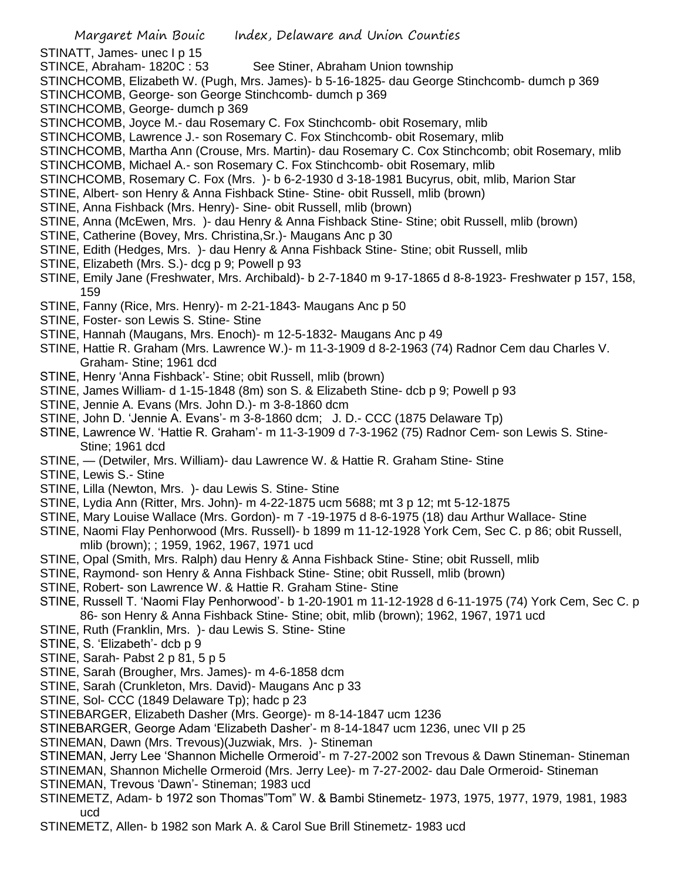STINATT, James- unec I p 15

STINCE, Abraham- 1820C: 53 See Stiner, Abraham Union township

- STINCHCOMB, Elizabeth W. (Pugh, Mrs. James)- b 5-16-1825- dau George Stinchcomb- dumch p 369
- STINCHCOMB, George- son George Stinchcomb- dumch p 369
- STINCHCOMB, George- dumch p 369
- STINCHCOMB, Joyce M.- dau Rosemary C. Fox Stinchcomb- obit Rosemary, mlib
- STINCHCOMB, Lawrence J.- son Rosemary C. Fox Stinchcomb- obit Rosemary, mlib
- STINCHCOMB, Martha Ann (Crouse, Mrs. Martin)- dau Rosemary C. Cox Stinchcomb; obit Rosemary, mlib
- STINCHCOMB, Michael A.- son Rosemary C. Fox Stinchcomb- obit Rosemary, mlib
- STINCHCOMB, Rosemary C. Fox (Mrs. )- b 6-2-1930 d 3-18-1981 Bucyrus, obit, mlib, Marion Star
- STINE, Albert- son Henry & Anna Fishback Stine- Stine- obit Russell, mlib (brown)
- STINE, Anna Fishback (Mrs. Henry)- Sine- obit Russell, mlib (brown)
- STINE, Anna (McEwen, Mrs. )- dau Henry & Anna Fishback Stine- Stine; obit Russell, mlib (brown)
- STINE, Catherine (Bovey, Mrs. Christina,Sr.)- Maugans Anc p 30
- STINE, Edith (Hedges, Mrs. )- dau Henry & Anna Fishback Stine- Stine; obit Russell, mlib
- STINE, Elizabeth (Mrs. S.)- dcg p 9; Powell p 93
- STINE, Emily Jane (Freshwater, Mrs. Archibald)- b 2-7-1840 m 9-17-1865 d 8-8-1923- Freshwater p 157, 158, 159
- STINE, Fanny (Rice, Mrs. Henry)- m 2-21-1843- Maugans Anc p 50
- STINE, Foster- son Lewis S. Stine- Stine
- STINE, Hannah (Maugans, Mrs. Enoch)- m 12-5-1832- Maugans Anc p 49
- STINE, Hattie R. Graham (Mrs. Lawrence W.)- m 11-3-1909 d 8-2-1963 (74) Radnor Cem dau Charles V. Graham- Stine; 1961 dcd
- STINE, Henry 'Anna Fishback'- Stine; obit Russell, mlib (brown)
- STINE, James William- d 1-15-1848 (8m) son S. & Elizabeth Stine- dcb p 9; Powell p 93
- STINE, Jennie A. Evans (Mrs. John D.)- m 3-8-1860 dcm
- STINE, John D. 'Jennie A. Evans'- m 3-8-1860 dcm; J. D.- CCC (1875 Delaware Tp)
- STINE, Lawrence W. 'Hattie R. Graham'- m 11-3-1909 d 7-3-1962 (75) Radnor Cem- son Lewis S. Stine-Stine; 1961 dcd
- STINE, (Detwiler, Mrs. William)- dau Lawrence W. & Hattie R. Graham Stine- Stine
- STINE, Lewis S.- Stine
- STINE, Lilla (Newton, Mrs. )- dau Lewis S. Stine- Stine
- STINE, Lydia Ann (Ritter, Mrs. John)- m 4-22-1875 ucm 5688; mt 3 p 12; mt 5-12-1875
- STINE, Mary Louise Wallace (Mrs. Gordon)- m 7 -19-1975 d 8-6-1975 (18) dau Arthur Wallace- Stine
- STINE, Naomi Flay Penhorwood (Mrs. Russell)- b 1899 m 11-12-1928 York Cem, Sec C. p 86; obit Russell, mlib (brown); ; 1959, 1962, 1967, 1971 ucd
- STINE, Opal (Smith, Mrs. Ralph) dau Henry & Anna Fishback Stine- Stine; obit Russell, mlib
- STINE, Raymond- son Henry & Anna Fishback Stine- Stine; obit Russell, mlib (brown)
- STINE, Robert- son Lawrence W. & Hattie R. Graham Stine- Stine
- STINE, Russell T. 'Naomi Flay Penhorwood'- b 1-20-1901 m 11-12-1928 d 6-11-1975 (74) York Cem, Sec C. p 86- son Henry & Anna Fishback Stine- Stine; obit, mlib (brown); 1962, 1967, 1971 ucd
- STINE, Ruth (Franklin, Mrs. )- dau Lewis S. Stine- Stine
- STINE, S. 'Elizabeth'- dcb p 9
- STINE, Sarah- Pabst 2 p 81, 5 p 5
- STINE, Sarah (Brougher, Mrs. James)- m 4-6-1858 dcm
- STINE, Sarah (Crunkleton, Mrs. David)- Maugans Anc p 33
- STINE, Sol- CCC (1849 Delaware Tp); hadc p 23
- STINEBARGER, Elizabeth Dasher (Mrs. George)- m 8-14-1847 ucm 1236
- STINEBARGER, George Adam 'Elizabeth Dasher'- m 8-14-1847 ucm 1236, unec VII p 25
- STINEMAN, Dawn (Mrs. Trevous)(Juzwiak, Mrs. )- Stineman
- STINEMAN, Jerry Lee 'Shannon Michelle Ormeroid'- m 7-27-2002 son Trevous & Dawn Stineman- Stineman STINEMAN, Shannon Michelle Ormeroid (Mrs. Jerry Lee)- m 7-27-2002- dau Dale Ormeroid- Stineman
- STINEMAN, Trevous 'Dawn'- Stineman; 1983 ucd
- STINEMETZ, Adam- b 1972 son Thomas"Tom" W. & Bambi Stinemetz- 1973, 1975, 1977, 1979, 1981, 1983 ucd
- STINEMETZ, Allen- b 1982 son Mark A. & Carol Sue Brill Stinemetz- 1983 ucd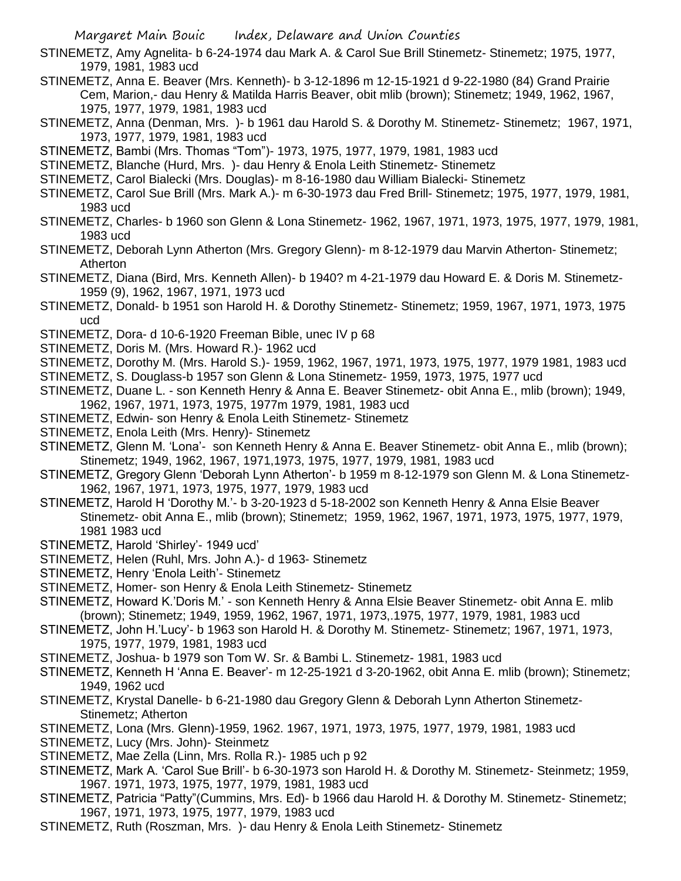- STINEMETZ, Amy Agnelita- b 6-24-1974 dau Mark A. & Carol Sue Brill Stinemetz- Stinemetz; 1975, 1977, 1979, 1981, 1983 ucd
- STINEMETZ, Anna E. Beaver (Mrs. Kenneth)- b 3-12-1896 m 12-15-1921 d 9-22-1980 (84) Grand Prairie Cem, Marion,- dau Henry & Matilda Harris Beaver, obit mlib (brown); Stinemetz; 1949, 1962, 1967, 1975, 1977, 1979, 1981, 1983 ucd
- STINEMETZ, Anna (Denman, Mrs. )- b 1961 dau Harold S. & Dorothy M. Stinemetz- Stinemetz; 1967, 1971, 1973, 1977, 1979, 1981, 1983 ucd
- STINEMETZ, Bambi (Mrs. Thomas "Tom")- 1973, 1975, 1977, 1979, 1981, 1983 ucd
- STINEMETZ, Blanche (Hurd, Mrs. )- dau Henry & Enola Leith Stinemetz- Stinemetz
- STINEMETZ, Carol Bialecki (Mrs. Douglas)- m 8-16-1980 dau William Bialecki- Stinemetz
- STINEMETZ, Carol Sue Brill (Mrs. Mark A.)- m 6-30-1973 dau Fred Brill- Stinemetz; 1975, 1977, 1979, 1981, 1983 ucd
- STINEMETZ, Charles- b 1960 son Glenn & Lona Stinemetz- 1962, 1967, 1971, 1973, 1975, 1977, 1979, 1981, 1983 ucd
- STINEMETZ, Deborah Lynn Atherton (Mrs. Gregory Glenn)- m 8-12-1979 dau Marvin Atherton- Stinemetz; Atherton
- STINEMETZ, Diana (Bird, Mrs. Kenneth Allen)- b 1940? m 4-21-1979 dau Howard E. & Doris M. Stinemetz-1959 (9), 1962, 1967, 1971, 1973 ucd
- STINEMETZ, Donald- b 1951 son Harold H. & Dorothy Stinemetz- Stinemetz; 1959, 1967, 1971, 1973, 1975 ucd
- STINEMETZ, Dora- d 10-6-1920 Freeman Bible, unec IV p 68
- STINEMETZ, Doris M. (Mrs. Howard R.)- 1962 ucd
- STINEMETZ, Dorothy M. (Mrs. Harold S.)- 1959, 1962, 1967, 1971, 1973, 1975, 1977, 1979 1981, 1983 ucd
- STINEMETZ, S. Douglass-b 1957 son Glenn & Lona Stinemetz- 1959, 1973, 1975, 1977 ucd
- STINEMETZ, Duane L. son Kenneth Henry & Anna E. Beaver Stinemetz- obit Anna E., mlib (brown); 1949, 1962, 1967, 1971, 1973, 1975, 1977m 1979, 1981, 1983 ucd
- STINEMETZ, Edwin- son Henry & Enola Leith Stinemetz- Stinemetz
- STINEMETZ, Enola Leith (Mrs. Henry)- Stinemetz
- STINEMETZ, Glenn M. 'Lona'- son Kenneth Henry & Anna E. Beaver Stinemetz- obit Anna E., mlib (brown); Stinemetz; 1949, 1962, 1967, 1971,1973, 1975, 1977, 1979, 1981, 1983 ucd
- STINEMETZ, Gregory Glenn 'Deborah Lynn Atherton'- b 1959 m 8-12-1979 son Glenn M. & Lona Stinemetz-1962, 1967, 1971, 1973, 1975, 1977, 1979, 1983 ucd
- STINEMETZ, Harold H 'Dorothy M.'- b 3-20-1923 d 5-18-2002 son Kenneth Henry & Anna Elsie Beaver Stinemetz- obit Anna E., mlib (brown); Stinemetz; 1959, 1962, 1967, 1971, 1973, 1975, 1977, 1979, 1981 1983 ucd
- STINEMETZ, Harold 'Shirley'- 1949 ucd'
- STINEMETZ, Helen (Ruhl, Mrs. John A.)- d 1963- Stinemetz
- STINEMETZ, Henry 'Enola Leith'- Stinemetz
- STINEMETZ, Homer- son Henry & Enola Leith Stinemetz- Stinemetz
- STINEMETZ, Howard K.'Doris M.' son Kenneth Henry & Anna Elsie Beaver Stinemetz- obit Anna E. mlib (brown); Stinemetz; 1949, 1959, 1962, 1967, 1971, 1973,.1975, 1977, 1979, 1981, 1983 ucd
- STINEMETZ, John H.'Lucy'- b 1963 son Harold H. & Dorothy M. Stinemetz- Stinemetz; 1967, 1971, 1973, 1975, 1977, 1979, 1981, 1983 ucd
- STINEMETZ, Joshua- b 1979 son Tom W. Sr. & Bambi L. Stinemetz- 1981, 1983 ucd
- STINEMETZ, Kenneth H 'Anna E. Beaver'- m 12-25-1921 d 3-20-1962, obit Anna E. mlib (brown); Stinemetz; 1949, 1962 ucd
- STINEMETZ, Krystal Danelle- b 6-21-1980 dau Gregory Glenn & Deborah Lynn Atherton Stinemetz-Stinemetz; Atherton
- STINEMETZ, Lona (Mrs. Glenn)-1959, 1962. 1967, 1971, 1973, 1975, 1977, 1979, 1981, 1983 ucd
- STINEMETZ, Lucy (Mrs. John)- Steinmetz
- STINEMETZ, Mae Zella (Linn, Mrs. Rolla R.)- 1985 uch p 92
- STINEMETZ, Mark A. 'Carol Sue Brill'- b 6-30-1973 son Harold H. & Dorothy M. Stinemetz- Steinmetz; 1959, 1967. 1971, 1973, 1975, 1977, 1979, 1981, 1983 ucd
- STINEMETZ, Patricia "Patty"(Cummins, Mrs. Ed)- b 1966 dau Harold H. & Dorothy M. Stinemetz- Stinemetz; 1967, 1971, 1973, 1975, 1977, 1979, 1983 ucd
- STINEMETZ, Ruth (Roszman, Mrs. )- dau Henry & Enola Leith Stinemetz- Stinemetz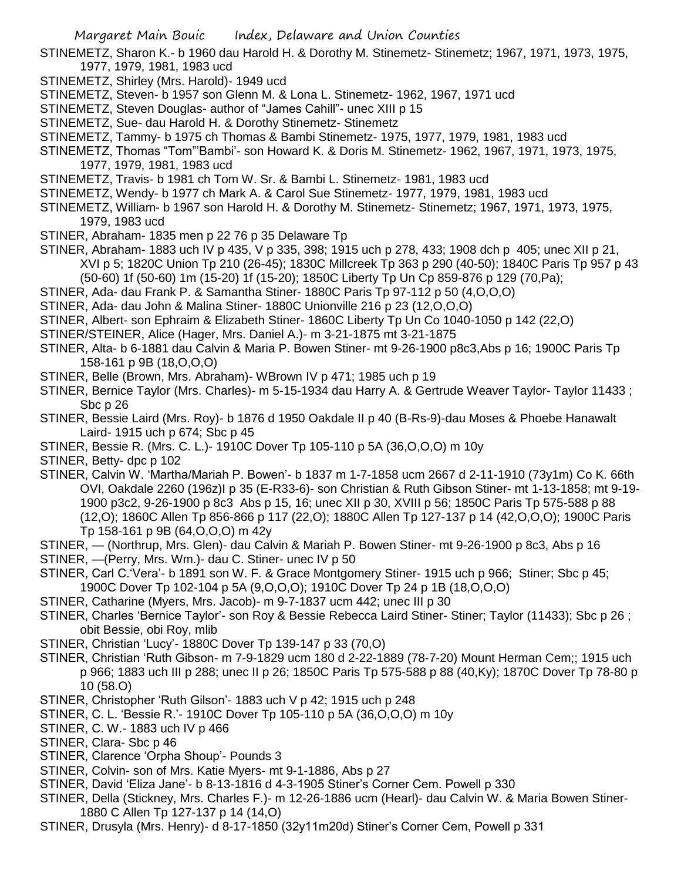STINEMETZ, Sharon K.- b 1960 dau Harold H. & Dorothy M. Stinemetz- Stinemetz; 1967, 1971, 1973, 1975, 1977, 1979, 1981, 1983 ucd

- STINEMETZ, Shirley (Mrs. Harold)- 1949 ucd
- STINEMETZ, Steven- b 1957 son Glenn M. & Lona L. Stinemetz- 1962, 1967, 1971 ucd
- STINEMETZ, Steven Douglas- author of "James Cahill"- unec XIII p 15
- STINEMETZ, Sue- dau Harold H. & Dorothy Stinemetz- Stinemetz
- STINEMETZ, Tammy- b 1975 ch Thomas & Bambi Stinemetz- 1975, 1977, 1979, 1981, 1983 ucd
- STINEMETZ, Thomas "Tom"'Bambi'- son Howard K. & Doris M. Stinemetz- 1962, 1967, 1971, 1973, 1975, 1977, 1979, 1981, 1983 ucd
- STINEMETZ, Travis- b 1981 ch Tom W. Sr. & Bambi L. Stinemetz- 1981, 1983 ucd
- STINEMETZ, Wendy- b 1977 ch Mark A. & Carol Sue Stinemetz- 1977, 1979, 1981, 1983 ucd
- STINEMETZ, William- b 1967 son Harold H. & Dorothy M. Stinemetz- Stinemetz; 1967, 1971, 1973, 1975, 1979, 1983 ucd
- STINER, Abraham- 1835 men p 22 76 p 35 Delaware Tp
- STINER, Abraham- 1883 uch IV p 435, V p 335, 398; 1915 uch p 278, 433; 1908 dch p 405; unec XII p 21, XVI p 5; 1820C Union Tp 210 (26-45); 1830C Millcreek Tp 363 p 290 (40-50); 1840C Paris Tp 957 p 43 (50-60) 1f (50-60) 1m (15-20) 1f (15-20); 1850C Liberty Tp Un Cp 859-876 p 129 (70,Pa);
- STINER, Ada- dau Frank P. & Samantha Stiner- 1880C Paris Tp 97-112 p 50 (4,O,O,O)
- STINER, Ada- dau John & Malina Stiner- 1880C Unionville 216 p 23 (12,O,O,O)
- STINER, Albert- son Ephraim & Elizabeth Stiner- 1860C Liberty Tp Un Co 1040-1050 p 142 (22,O)
- STINER/STEINER, Alice (Hager, Mrs. Daniel A.)- m 3-21-1875 mt 3-21-1875
- STINER, Alta- b 6-1881 dau Calvin & Maria P. Bowen Stiner- mt 9-26-1900 p8c3,Abs p 16; 1900C Paris Tp 158-161 p 9B (18,O,O,O)
- STINER, Belle (Brown, Mrs. Abraham)- WBrown IV p 471; 1985 uch p 19
- STINER, Bernice Taylor (Mrs. Charles)- m 5-15-1934 dau Harry A. & Gertrude Weaver Taylor- Taylor 11433 ; Sbc p 26
- STINER, Bessie Laird (Mrs. Roy)- b 1876 d 1950 Oakdale II p 40 (B-Rs-9)-dau Moses & Phoebe Hanawalt Laird- 1915 uch p 674; Sbc p 45
- STINER, Bessie R. (Mrs. C. L.)- 1910C Dover Tp 105-110 p 5A (36,O,O,O) m 10y

STINER, Betty- dpc p 102

- STINER, Calvin W. 'Martha/Mariah P. Bowen'- b 1837 m 1-7-1858 ucm 2667 d 2-11-1910 (73y1m) Co K. 66th OVI, Oakdale 2260 (196z)I p 35 (E-R33-6)- son Christian & Ruth Gibson Stiner- mt 1-13-1858; mt 9-19- 1900 p3c2, 9-26-1900 p 8c3 Abs p 15, 16; unec XII p 30, XVIII p 56; 1850C Paris Tp 575-588 p 88 (12,O); 1860C Allen Tp 856-866 p 117 (22,O); 1880C Allen Tp 127-137 p 14 (42,O,O,O); 1900C Paris Tp 158-161 p 9B (64,O,O,O) m 42y
- STINER, (Northrup, Mrs. Glen)- dau Calvin & Mariah P. Bowen Stiner- mt 9-26-1900 p 8c3, Abs p 16 STINER, —(Perry, Mrs. Wm.)- dau C. Stiner- unec IV p 50
- STINER, Carl C.'Vera'- b 1891 son W. F. & Grace Montgomery Stiner- 1915 uch p 966; Stiner; Sbc p 45; 1900C Dover Tp 102-104 p 5A (9,O,O,O); 1910C Dover Tp 24 p 1B (18,O,O,O)
- STINER, Catharine (Myers, Mrs. Jacob)- m 9-7-1837 ucm 442; unec III p 30
- STINER, Charles 'Bernice Taylor'- son Roy & Bessie Rebecca Laird Stiner- Stiner; Taylor (11433); Sbc p 26 ; obit Bessie, obi Roy, mlib
- STINER, Christian 'Lucy'- 1880C Dover Tp 139-147 p 33 (70,O)
- STINER, Christian 'Ruth Gibson- m 7-9-1829 ucm 180 d 2-22-1889 (78-7-20) Mount Herman Cem;; 1915 uch p 966; 1883 uch III p 288; unec II p 26; 1850C Paris Tp 575-588 p 88 (40,Ky); 1870C Dover Tp 78-80 p 10 (58.O)
- STINER, Christopher 'Ruth Gilson'- 1883 uch V p 42; 1915 uch p 248
- STINER, C. L. 'Bessie R.'- 1910C Dover Tp 105-110 p 5A (36,O,O,O) m 10y
- STINER, C. W.- 1883 uch IV p 466
- STINER, Clara- Sbc p 46
- STINER, Clarence 'Orpha Shoup'- Pounds 3
- STINER, Colvin- son of Mrs. Katie Myers- mt 9-1-1886, Abs p 27
- STINER, David 'Eliza Jane'- b 8-13-1816 d 4-3-1905 Stiner's Corner Cem. Powell p 330
- STINER, Della (Stickney, Mrs. Charles F.)- m 12-26-1886 ucm (Hearl)- dau Calvin W. & Maria Bowen Stiner-1880 C Allen Tp 127-137 p 14 (14,O)
- STINER, Drusyla (Mrs. Henry)- d 8-17-1850 (32y11m20d) Stiner's Corner Cem, Powell p 331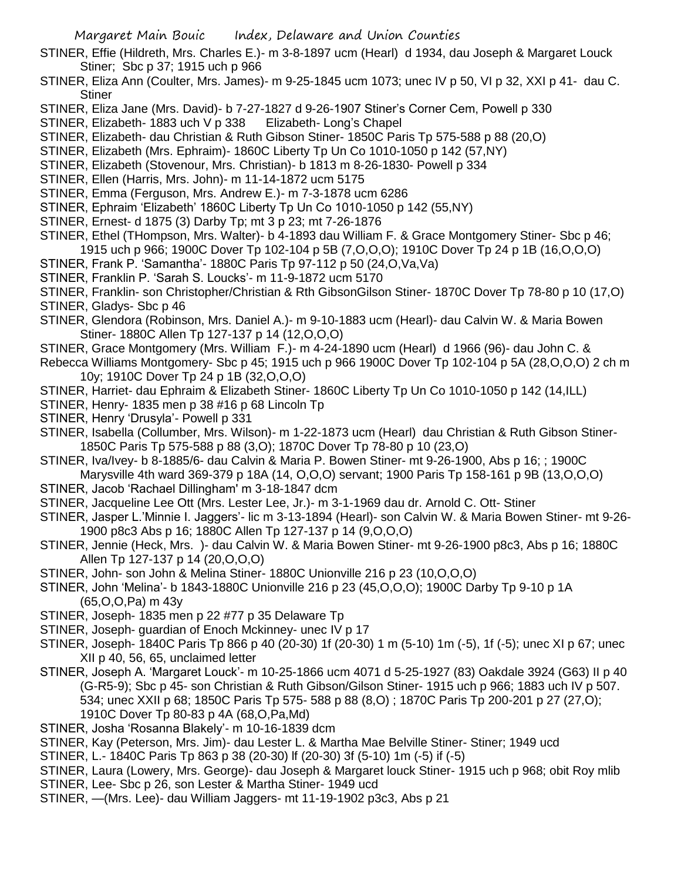- STINER, Effie (Hildreth, Mrs. Charles E.)- m 3-8-1897 ucm (Hearl) d 1934, dau Joseph & Margaret Louck Stiner; Sbc p 37; 1915 uch p 966
- STINER, Eliza Ann (Coulter, Mrs. James)- m 9-25-1845 ucm 1073; unec IV p 50, VI p 32, XXI p 41- dau C. **Stiner**
- STINER, Eliza Jane (Mrs. David)- b 7-27-1827 d 9-26-1907 Stiner's Corner Cem, Powell p 330
- STINER, Elizabeth- 1883 uch V p 338 Elizabeth- Long's Chapel
- STINER, Elizabeth- dau Christian & Ruth Gibson Stiner- 1850C Paris Tp 575-588 p 88 (20,O)
- STINER, Elizabeth (Mrs. Ephraim)- 1860C Liberty Tp Un Co 1010-1050 p 142 (57,NY)
- STINER, Elizabeth (Stovenour, Mrs. Christian)- b 1813 m 8-26-1830- Powell p 334
- STINER, Ellen (Harris, Mrs. John)- m 11-14-1872 ucm 5175
- STINER, Emma (Ferguson, Mrs. Andrew E.)- m 7-3-1878 ucm 6286
- STINER, Ephraim 'Elizabeth' 1860C Liberty Tp Un Co 1010-1050 p 142 (55,NY)
- STINER, Ernest- d 1875 (3) Darby Tp; mt 3 p 23; mt 7-26-1876
- STINER, Ethel (THompson, Mrs. Walter)- b 4-1893 dau William F. & Grace Montgomery Stiner- Sbc p 46; 1915 uch p 966; 1900C Dover Tp 102-104 p 5B (7,O,O,O); 1910C Dover Tp 24 p 1B (16,O,O,O)
- STINER, Frank P. 'Samantha'- 1880C Paris Tp 97-112 p 50 (24,O,Va,Va)
- STINER, Franklin P. 'Sarah S. Loucks'- m 11-9-1872 ucm 5170
- STINER, Franklin- son Christopher/Christian & Rth GibsonGilson Stiner- 1870C Dover Tp 78-80 p 10 (17,O) STINER, Gladys- Sbc p 46
- STINER, Glendora (Robinson, Mrs. Daniel A.)- m 9-10-1883 ucm (Hearl)- dau Calvin W. & Maria Bowen Stiner- 1880C Allen Tp 127-137 p 14 (12,O,O,O)
- STINER, Grace Montgomery (Mrs. William F.)- m 4-24-1890 ucm (Hearl) d 1966 (96)- dau John C. & Rebecca Williams Montgomery- Sbc p 45; 1915 uch p 966 1900C Dover Tp 102-104 p 5A (28,O,O,O) 2 ch m
	- 10y; 1910C Dover Tp 24 p 1B (32,O,O,O)
- STINER, Harriet- dau Ephraim & Elizabeth Stiner- 1860C Liberty Tp Un Co 1010-1050 p 142 (14,ILL)
- STINER, Henry- 1835 men p 38 #16 p 68 Lincoln Tp
- STINER, Henry 'Drusyla'- Powell p 331
- STINER, Isabella (Collumber, Mrs. Wilson)- m 1-22-1873 ucm (Hearl) dau Christian & Ruth Gibson Stiner-1850C Paris Tp 575-588 p 88 (3,O); 1870C Dover Tp 78-80 p 10 (23,O)
- STINER, Iva/Ivey- b 8-1885/6- dau Calvin & Maria P. Bowen Stiner- mt 9-26-1900, Abs p 16; ; 1900C Marysville 4th ward 369-379 p 18A (14, O,O,O) servant; 1900 Paris Tp 158-161 p 9B (13,O,O,O)
- STINER, Jacob 'Rachael Dillingham' m 3-18-1847 dcm
- STINER, Jacqueline Lee Ott (Mrs. Lester Lee, Jr.)- m 3-1-1969 dau dr. Arnold C. Ott- Stiner
- STINER, Jasper L.'Minnie I. Jaggers'- lic m 3-13-1894 (Hearl)- son Calvin W. & Maria Bowen Stiner- mt 9-26- 1900 p8c3 Abs p 16; 1880C Allen Tp 127-137 p 14 (9,O,O,O)
- STINER, Jennie (Heck, Mrs. )- dau Calvin W. & Maria Bowen Stiner- mt 9-26-1900 p8c3, Abs p 16; 1880C Allen Tp 127-137 p 14 (20,O,O,O)
- STINER, John- son John & Melina Stiner- 1880C Unionville 216 p 23 (10,O,O,O)
- STINER, John 'Melina'- b 1843-1880C Unionville 216 p 23 (45,O,O,O); 1900C Darby Tp 9-10 p 1A (65,O,O,Pa) m 43y
- STINER, Joseph- 1835 men p 22 #77 p 35 Delaware Tp
- STINER, Joseph- guardian of Enoch Mckinney- unec IV p 17
- STINER, Joseph- 1840C Paris Tp 866 p 40 (20-30) 1f (20-30) 1 m (5-10) 1m (-5), 1f (-5); unec XI p 67; unec XII p 40, 56, 65, unclaimed letter
- STINER, Joseph A. 'Margaret Louck'- m 10-25-1866 ucm 4071 d 5-25-1927 (83) Oakdale 3924 (G63) II p 40 (G-R5-9); Sbc p 45- son Christian & Ruth Gibson/Gilson Stiner- 1915 uch p 966; 1883 uch IV p 507. 534; unec XXII p 68; 1850C Paris Tp 575- 588 p 88 (8,O) ; 1870C Paris Tp 200-201 p 27 (27,O); 1910C Dover Tp 80-83 p 4A (68,O,Pa,Md)
- STINER, Josha 'Rosanna Blakely'- m 10-16-1839 dcm
- STINER, Kay (Peterson, Mrs. Jim)- dau Lester L. & Martha Mae Belville Stiner- Stiner; 1949 ucd
- STINER, L.- 1840C Paris Tp 863 p 38 (20-30) lf (20-30) 3f (5-10) 1m (-5) if (-5)
- STINER, Laura (Lowery, Mrs. George)- dau Joseph & Margaret louck Stiner- 1915 uch p 968; obit Roy mlib STINER, Lee- Sbc p 26, son Lester & Martha Stiner- 1949 ucd
- STINER, —(Mrs. Lee)- dau William Jaggers- mt 11-19-1902 p3c3, Abs p 21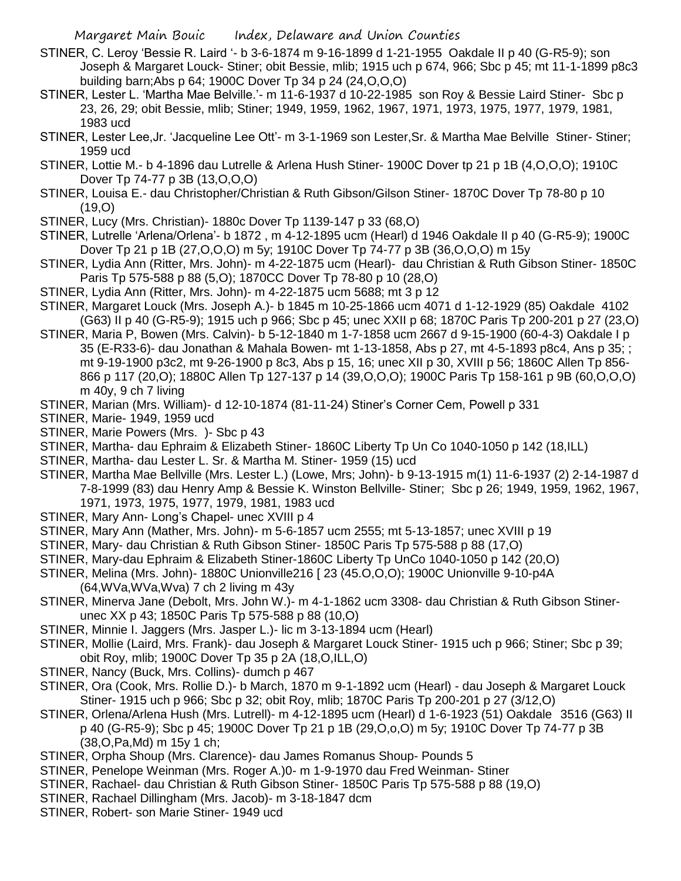- STINER, C. Leroy 'Bessie R. Laird '- b 3-6-1874 m 9-16-1899 d 1-21-1955 Oakdale II p 40 (G-R5-9); son Joseph & Margaret Louck- Stiner; obit Bessie, mlib; 1915 uch p 674, 966; Sbc p 45; mt 11-1-1899 p8c3 building barn;Abs p 64; 1900C Dover Tp 34 p 24 (24,O,O,O)
- STINER, Lester L. 'Martha Mae Belville.'- m 11-6-1937 d 10-22-1985 son Roy & Bessie Laird Stiner- Sbc p 23, 26, 29; obit Bessie, mlib; Stiner; 1949, 1959, 1962, 1967, 1971, 1973, 1975, 1977, 1979, 1981, 1983 ucd
- STINER, Lester Lee,Jr. 'Jacqueline Lee Ott'- m 3-1-1969 son Lester,Sr. & Martha Mae Belville Stiner- Stiner; 1959 ucd
- STINER, Lottie M.- b 4-1896 dau Lutrelle & Arlena Hush Stiner- 1900C Dover tp 21 p 1B (4,O,O,O); 1910C Dover Tp 74-77 p 3B (13,O,O,O)
- STINER, Louisa E.- dau Christopher/Christian & Ruth Gibson/Gilson Stiner- 1870C Dover Tp 78-80 p 10  $(19, 0)$
- STINER, Lucy (Mrs. Christian)- 1880c Dover Tp 1139-147 p 33 (68,O)
- STINER, Lutrelle 'Arlena/Orlena'- b 1872 , m 4-12-1895 ucm (Hearl) d 1946 Oakdale II p 40 (G-R5-9); 1900C Dover Tp 21 p 1B (27,O,O,O) m 5y; 1910C Dover Tp 74-77 p 3B (36,O,O,O) m 15y
- STINER, Lydia Ann (Ritter, Mrs. John)- m 4-22-1875 ucm (Hearl)- dau Christian & Ruth Gibson Stiner- 1850C Paris Tp 575-588 p 88 (5,O); 1870CC Dover Tp 78-80 p 10 (28,O)
- STINER, Lydia Ann (Ritter, Mrs. John)- m 4-22-1875 ucm 5688; mt 3 p 12
- STINER, Margaret Louck (Mrs. Joseph A.)- b 1845 m 10-25-1866 ucm 4071 d 1-12-1929 (85) Oakdale 4102 (G63) II p 40 (G-R5-9); 1915 uch p 966; Sbc p 45; unec XXII p 68; 1870C Paris Tp 200-201 p 27 (23,O)
- STINER, Maria P, Bowen (Mrs. Calvin)- b 5-12-1840 m 1-7-1858 ucm 2667 d 9-15-1900 (60-4-3) Oakdale I p 35 (E-R33-6)- dau Jonathan & Mahala Bowen- mt 1-13-1858, Abs p 27, mt 4-5-1893 p8c4, Ans p 35; ; mt 9-19-1900 p3c2, mt 9-26-1900 p 8c3, Abs p 15, 16; unec XII p 30, XVIII p 56; 1860C Allen Tp 856- 866 p 117 (20,O); 1880C Allen Tp 127-137 p 14 (39,O,O,O); 1900C Paris Tp 158-161 p 9B (60,O,O,O) m 40y, 9 ch 7 living
- STINER, Marian (Mrs. William)- d 12-10-1874 (81-11-24) Stiner's Corner Cem, Powell p 331
- STINER, Marie- 1949, 1959 ucd
- STINER, Marie Powers (Mrs. )- Sbc p 43
- STINER, Martha- dau Ephraim & Elizabeth Stiner- 1860C Liberty Tp Un Co 1040-1050 p 142 (18,ILL)
- STINER, Martha- dau Lester L. Sr. & Martha M. Stiner- 1959 (15) ucd
- STINER, Martha Mae Bellville (Mrs. Lester L.) (Lowe, Mrs; John)- b 9-13-1915 m(1) 11-6-1937 (2) 2-14-1987 d 7-8-1999 (83) dau Henry Amp & Bessie K. Winston Bellville- Stiner; Sbc p 26; 1949, 1959, 1962, 1967, 1971, 1973, 1975, 1977, 1979, 1981, 1983 ucd
- STINER, Mary Ann- Long's Chapel- unec XVIII p 4
- STINER, Mary Ann (Mather, Mrs. John)- m 5-6-1857 ucm 2555; mt 5-13-1857; unec XVIII p 19
- STINER, Mary- dau Christian & Ruth Gibson Stiner- 1850C Paris Tp 575-588 p 88 (17,O)
- STINER, Mary-dau Ephraim & Elizabeth Stiner-1860C Liberty Tp UnCo 1040-1050 p 142 (20,O)
- STINER, Melina (Mrs. John)- 1880C Unionville216 [ 23 (45.O,O,O); 1900C Unionville 9-10-p4A
	- (64,WVa,WVa,Wva) 7 ch 2 living m 43y
- STINER, Minerva Jane (Debolt, Mrs. John W.)- m 4-1-1862 ucm 3308- dau Christian & Ruth Gibson Stinerunec XX p 43; 1850C Paris Tp 575-588 p 88 (10,O)
- STINER, Minnie I. Jaggers (Mrs. Jasper L.)- lic m 3-13-1894 ucm (Hearl)
- STINER, Mollie (Laird, Mrs. Frank)- dau Joseph & Margaret Louck Stiner- 1915 uch p 966; Stiner; Sbc p 39; obit Roy, mlib; 1900C Dover Tp 35 p 2A (18,O,ILL,O)
- STINER, Nancy (Buck, Mrs. Collins)- dumch p 467
- STINER, Ora (Cook, Mrs. Rollie D.)- b March, 1870 m 9-1-1892 ucm (Hearl) dau Joseph & Margaret Louck Stiner- 1915 uch p 966; Sbc p 32; obit Roy, mlib; 1870C Paris Tp 200-201 p 27 (3/12,O)
- STINER, Orlena/Arlena Hush (Mrs. Lutrell)- m 4-12-1895 ucm (Hearl) d 1-6-1923 (51) Oakdale 3516 (G63) II p 40 (G-R5-9); Sbc p 45; 1900C Dover Tp 21 p 1B (29,O,o,O) m 5y; 1910C Dover Tp 74-77 p 3B (38,O,Pa,Md) m 15y 1 ch;
- STINER, Orpha Shoup (Mrs. Clarence)- dau James Romanus Shoup- Pounds 5
- STINER, Penelope Weinman (Mrs. Roger A.)0- m 1-9-1970 dau Fred Weinman- Stiner
- STINER, Rachael- dau Christian & Ruth Gibson Stiner- 1850C Paris Tp 575-588 p 88 (19,O)
- STINER, Rachael Dillingham (Mrs. Jacob)- m 3-18-1847 dcm
- STINER, Robert- son Marie Stiner- 1949 ucd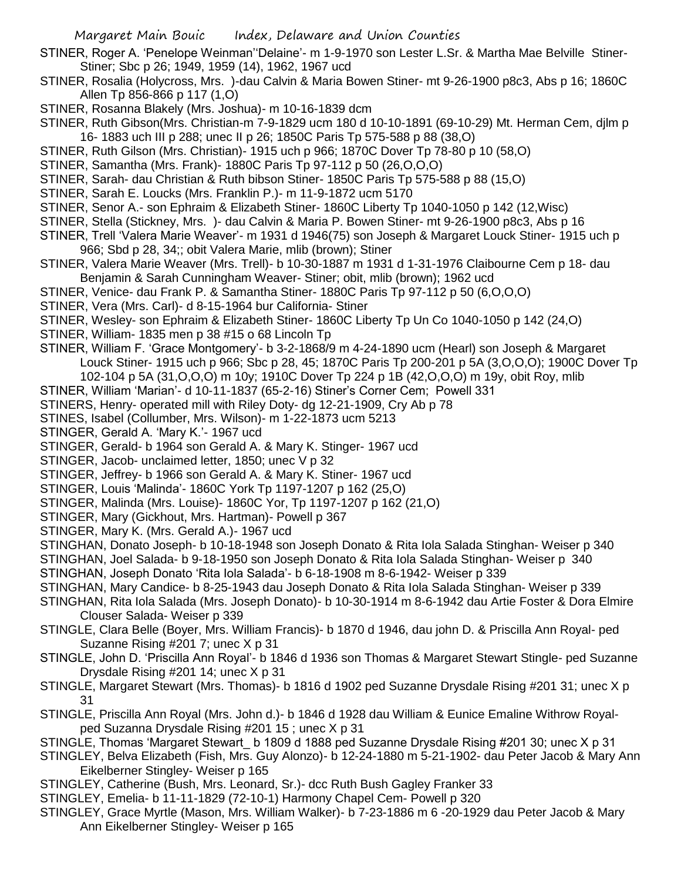- STINER, Roger A. 'Penelope Weinman''Delaine'- m 1-9-1970 son Lester L.Sr. & Martha Mae Belville Stiner-Stiner; Sbc p 26; 1949, 1959 (14), 1962, 1967 ucd
- STINER, Rosalia (Holycross, Mrs. )-dau Calvin & Maria Bowen Stiner- mt 9-26-1900 p8c3, Abs p 16; 1860C Allen Tp 856-866 p 117 (1,O)
- STINER, Rosanna Blakely (Mrs. Joshua)- m 10-16-1839 dcm
- STINER, Ruth Gibson(Mrs. Christian-m 7-9-1829 ucm 180 d 10-10-1891 (69-10-29) Mt. Herman Cem, djlm p 16- 1883 uch III p 288; unec II p 26; 1850C Paris Tp 575-588 p 88 (38,O)
- STINER, Ruth Gilson (Mrs. Christian)- 1915 uch p 966; 1870C Dover Tp 78-80 p 10 (58,O)
- STINER, Samantha (Mrs. Frank)- 1880C Paris Tp 97-112 p 50 (26,O,O,O)
- STINER, Sarah- dau Christian & Ruth bibson Stiner- 1850C Paris Tp 575-588 p 88 (15,O)
- STINER, Sarah E. Loucks (Mrs. Franklin P.)- m 11-9-1872 ucm 5170
- STINER, Senor A.- son Ephraim & Elizabeth Stiner- 1860C Liberty Tp 1040-1050 p 142 (12,Wisc)
- STINER, Stella (Stickney, Mrs. )- dau Calvin & Maria P. Bowen Stiner- mt 9-26-1900 p8c3, Abs p 16
- STINER, Trell 'Valera Marie Weaver'- m 1931 d 1946(75) son Joseph & Margaret Louck Stiner- 1915 uch p 966; Sbd p 28, 34;; obit Valera Marie, mlib (brown); Stiner
- STINER, Valera Marie Weaver (Mrs. Trell)- b 10-30-1887 m 1931 d 1-31-1976 Claibourne Cem p 18- dau Benjamin & Sarah Cunningham Weaver- Stiner; obit, mlib (brown); 1962 ucd
- STINER, Venice- dau Frank P. & Samantha Stiner- 1880C Paris Tp 97-112 p 50 (6,O,O,O)
- STINER, Vera (Mrs. Carl)- d 8-15-1964 bur California- Stiner
- STINER, Wesley- son Ephraim & Elizabeth Stiner- 1860C Liberty Tp Un Co 1040-1050 p 142 (24,O)
- STINER, William- 1835 men p 38 #15 o 68 Lincoln Tp
- STINER, William F. 'Grace Montgomery'- b 3-2-1868/9 m 4-24-1890 ucm (Hearl) son Joseph & Margaret Louck Stiner- 1915 uch p 966; Sbc p 28, 45; 1870C Paris Tp 200-201 p 5A (3,O,O,O); 1900C Dover Tp
	- 102-104 p 5A (31,O,O,O) m 10y; 1910C Dover Tp 224 p 1B (42,O,O,O) m 19y, obit Roy, mlib
- STINER, William 'Marian'- d 10-11-1837 (65-2-16) Stiner's Corner Cem; Powell 331
- STINERS, Henry- operated mill with Riley Doty- dg 12-21-1909, Cry Ab p 78
- STINES, Isabel (Collumber, Mrs. Wilson)- m 1-22-1873 ucm 5213
- STINGER, Gerald A. 'Mary K.'- 1967 ucd
- STINGER, Gerald- b 1964 son Gerald A. & Mary K. Stinger- 1967 ucd
- STINGER, Jacob- unclaimed letter, 1850; unec V p 32
- STINGER, Jeffrey- b 1966 son Gerald A. & Mary K. Stiner- 1967 ucd
- STINGER, Louis 'Malinda'- 1860C York Tp 1197-1207 p 162 (25,O)
- STINGER, Malinda (Mrs. Louise)- 1860C Yor, Tp 1197-1207 p 162 (21,O)
- STINGER, Mary (Gickhout, Mrs. Hartman)- Powell p 367
- STINGER, Mary K. (Mrs. Gerald A.)- 1967 ucd
- STINGHAN, Donato Joseph- b 10-18-1948 son Joseph Donato & Rita Iola Salada Stinghan- Weiser p 340
- STINGHAN, Joel Salada- b 9-18-1950 son Joseph Donato & Rita Iola Salada Stinghan- Weiser p 340
- STINGHAN, Joseph Donato 'Rita Iola Salada'- b 6-18-1908 m 8-6-1942- Weiser p 339
- STINGHAN, Mary Candice- b 8-25-1943 dau Joseph Donato & Rita Iola Salada Stinghan- Weiser p 339
- STINGHAN, Rita Iola Salada (Mrs. Joseph Donato)- b 10-30-1914 m 8-6-1942 dau Artie Foster & Dora Elmire Clouser Salada- Weiser p 339
- STINGLE, Clara Belle (Boyer, Mrs. William Francis)- b 1870 d 1946, dau john D. & Priscilla Ann Royal- ped Suzanne Rising #201 7; unec X p 31
- STINGLE, John D. 'Priscilla Ann Royal'- b 1846 d 1936 son Thomas & Margaret Stewart Stingle- ped Suzanne Drysdale Rising #201 14; unec X p 31
- STINGLE, Margaret Stewart (Mrs. Thomas)- b 1816 d 1902 ped Suzanne Drysdale Rising #201 31; unec X p 31
- STINGLE, Priscilla Ann Royal (Mrs. John d.)- b 1846 d 1928 dau William & Eunice Emaline Withrow Royalped Suzanna Drysdale Rising #201 15 ; unec X p 31
- STINGLE, Thomas 'Margaret Stewart\_ b 1809 d 1888 ped Suzanne Drysdale Rising #201 30; unec X p 31
- STINGLEY, Belva Elizabeth (Fish, Mrs. Guy Alonzo)- b 12-24-1880 m 5-21-1902- dau Peter Jacob & Mary Ann Eikelberner Stingley- Weiser p 165
- STINGLEY, Catherine (Bush, Mrs. Leonard, Sr.)- dcc Ruth Bush Gagley Franker 33
- STINGLEY, Emelia- b 11-11-1829 (72-10-1) Harmony Chapel Cem- Powell p 320
- STINGLEY, Grace Myrtle (Mason, Mrs. William Walker)- b 7-23-1886 m 6 -20-1929 dau Peter Jacob & Mary Ann Eikelberner Stingley- Weiser p 165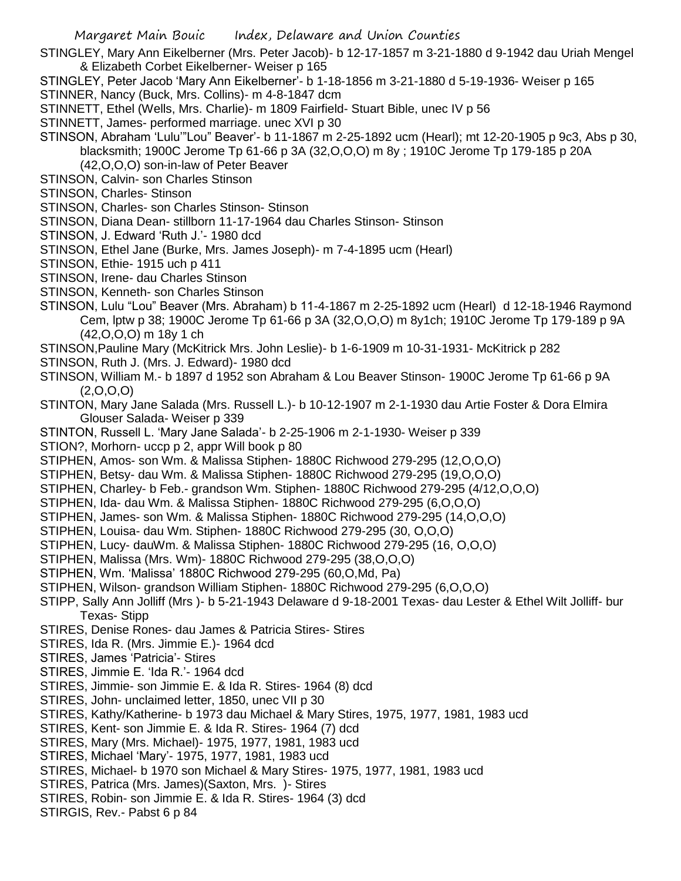STINGLEY, Mary Ann Eikelberner (Mrs. Peter Jacob)- b 12-17-1857 m 3-21-1880 d 9-1942 dau Uriah Mengel & Elizabeth Corbet Eikelberner- Weiser p 165

STINGLEY, Peter Jacob 'Mary Ann Eikelberner'- b 1-18-1856 m 3-21-1880 d 5-19-1936- Weiser p 165

- STINNER, Nancy (Buck, Mrs. Collins)- m 4-8-1847 dcm
- STINNETT, Ethel (Wells, Mrs. Charlie)- m 1809 Fairfield- Stuart Bible, unec IV p 56
- STINNETT, James- performed marriage. unec XVI p 30

STINSON, Abraham 'Lulu'"Lou" Beaver'- b 11-1867 m 2-25-1892 ucm (Hearl); mt 12-20-1905 p 9c3, Abs p 30, blacksmith; 1900C Jerome Tp 61-66 p 3A (32,O,O,O) m 8y ; 1910C Jerome Tp 179-185 p 20A

- (42,O,O,O) son-in-law of Peter Beaver
- STINSON, Calvin- son Charles Stinson
- STINSON, Charles- Stinson
- STINSON, Charles- son Charles Stinson- Stinson
- STINSON, Diana Dean- stillborn 11-17-1964 dau Charles Stinson- Stinson
- STINSON, J. Edward 'Ruth J.'- 1980 dcd
- STINSON, Ethel Jane (Burke, Mrs. James Joseph)- m 7-4-1895 ucm (Hearl)
- STINSON, Ethie- 1915 uch p 411
- STINSON, Irene- dau Charles Stinson
- STINSON, Kenneth- son Charles Stinson
- STINSON, Lulu "Lou" Beaver (Mrs. Abraham) b 11-4-1867 m 2-25-1892 ucm (Hearl) d 12-18-1946 Raymond Cem, lptw p 38; 1900C Jerome Tp 61-66 p 3A (32,O,O,O) m 8y1ch; 1910C Jerome Tp 179-189 p 9A (42,O,O,O) m 18y 1 ch
- STINSON,Pauline Mary (McKitrick Mrs. John Leslie)- b 1-6-1909 m 10-31-1931- McKitrick p 282
- STINSON, Ruth J. (Mrs. J. Edward)- 1980 dcd
- STINSON, William M.- b 1897 d 1952 son Abraham & Lou Beaver Stinson- 1900C Jerome Tp 61-66 p 9A  $(2,0,0,0)$
- STINTON, Mary Jane Salada (Mrs. Russell L.)- b 10-12-1907 m 2-1-1930 dau Artie Foster & Dora Elmira Glouser Salada- Weiser p 339
- STINTON, Russell L. 'Mary Jane Salada'- b 2-25-1906 m 2-1-1930- Weiser p 339
- STION?, Morhorn- uccp p 2, appr Will book p 80
- STIPHEN, Amos- son Wm. & Malissa Stiphen- 1880C Richwood 279-295 (12,O,O,O)
- STIPHEN, Betsy- dau Wm. & Malissa Stiphen- 1880C Richwood 279-295 (19,O,O,O)
- STIPHEN, Charley- b Feb.- grandson Wm. Stiphen- 1880C Richwood 279-295 (4/12,O,O,O)
- STIPHEN, Ida- dau Wm. & Malissa Stiphen- 1880C Richwood 279-295 (6,O,O,O)
- STIPHEN, James- son Wm. & Malissa Stiphen- 1880C Richwood 279-295 (14,O,O,O)
- STIPHEN, Louisa- dau Wm. Stiphen- 1880C Richwood 279-295 (30, O,O,O)
- STIPHEN, Lucy- dauWm. & Malissa Stiphen- 1880C Richwood 279-295 (16, O,O,O)
- STIPHEN, Malissa (Mrs. Wm)- 1880C Richwood 279-295 (38,O,O,O)
- STIPHEN, Wm. 'Malissa' 1880C Richwood 279-295 (60,O,Md, Pa)
- STIPHEN, Wilson- grandson William Stiphen- 1880C Richwood 279-295 (6,O,O,O)
- STIPP, Sally Ann Jolliff (Mrs )- b 5-21-1943 Delaware d 9-18-2001 Texas- dau Lester & Ethel Wilt Jolliff- bur Texas- Stipp
- STIRES, Denise Rones- dau James & Patricia Stires- Stires
- STIRES, Ida R. (Mrs. Jimmie E.)- 1964 dcd
- STIRES, James 'Patricia'- Stires
- STIRES, Jimmie E. 'Ida R.'- 1964 dcd
- STIRES, Jimmie- son Jimmie E. & Ida R. Stires- 1964 (8) dcd
- STIRES, John- unclaimed letter, 1850, unec VII p 30
- STIRES, Kathy/Katherine- b 1973 dau Michael & Mary Stires, 1975, 1977, 1981, 1983 ucd
- STIRES, Kent- son Jimmie E. & Ida R. Stires- 1964 (7) dcd
- STIRES, Mary (Mrs. Michael)- 1975, 1977, 1981, 1983 ucd
- STIRES, Michael 'Mary'- 1975, 1977, 1981, 1983 ucd
- STIRES, Michael- b 1970 son Michael & Mary Stires- 1975, 1977, 1981, 1983 ucd
- STIRES, Patrica (Mrs. James)(Saxton, Mrs. )- Stires
- STIRES, Robin- son Jimmie E. & Ida R. Stires- 1964 (3) dcd
- STIRGIS, Rev.- Pabst 6 p 84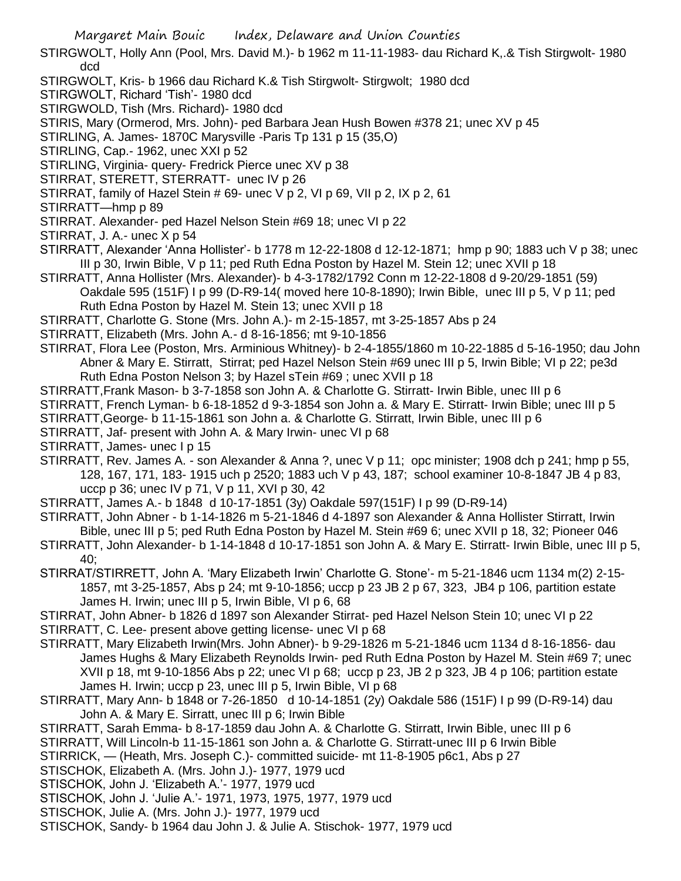- STIRGWOLT, Holly Ann (Pool, Mrs. David M.)- b 1962 m 11-11-1983- dau Richard K,.& Tish Stirgwolt- 1980 dcd
- STIRGWOLT, Kris- b 1966 dau Richard K.& Tish Stirgwolt- Stirgwolt; 1980 dcd
- STIRGWOLT, Richard 'Tish'- 1980 dcd
- STIRGWOLD, Tish (Mrs. Richard)- 1980 dcd
- STIRIS, Mary (Ormerod, Mrs. John)- ped Barbara Jean Hush Bowen #378 21; unec XV p 45
- STIRLING, A. James- 1870C Marysville -Paris Tp 131 p 15 (35,O)
- STIRLING, Cap.- 1962, unec XXI p 52
- STIRLING, Virginia- query- Fredrick Pierce unec XV p 38
- STIRRAT, STERETT, STERRATT- unec IV p 26
- STIRRAT, family of Hazel Stein # 69- unec V p 2, VI p 69, VII p 2, IX p 2, 61
- STIRRATT—hmp p 89
- STIRRAT. Alexander- ped Hazel Nelson Stein #69 18; unec VI p 22
- STIRRAT, J. A.- unec X p 54
- STIRRATT, Alexander 'Anna Hollister'- b 1778 m 12-22-1808 d 12-12-1871; hmp p 90; 1883 uch V p 38; unec III p 30, Irwin Bible, V p 11; ped Ruth Edna Poston by Hazel M. Stein 12; unec XVII p 18
- STIRRATT, Anna Hollister (Mrs. Alexander)- b 4-3-1782/1792 Conn m 12-22-1808 d 9-20/29-1851 (59) Oakdale 595 (151F) I p 99 (D-R9-14( moved here 10-8-1890); Irwin Bible, unec III p 5, V p 11; ped Ruth Edna Poston by Hazel M. Stein 13; unec XVII p 18
- STIRRATT, Charlotte G. Stone (Mrs. John A.)- m 2-15-1857, mt 3-25-1857 Abs p 24
- STIRRATT, Elizabeth (Mrs. John A.- d 8-16-1856; mt 9-10-1856
- STIRRAT, Flora Lee (Poston, Mrs. Arminious Whitney)- b 2-4-1855/1860 m 10-22-1885 d 5-16-1950; dau John Abner & Mary E. Stirratt, Stirrat; ped Hazel Nelson Stein #69 unec III p 5, Irwin Bible; VI p 22; pe3d Ruth Edna Poston Nelson 3; by Hazel sTein #69 ; unec XVII p 18
- STIRRATT,Frank Mason- b 3-7-1858 son John A. & Charlotte G. Stirratt- Irwin Bible, unec III p 6
- STIRRATT, French Lyman- b 6-18-1852 d 9-3-1854 son John a. & Mary E. Stirratt- Irwin Bible; unec III p 5
- STIRRATT,George- b 11-15-1861 son John a. & Charlotte G. Stirratt, Irwin Bible, unec III p 6
- STIRRATT, Jaf- present with John A. & Mary Irwin- unec VI p 68
- STIRRATT, James- unec I p 15
- STIRRATT, Rev. James A. son Alexander & Anna ?, unec V p 11; opc minister; 1908 dch p 241; hmp p 55, 128, 167, 171, 183- 1915 uch p 2520; 1883 uch V p 43, 187; school examiner 10-8-1847 JB 4 p 83, uccp p 36; unec IV p 71, V p 11, XVI p 30, 42
- STIRRATT, James A.- b 1848 d 10-17-1851 (3y) Oakdale 597(151F) I p 99 (D-R9-14)
- STIRRATT, John Abner b 1-14-1826 m 5-21-1846 d 4-1897 son Alexander & Anna Hollister Stirratt, Irwin Bible, unec III p 5; ped Ruth Edna Poston by Hazel M. Stein #69 6; unec XVII p 18, 32; Pioneer 046
- STIRRATT, John Alexander- b 1-14-1848 d 10-17-1851 son John A. & Mary E. Stirratt- Irwin Bible, unec III p 5, 40;
- STIRRAT/STIRRETT, John A. 'Mary Elizabeth Irwin' Charlotte G. Stone'- m 5-21-1846 ucm 1134 m(2) 2-15- 1857, mt 3-25-1857, Abs p 24; mt 9-10-1856; uccp p 23 JB 2 p 67, 323, JB4 p 106, partition estate James H. Irwin; unec III p 5, Irwin Bible, VI p 6, 68
- STIRRAT, John Abner- b 1826 d 1897 son Alexander Stirrat- ped Hazel Nelson Stein 10; unec VI p 22 STIRRATT, C. Lee- present above getting license- unec VI p 68
- STIRRATT, Mary Elizabeth Irwin(Mrs. John Abner)- b 9-29-1826 m 5-21-1846 ucm 1134 d 8-16-1856- dau James Hughs & Mary Elizabeth Reynolds Irwin- ped Ruth Edna Poston by Hazel M. Stein #69 7; unec XVII p 18, mt 9-10-1856 Abs p 22; unec VI p 68; uccp p 23, JB 2 p 323, JB 4 p 106; partition estate James H. Irwin; uccp p 23, unec III p 5, Irwin Bible, VI p 68
- STIRRATT, Mary Ann- b 1848 or 7-26-1850 d 10-14-1851 (2y) Oakdale 586 (151F) I p 99 (D-R9-14) dau John A. & Mary E. Sirratt, unec III p 6; Irwin Bible
- STIRRATT, Sarah Emma- b 8-17-1859 dau John A. & Charlotte G. Stirratt, Irwin Bible, unec III p 6
- STIRRATT, Will Lincoln-b 11-15-1861 son John a. & Charlotte G. Stirratt-unec III p 6 Irwin Bible
- STIRRICK, (Heath, Mrs. Joseph C.)- committed suicide- mt 11-8-1905 p6c1, Abs p 27
- STISCHOK, Elizabeth A. (Mrs. John J.)- 1977, 1979 ucd
- STISCHOK, John J. 'Elizabeth A.'- 1977, 1979 ucd
- STISCHOK, John J. 'Julie A.'- 1971, 1973, 1975, 1977, 1979 ucd
- STISCHOK, Julie A. (Mrs. John J.)- 1977, 1979 ucd
- STISCHOK, Sandy- b 1964 dau John J. & Julie A. Stischok- 1977, 1979 ucd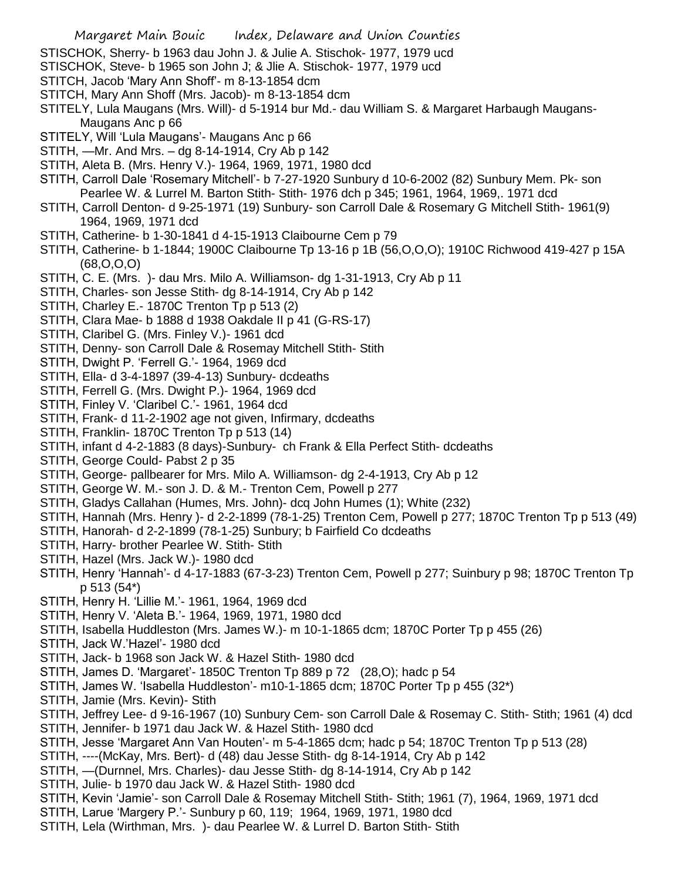- STISCHOK, Sherry- b 1963 dau John J. & Julie A. Stischok- 1977, 1979 ucd
- STISCHOK, Steve- b 1965 son John J; & Jlie A. Stischok- 1977, 1979 ucd
- STITCH, Jacob 'Mary Ann Shoff'- m 8-13-1854 dcm
- STITCH, Mary Ann Shoff (Mrs. Jacob)- m 8-13-1854 dcm
- STITELY, Lula Maugans (Mrs. Will)- d 5-1914 bur Md.- dau William S. & Margaret Harbaugh Maugans-Maugans Anc p 66
- STITELY, Will 'Lula Maugans'- Maugans Anc p 66
- STITH, —Mr. And Mrs. dg 8-14-1914, Cry Ab p 142
- STITH, Aleta B. (Mrs. Henry V.)- 1964, 1969, 1971, 1980 dcd
- STITH, Carroll Dale 'Rosemary Mitchell'- b 7-27-1920 Sunbury d 10-6-2002 (82) Sunbury Mem. Pk- son Pearlee W. & Lurrel M. Barton Stith- Stith- 1976 dch p 345; 1961, 1964, 1969,. 1971 dcd
- STITH, Carroll Denton- d 9-25-1971 (19) Sunbury- son Carroll Dale & Rosemary G Mitchell Stith- 1961(9) 1964, 1969, 1971 dcd
- STITH, Catherine- b 1-30-1841 d 4-15-1913 Claibourne Cem p 79
- STITH, Catherine- b 1-1844; 1900C Claibourne Tp 13-16 p 1B (56,O,O,O); 1910C Richwood 419-427 p 15A (68,O,O,O)
- STITH, C. E. (Mrs. )- dau Mrs. Milo A. Williamson- dg 1-31-1913, Cry Ab p 11
- STITH, Charles- son Jesse Stith- dg 8-14-1914, Cry Ab p 142
- STITH, Charley E.- 1870C Trenton Tp p 513 (2)
- STITH, Clara Mae- b 1888 d 1938 Oakdale II p 41 (G-RS-17)
- STITH, Claribel G. (Mrs. Finley V.)- 1961 dcd
- STITH, Denny- son Carroll Dale & Rosemay Mitchell Stith- Stith
- STITH, Dwight P. 'Ferrell G.'- 1964, 1969 dcd
- STITH, Ella- d 3-4-1897 (39-4-13) Sunbury- dcdeaths
- STITH, Ferrell G. (Mrs. Dwight P.)- 1964, 1969 dcd
- STITH, Finley V. 'Claribel C.'- 1961, 1964 dcd
- STITH, Frank- d 11-2-1902 age not given, Infirmary, dcdeaths
- STITH, Franklin- 1870C Trenton Tp p 513 (14)
- STITH, infant d 4-2-1883 (8 days)-Sunbury- ch Frank & Ella Perfect Stith- dcdeaths
- STITH, George Could- Pabst 2 p 35
- STITH, George- pallbearer for Mrs. Milo A. Williamson- dg 2-4-1913, Cry Ab p 12
- STITH, George W. M.- son J. D. & M.- Trenton Cem, Powell p 277
- STITH, Gladys Callahan (Humes, Mrs. John)- dcq John Humes (1); White (232)
- STITH, Hannah (Mrs. Henry )- d 2-2-1899 (78-1-25) Trenton Cem, Powell p 277; 1870C Trenton Tp p 513 (49)
- STITH, Hanorah- d 2-2-1899 (78-1-25) Sunbury; b Fairfield Co dcdeaths
- STITH, Harry- brother Pearlee W. Stith- Stith
- STITH, Hazel (Mrs. Jack W.)- 1980 dcd
- STITH, Henry 'Hannah'- d 4-17-1883 (67-3-23) Trenton Cem, Powell p 277; Suinbury p 98; 1870C Trenton Tp p 513 (54\*)
- STITH, Henry H. 'Lillie M.'- 1961, 1964, 1969 dcd
- STITH, Henry V. 'Aleta B.'- 1964, 1969, 1971, 1980 dcd
- STITH, Isabella Huddleston (Mrs. James W.)- m 10-1-1865 dcm; 1870C Porter Tp p 455 (26)
- STITH, Jack W.'Hazel'- 1980 dcd
- STITH, Jack- b 1968 son Jack W. & Hazel Stith- 1980 dcd
- STITH, James D. 'Margaret'- 1850C Trenton Tp 889 p 72 (28,O); hadc p 54
- STITH, James W. 'Isabella Huddleston'- m10-1-1865 dcm; 1870C Porter Tp p 455 (32\*)
- STITH, Jamie (Mrs. Kevin)- Stith
- STITH, Jeffrey Lee- d 9-16-1967 (10) Sunbury Cem- son Carroll Dale & Rosemay C. Stith- Stith; 1961 (4) dcd
- STITH, Jennifer- b 1971 dau Jack W. & Hazel Stith- 1980 dcd
- STITH, Jesse 'Margaret Ann Van Houten'- m 5-4-1865 dcm; hadc p 54; 1870C Trenton Tp p 513 (28)
- STITH, ----(McKay, Mrs. Bert)- d (48) dau Jesse Stith- dg 8-14-1914, Cry Ab p 142
- STITH, —(Durnnel, Mrs. Charles)- dau Jesse Stith- dg 8-14-1914, Cry Ab p 142
- STITH, Julie- b 1970 dau Jack W. & Hazel Stith- 1980 dcd
- STITH, Kevin 'Jamie'- son Carroll Dale & Rosemay Mitchell Stith- Stith; 1961 (7), 1964, 1969, 1971 dcd
- STITH, Larue 'Margery P.'- Sunbury p 60, 119; 1964, 1969, 1971, 1980 dcd
- STITH, Lela (Wirthman, Mrs. )- dau Pearlee W. & Lurrel D. Barton Stith- Stith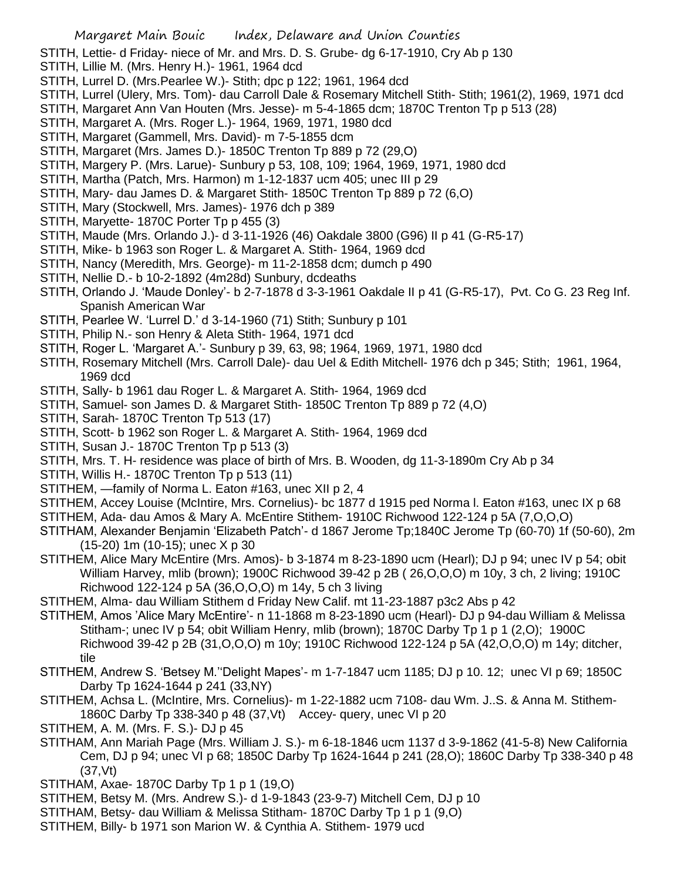STITH, Lettie- d Friday- niece of Mr. and Mrs. D. S. Grube- dg 6-17-1910, Cry Ab p 130

- STITH, Lillie M. (Mrs. Henry H.)- 1961, 1964 dcd
- STITH, Lurrel D. (Mrs.Pearlee W.)- Stith; dpc p 122; 1961, 1964 dcd
- STITH, Lurrel (Ulery, Mrs. Tom)- dau Carroll Dale & Rosemary Mitchell Stith- Stith; 1961(2), 1969, 1971 dcd
- STITH, Margaret Ann Van Houten (Mrs. Jesse)- m 5-4-1865 dcm; 1870C Trenton Tp p 513 (28)
- STITH, Margaret A. (Mrs. Roger L.)- 1964, 1969, 1971, 1980 dcd
- STITH, Margaret (Gammell, Mrs. David)- m 7-5-1855 dcm
- STITH, Margaret (Mrs. James D.)- 1850C Trenton Tp 889 p 72 (29,O)
- STITH, Margery P. (Mrs. Larue)- Sunbury p 53, 108, 109; 1964, 1969, 1971, 1980 dcd
- STITH, Martha (Patch, Mrs. Harmon) m 1-12-1837 ucm 405; unec III p 29
- STITH, Mary- dau James D. & Margaret Stith- 1850C Trenton Tp 889 p 72 (6,O)
- STITH, Mary (Stockwell, Mrs. James)- 1976 dch p 389
- STITH, Maryette- 1870C Porter Tp p 455 (3)
- STITH, Maude (Mrs. Orlando J.)- d 3-11-1926 (46) Oakdale 3800 (G96) II p 41 (G-R5-17)
- STITH, Mike- b 1963 son Roger L. & Margaret A. Stith- 1964, 1969 dcd
- STITH, Nancy (Meredith, Mrs. George)- m 11-2-1858 dcm; dumch p 490
- STITH, Nellie D.- b 10-2-1892 (4m28d) Sunbury, dcdeaths
- STITH, Orlando J. 'Maude Donley'- b 2-7-1878 d 3-3-1961 Oakdale II p 41 (G-R5-17), Pvt. Co G. 23 Reg Inf. Spanish American War
- STITH, Pearlee W. 'Lurrel D.' d 3-14-1960 (71) Stith; Sunbury p 101
- STITH, Philip N.- son Henry & Aleta Stith- 1964, 1971 dcd
- STITH, Roger L. 'Margaret A.'- Sunbury p 39, 63, 98; 1964, 1969, 1971, 1980 dcd
- STITH, Rosemary Mitchell (Mrs. Carroll Dale)- dau Uel & Edith Mitchell- 1976 dch p 345; Stith; 1961, 1964, 1969 dcd
- STITH, Sally- b 1961 dau Roger L. & Margaret A. Stith- 1964, 1969 dcd
- STITH, Samuel- son James D. & Margaret Stith- 1850C Trenton Tp 889 p 72 (4,O)
- STITH, Sarah- 1870C Trenton Tp 513 (17)
- STITH, Scott- b 1962 son Roger L. & Margaret A. Stith- 1964, 1969 dcd
- STITH, Susan J.- 1870C Trenton Tp p 513 (3)
- STITH, Mrs. T. H- residence was place of birth of Mrs. B. Wooden, dg 11-3-1890m Cry Ab p 34
- STITH, Willis H.- 1870C Trenton Tp p 513 (11)
- STITHEM, —family of Norma L. Eaton #163, unec XII p 2, 4
- STITHEM, Accey Louise (McIntire, Mrs. Cornelius)- bc 1877 d 1915 ped Norma l. Eaton #163, unec IX p 68
- STITHEM, Ada- dau Amos & Mary A. McEntire Stithem- 1910C Richwood 122-124 p 5A (7,O,O,O)
- STITHAM, Alexander Benjamin 'Elizabeth Patch'- d 1867 Jerome Tp;1840C Jerome Tp (60-70) 1f (50-60), 2m (15-20) 1m (10-15); unec X p 30
- STITHEM, Alice Mary McEntire (Mrs. Amos)- b 3-1874 m 8-23-1890 ucm (Hearl); DJ p 94; unec IV p 54; obit William Harvey, mlib (brown); 1900C Richwood 39-42 p 2B ( 26,O,O,O) m 10y, 3 ch, 2 living; 1910C Richwood 122-124 p 5A (36,O,O,O) m 14y, 5 ch 3 living
- STITHEM, Alma- dau William Stithem d Friday New Calif. mt 11-23-1887 p3c2 Abs p 42
- STITHEM, Amos 'Alice Mary McEntire'- n 11-1868 m 8-23-1890 ucm (Hearl)- DJ p 94-dau William & Melissa Stitham-; unec IV p 54; obit William Henry, mlib (brown); 1870C Darby Tp 1 p 1 (2,0); 1900C Richwood 39-42 p 2B (31,O,O,O) m 10y; 1910C Richwood 122-124 p 5A (42,O,O,O) m 14y; ditcher, tile
- STITHEM, Andrew S. 'Betsey M.''Delight Mapes'- m 1-7-1847 ucm 1185; DJ p 10. 12; unec VI p 69; 1850C Darby Tp 1624-1644 p 241 (33,NY)
- STITHEM, Achsa L. (McIntire, Mrs. Cornelius)- m 1-22-1882 ucm 7108- dau Wm. J..S. & Anna M. Stithem-1860C Darby Tp 338-340 p 48 (37,Vt) Accey- query, unec VI p 20
- STITHEM, A. M. (Mrs. F. S.)- DJ p 45
- STITHAM, Ann Mariah Page (Mrs. William J. S.)- m 6-18-1846 ucm 1137 d 3-9-1862 (41-5-8) New California Cem, DJ p 94; unec VI p 68; 1850C Darby Tp 1624-1644 p 241 (28,O); 1860C Darby Tp 338-340 p 48 (37,Vt)
- STITHAM, Axae- 1870C Darby Tp 1 p 1 (19,0)
- STITHEM, Betsy M. (Mrs. Andrew S.)- d 1-9-1843 (23-9-7) Mitchell Cem, DJ p 10
- STITHAM, Betsy- dau William & Melissa Stitham- 1870C Darby Tp 1 p 1 (9,O)
- STITHEM, Billy- b 1971 son Marion W. & Cynthia A. Stithem- 1979 ucd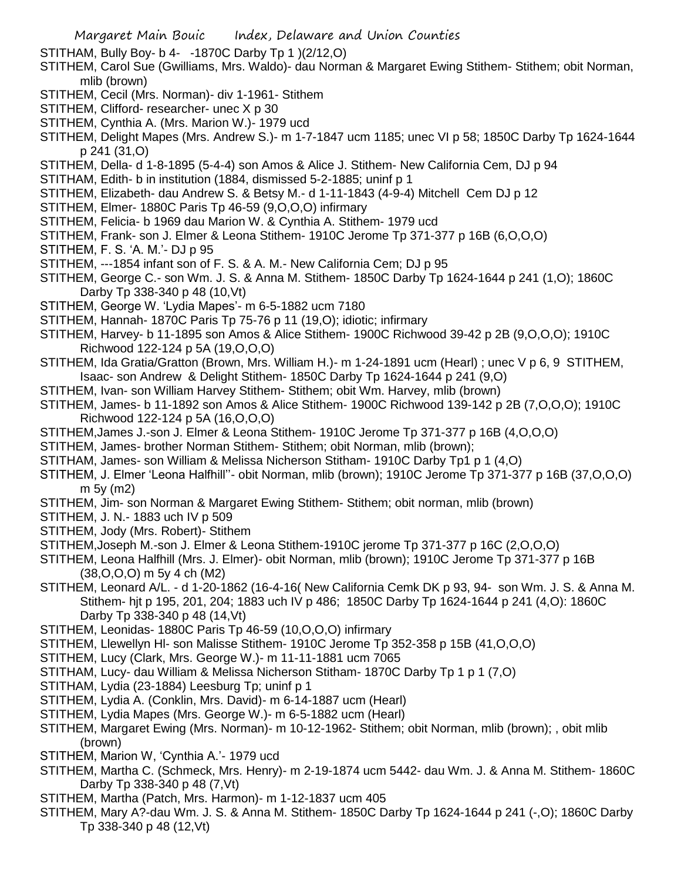STITHAM, Bully Boy- b 4- -1870C Darby Tp 1 )(2/12,O)

- STITHEM, Carol Sue (Gwilliams, Mrs. Waldo)- dau Norman & Margaret Ewing Stithem- Stithem; obit Norman, mlib (brown)
- STITHEM, Cecil (Mrs. Norman)- div 1-1961- Stithem
- STITHEM, Clifford- researcher- unec X p 30
- STITHEM, Cynthia A. (Mrs. Marion W.)- 1979 ucd
- STITHEM, Delight Mapes (Mrs. Andrew S.)- m 1-7-1847 ucm 1185; unec VI p 58; 1850C Darby Tp 1624-1644 p 241 (31,O)
- STITHEM, Della- d 1-8-1895 (5-4-4) son Amos & Alice J. Stithem- New California Cem, DJ p 94
- STITHAM, Edith- b in institution (1884, dismissed 5-2-1885; uninf p 1
- STITHEM, Elizabeth- dau Andrew S. & Betsy M.- d 1-11-1843 (4-9-4) Mitchell Cem DJ p 12
- STITHEM, Elmer- 1880C Paris Tp 46-59 (9,O,O,O) infirmary
- STITHEM, Felicia- b 1969 dau Marion W. & Cynthia A. Stithem- 1979 ucd
- STITHEM, Frank- son J. Elmer & Leona Stithem- 1910C Jerome Tp 371-377 p 16B (6,O,O,O)
- STITHEM, F. S. 'A. M.'- DJ p 95
- STITHEM, ---1854 infant son of F. S. & A. M.- New California Cem; DJ p 95
- STITHEM, George C.- son Wm. J. S. & Anna M. Stithem- 1850C Darby Tp 1624-1644 p 241 (1,O); 1860C Darby Tp 338-340 p 48 (10,Vt)
- STITHEM, George W. 'Lydia Mapes'- m 6-5-1882 ucm 7180
- STITHEM, Hannah- 1870C Paris Tp 75-76 p 11 (19,O); idiotic; infirmary
- STITHEM, Harvey- b 11-1895 son Amos & Alice Stithem- 1900C Richwood 39-42 p 2B (9,O,O,O); 1910C Richwood 122-124 p 5A (19,O,O,O)
- STITHEM, Ida Gratia/Gratton (Brown, Mrs. William H.)- m 1-24-1891 ucm (Hearl) ; unec V p 6, 9 STITHEM, Isaac- son Andrew & Delight Stithem- 1850C Darby Tp 1624-1644 p 241 (9,O)
- STITHEM, Ivan- son William Harvey Stithem- Stithem; obit Wm. Harvey, mlib (brown)
- STITHEM, James- b 11-1892 son Amos & Alice Stithem- 1900C Richwood 139-142 p 2B (7,O,O,O); 1910C Richwood 122-124 p 5A (16,O,O,O)
- STITHEM,James J.-son J. Elmer & Leona Stithem- 1910C Jerome Tp 371-377 p 16B (4,O,O,O)
- STITHEM, James- brother Norman Stithem- Stithem; obit Norman, mlib (brown);
- STITHAM, James- son William & Melissa Nicherson Stitham- 1910C Darby Tp1 p 1 (4,O)
- STITHEM, J. Elmer 'Leona Halfhill''- obit Norman, mlib (brown); 1910C Jerome Tp 371-377 p 16B (37,O,O,O) m 5y (m2)
- STITHEM, Jim- son Norman & Margaret Ewing Stithem- Stithem; obit norman, mlib (brown)
- STITHEM, J. N.- 1883 uch IV p 509
- STITHEM, Jody (Mrs. Robert)- Stithem
- STITHEM,Joseph M.-son J. Elmer & Leona Stithem-1910C jerome Tp 371-377 p 16C (2,O,O,O)
- STITHEM, Leona Halfhill (Mrs. J. Elmer)- obit Norman, mlib (brown); 1910C Jerome Tp 371-377 p 16B (38,O,O,O) m 5y 4 ch (M2)
- STITHEM, Leonard A/L. d 1-20-1862 (16-4-16( New California Cemk DK p 93, 94- son Wm. J. S. & Anna M. Stithem- hjt p 195, 201, 204; 1883 uch IV p 486; 1850C Darby Tp 1624-1644 p 241 (4,O): 1860C Darby Tp 338-340 p 48 (14,Vt)
- STITHEM, Leonidas- 1880C Paris Tp 46-59 (10,O,O,O) infirmary
- STITHEM, Llewellyn Hl- son Malisse Stithem- 1910C Jerome Tp 352-358 p 15B (41,O,O,O)
- STITHEM, Lucy (Clark, Mrs. George W.)- m 11-11-1881 ucm 7065
- STITHAM, Lucy- dau William & Melissa Nicherson Stitham- 1870C Darby Tp 1 p 1 (7,O)
- STITHAM, Lydia (23-1884) Leesburg Tp; uninf p 1
- STITHEM, Lydia A. (Conklin, Mrs. David)- m 6-14-1887 ucm (Hearl)
- STITHEM, Lydia Mapes (Mrs. George W.)- m 6-5-1882 ucm (Hearl)
- STITHEM, Margaret Ewing (Mrs. Norman)- m 10-12-1962- Stithem; obit Norman, mlib (brown); , obit mlib (brown)
- STITHEM, Marion W, 'Cynthia A.'- 1979 ucd
- STITHEM, Martha C. (Schmeck, Mrs. Henry)- m 2-19-1874 ucm 5442- dau Wm. J. & Anna M. Stithem- 1860C Darby Tp 338-340 p 48 (7,Vt)
- STITHEM, Martha (Patch, Mrs. Harmon)- m 1-12-1837 ucm 405
- STITHEM, Mary A?-dau Wm. J. S. & Anna M. Stithem- 1850C Darby Tp 1624-1644 p 241 (-,O); 1860C Darby Tp 338-340 p 48 (12,Vt)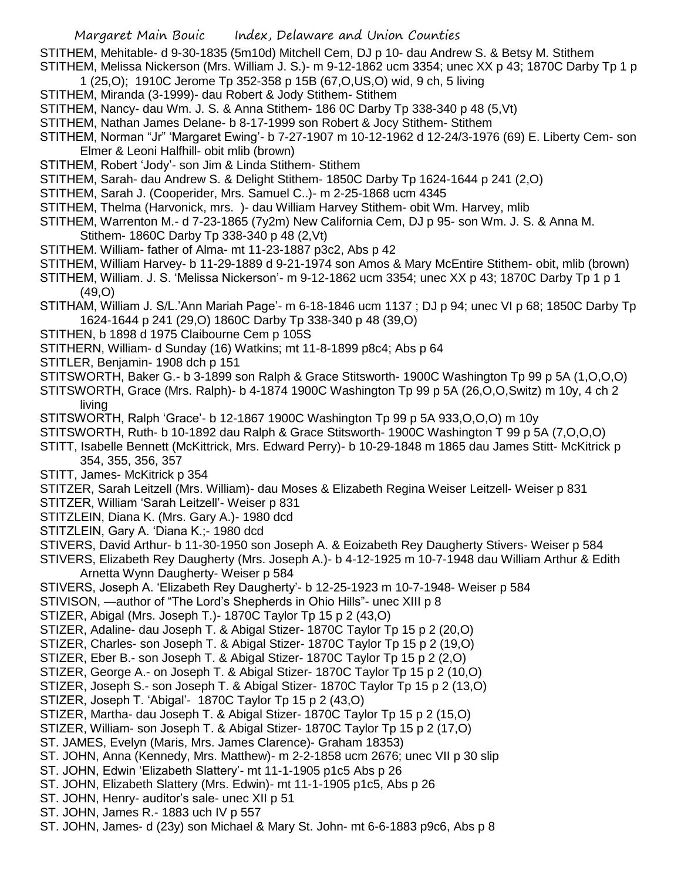STITHEM, Mehitable- d 9-30-1835 (5m10d) Mitchell Cem, DJ p 10- dau Andrew S. & Betsy M. Stithem STITHEM, Melissa Nickerson (Mrs. William J. S.)- m 9-12-1862 ucm 3354; unec XX p 43; 1870C Darby Tp 1 p

- 1 (25,O); 1910C Jerome Tp 352-358 p 15B (67,O,US,O) wid, 9 ch, 5 living
- STITHEM, Miranda (3-1999)- dau Robert & Jody Stithem- Stithem
- STITHEM, Nancy- dau Wm. J. S. & Anna Stithem- 186 0C Darby Tp 338-340 p 48 (5,Vt)
- STITHEM, Nathan James Delane- b 8-17-1999 son Robert & Jocy Stithem- Stithem
- STITHEM, Norman "Jr" 'Margaret Ewing'- b 7-27-1907 m 10-12-1962 d 12-24/3-1976 (69) E. Liberty Cem- son Elmer & Leoni Halfhill- obit mlib (brown)
- STITHEM, Robert 'Jody'- son Jim & Linda Stithem- Stithem
- STITHEM, Sarah- dau Andrew S. & Delight Stithem- 1850C Darby Tp 1624-1644 p 241 (2,O)
- STITHEM, Sarah J. (Cooperider, Mrs. Samuel C..)- m 2-25-1868 ucm 4345
- STITHEM, Thelma (Harvonick, mrs. )- dau William Harvey Stithem- obit Wm. Harvey, mlib
- STITHEM, Warrenton M.- d 7-23-1865 (7y2m) New California Cem, DJ p 95- son Wm. J. S. & Anna M. Stithem- 1860C Darby Tp 338-340 p 48 (2,Vt)
- STITHEM. William- father of Alma- mt 11-23-1887 p3c2, Abs p 42
- STITHEM, William Harvey- b 11-29-1889 d 9-21-1974 son Amos & Mary McEntire Stithem- obit, mlib (brown)
- STITHEM, William. J. S. 'Melissa Nickerson'- m 9-12-1862 ucm 3354; unec XX p 43; 1870C Darby Tp 1 p 1 (49,O)
- STITHAM, William J. S/L.'Ann Mariah Page'- m 6-18-1846 ucm 1137 ; DJ p 94; unec VI p 68; 1850C Darby Tp 1624-1644 p 241 (29,O) 1860C Darby Tp 338-340 p 48 (39,O)
- STITHEN, b 1898 d 1975 Claibourne Cem p 105S
- STITHERN, William- d Sunday (16) Watkins; mt 11-8-1899 p8c4; Abs p 64
- STITLER, Benjamin- 1908 dch p 151
- STITSWORTH, Baker G.- b 3-1899 son Ralph & Grace Stitsworth- 1900C Washington Tp 99 p 5A (1,O,O,O)
- STITSWORTH, Grace (Mrs. Ralph)- b 4-1874 1900C Washington Tp 99 p 5A (26,O,O,Switz) m 10y, 4 ch 2

living

- STITSWORTH, Ralph 'Grace'- b 12-1867 1900C Washington Tp 99 p 5A 933,O,O,O) m 10y
- STITSWORTH, Ruth- b 10-1892 dau Ralph & Grace Stitsworth- 1900C Washington T 99 p 5A (7,O,O,O)
- STITT, Isabelle Bennett (McKittrick, Mrs. Edward Perry)- b 10-29-1848 m 1865 dau James Stitt- McKitrick p 354, 355, 356, 357
- STITT, James- McKitrick p 354
- STITZER, Sarah Leitzell (Mrs. William)- dau Moses & Elizabeth Regina Weiser Leitzell- Weiser p 831
- STITZER, William 'Sarah Leitzell'- Weiser p 831
- STITZLEIN, Diana K. (Mrs. Gary A.)- 1980 dcd
- STITZLEIN, Gary A. 'Diana K.;- 1980 dcd
- STIVERS, David Arthur- b 11-30-1950 son Joseph A. & Eoizabeth Rey Daugherty Stivers- Weiser p 584

STIVERS, Elizabeth Rey Daugherty (Mrs. Joseph A.)- b 4-12-1925 m 10-7-1948 dau William Arthur & Edith Arnetta Wynn Daugherty- Weiser p 584

- STIVERS, Joseph A. 'Elizabeth Rey Daugherty'- b 12-25-1923 m 10-7-1948- Weiser p 584
- STIVISON, —author of "The Lord's Shepherds in Ohio Hills"- unec XIII p 8
- STIZER, Abigal (Mrs. Joseph T.)- 1870C Taylor Tp 15 p 2 (43,O)
- STIZER, Adaline- dau Joseph T. & Abigal Stizer- 1870C Taylor Tp 15 p 2 (20,O)
- STIZER, Charles- son Joseph T. & Abigal Stizer- 1870C Taylor Tp 15 p 2 (19,O)
- STIZER, Eber B.- son Joseph T. & Abigal Stizer- 1870C Taylor Tp 15 p 2 (2,O)
- STIZER, George A.- on Joseph T. & Abigal Stizer- 1870C Taylor Tp 15 p 2 (10,O)
- STIZER, Joseph S.- son Joseph T. & Abigal Stizer- 1870C Taylor Tp 15 p 2 (13,O)
- STIZER, Joseph T. 'Abigal'- 1870C Taylor Tp 15 p 2 (43,O)
- STIZER, Martha- dau Joseph T. & Abigal Stizer- 1870C Taylor Tp 15 p 2 (15,O)
- STIZER, William- son Joseph T. & Abigal Stizer- 1870C Taylor Tp 15 p 2 (17,O)
- ST. JAMES, Evelyn (Maris, Mrs. James Clarence)- Graham 18353)
- ST. JOHN, Anna (Kennedy, Mrs. Matthew)- m 2-2-1858 ucm 2676; unec VII p 30 slip
- ST. JOHN, Edwin 'Elizabeth Slattery'- mt 11-1-1905 p1c5 Abs p 26
- ST. JOHN, Elizabeth Slattery (Mrs. Edwin)- mt 11-1-1905 p1c5, Abs p 26
- ST. JOHN, Henry- auditor's sale- unec XII p 51
- ST. JOHN, James R.- 1883 uch IV p 557
- ST. JOHN, James- d (23y) son Michael & Mary St. John- mt 6-6-1883 p9c6, Abs p 8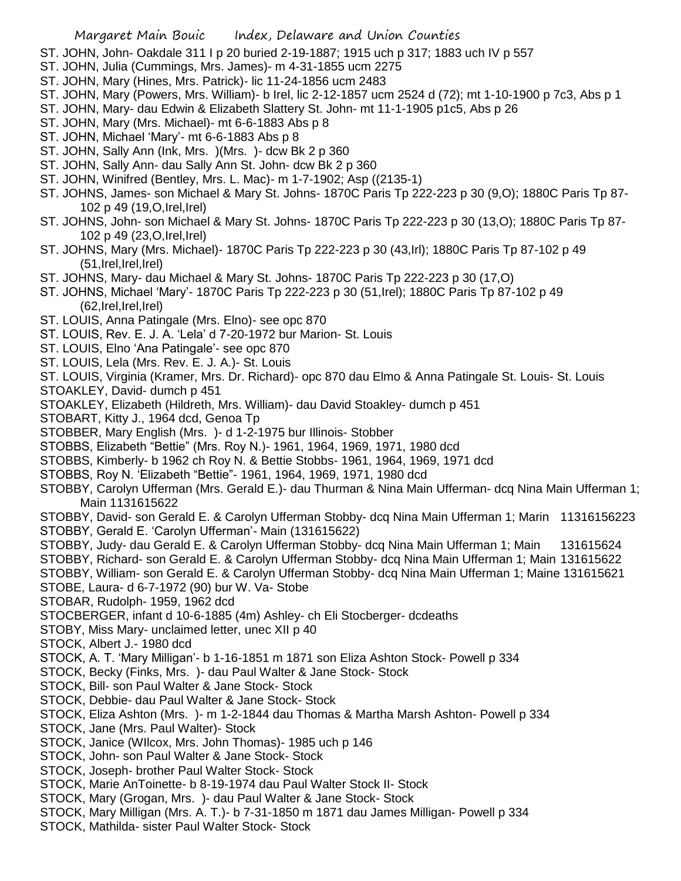- ST. JOHN, John- Oakdale 311 I p 20 buried 2-19-1887; 1915 uch p 317; 1883 uch IV p 557
- ST. JOHN, Julia (Cummings, Mrs. James)- m 4-31-1855 ucm 2275
- ST. JOHN, Mary (Hines, Mrs. Patrick)- lic 11-24-1856 ucm 2483
- ST. JOHN, Mary (Powers, Mrs. William)- b Irel, lic 2-12-1857 ucm 2524 d (72); mt 1-10-1900 p 7c3, Abs p 1
- ST. JOHN, Mary- dau Edwin & Elizabeth Slattery St. John- mt 11-1-1905 p1c5, Abs p 26
- ST. JOHN, Mary (Mrs. Michael)- mt 6-6-1883 Abs p 8
- ST. JOHN, Michael 'Mary'- mt 6-6-1883 Abs p 8
- ST. JOHN, Sally Ann (Ink, Mrs. )(Mrs. )- dcw Bk 2 p 360
- ST. JOHN, Sally Ann- dau Sally Ann St. John- dcw Bk 2 p 360
- ST. JOHN, Winifred (Bentley, Mrs. L. Mac)- m 1-7-1902; Asp ((2135-1)
- ST. JOHNS, James- son Michael & Mary St. Johns- 1870C Paris Tp 222-223 p 30 (9,O); 1880C Paris Tp 87- 102 p 49 (19,O,Irel,Irel)
- ST. JOHNS, John- son Michael & Mary St. Johns- 1870C Paris Tp 222-223 p 30 (13,O); 1880C Paris Tp 87- 102 p 49 (23,O,Irel,Irel)
- ST. JOHNS, Mary (Mrs. Michael)- 1870C Paris Tp 222-223 p 30 (43,Irl); 1880C Paris Tp 87-102 p 49 (51,Irel,Irel,Irel)
- ST. JOHNS, Mary- dau Michael & Mary St. Johns- 1870C Paris Tp 222-223 p 30 (17,O)
- ST. JOHNS, Michael 'Mary'- 1870C Paris Tp 222-223 p 30 (51,Irel); 1880C Paris Tp 87-102 p 49 (62,Irel,Irel,Irel)
- ST. LOUIS, Anna Patingale (Mrs. Elno)- see opc 870
- ST. LOUIS, Rev. E. J. A. 'Lela' d 7-20-1972 bur Marion- St. Louis
- ST. LOUIS, Elno 'Ana Patingale'- see opc 870
- ST. LOUIS, Lela (Mrs. Rev. E. J. A.)- St. Louis
- ST. LOUIS, Virginia (Kramer, Mrs. Dr. Richard)- opc 870 dau Elmo & Anna Patingale St. Louis- St. Louis STOAKLEY, David- dumch p 451
- STOAKLEY, Elizabeth (Hildreth, Mrs. William)- dau David Stoakley- dumch p 451
- STOBART, Kitty J., 1964 dcd, Genoa Tp
- STOBBER, Mary English (Mrs. )- d 1-2-1975 bur Illinois- Stobber
- STOBBS, Elizabeth "Bettie" (Mrs. Roy N.)- 1961, 1964, 1969, 1971, 1980 dcd
- STOBBS, Kimberly- b 1962 ch Roy N. & Bettie Stobbs- 1961, 1964, 1969, 1971 dcd
- STOBBS, Roy N. 'Elizabeth "Bettie"- 1961, 1964, 1969, 1971, 1980 dcd
- STOBBY, Carolyn Ufferman (Mrs. Gerald E.)- dau Thurman & Nina Main Ufferman- dcq Nina Main Ufferman 1; Main 1131615622
- STOBBY, David- son Gerald E. & Carolyn Ufferman Stobby- dcq Nina Main Ufferman 1; Marin 11316156223 STOBBY, Gerald E. 'Carolyn Ufferman'- Main (131615622)
- STOBBY, Judy- dau Gerald E. & Carolyn Ufferman Stobby- dcq Nina Main Ufferman 1; Main 131615624
- STOBBY, Richard- son Gerald E. & Carolyn Ufferman Stobby- dcq Nina Main Ufferman 1; Main 131615622
- STOBBY, William- son Gerald E. & Carolyn Ufferman Stobby- dcq Nina Main Ufferman 1; Maine 131615621
- STOBE, Laura- d 6-7-1972 (90) bur W. Va- Stobe
- STOBAR, Rudolph- 1959, 1962 dcd
- STOCBERGER, infant d 10-6-1885 (4m) Ashley- ch Eli Stocberger- dcdeaths
- STOBY, Miss Mary- unclaimed letter, unec XII p 40
- STOCK, Albert J.- 1980 dcd
- STOCK, A. T. 'Mary Milligan'- b 1-16-1851 m 1871 son Eliza Ashton Stock- Powell p 334
- STOCK, Becky (Finks, Mrs. )- dau Paul Walter & Jane Stock- Stock
- STOCK, Bill- son Paul Walter & Jane Stock- Stock
- STOCK, Debbie- dau Paul Walter & Jane Stock- Stock
- STOCK, Eliza Ashton (Mrs. )- m 1-2-1844 dau Thomas & Martha Marsh Ashton- Powell p 334
- STOCK, Jane (Mrs. Paul Walter)- Stock
- STOCK, Janice (WIlcox, Mrs. John Thomas)- 1985 uch p 146
- STOCK, John- son Paul Walter & Jane Stock- Stock
- STOCK, Joseph- brother Paul Walter Stock- Stock
- STOCK, Marie AnToinette- b 8-19-1974 dau Paul Walter Stock II- Stock
- STOCK, Mary (Grogan, Mrs. )- dau Paul Walter & Jane Stock- Stock
- STOCK, Mary Milligan (Mrs. A. T.)- b 7-31-1850 m 1871 dau James Milligan- Powell p 334
- STOCK, Mathilda- sister Paul Walter Stock- Stock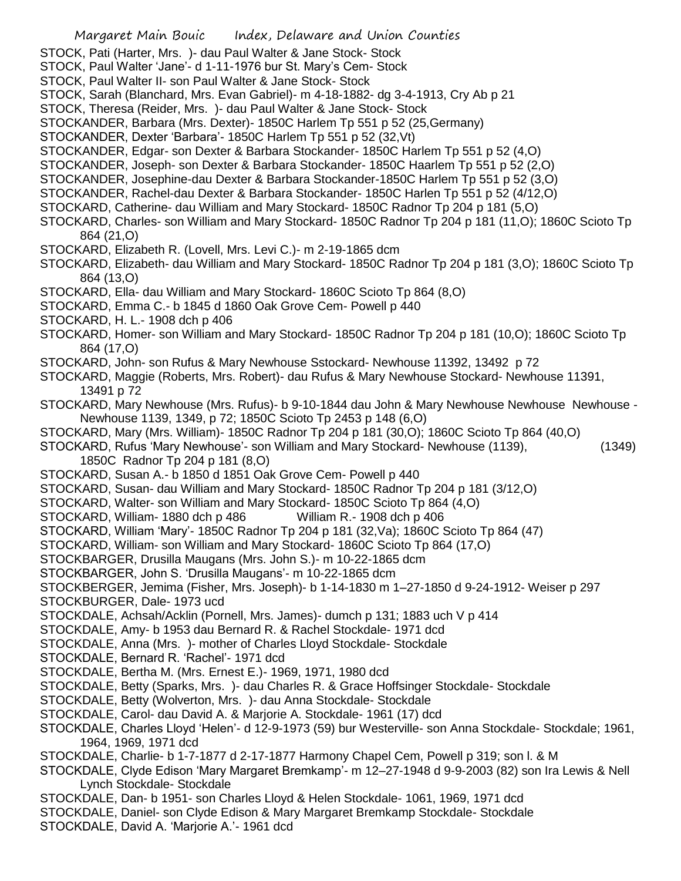Margaret Main Bouic Index, Delaware and Union Counties STOCK, Pati (Harter, Mrs. )- dau Paul Walter & Jane Stock- Stock STOCK, Paul Walter 'Jane'- d 1-11-1976 bur St. Mary's Cem- Stock STOCK, Paul Walter II- son Paul Walter & Jane Stock- Stock STOCK, Sarah (Blanchard, Mrs. Evan Gabriel)- m 4-18-1882- dg 3-4-1913, Cry Ab p 21 STOCK, Theresa (Reider, Mrs. )- dau Paul Walter & Jane Stock- Stock STOCKANDER, Barbara (Mrs. Dexter)- 1850C Harlem Tp 551 p 52 (25,Germany) STOCKANDER, Dexter 'Barbara'- 1850C Harlem Tp 551 p 52 (32,Vt) STOCKANDER, Edgar- son Dexter & Barbara Stockander- 1850C Harlem Tp 551 p 52 (4,O) STOCKANDER, Joseph- son Dexter & Barbara Stockander- 1850C Haarlem Tp 551 p 52 (2,O) STOCKANDER, Josephine-dau Dexter & Barbara Stockander-1850C Harlem Tp 551 p 52 (3,O) STOCKANDER, Rachel-dau Dexter & Barbara Stockander- 1850C Harlen Tp 551 p 52 (4/12,O) STOCKARD, Catherine- dau William and Mary Stockard- 1850C Radnor Tp 204 p 181 (5,O) STOCKARD, Charles- son William and Mary Stockard- 1850C Radnor Tp 204 p 181 (11,O); 1860C Scioto Tp 864 (21,O) STOCKARD, Elizabeth R. (Lovell, Mrs. Levi C.)- m 2-19-1865 dcm STOCKARD, Elizabeth- dau William and Mary Stockard- 1850C Radnor Tp 204 p 181 (3,O); 1860C Scioto Tp 864 (13,O) STOCKARD, Ella- dau William and Mary Stockard- 1860C Scioto Tp 864 (8,O) STOCKARD, Emma C.- b 1845 d 1860 Oak Grove Cem- Powell p 440 STOCKARD, H. L.- 1908 dch p 406 STOCKARD, Homer- son William and Mary Stockard- 1850C Radnor Tp 204 p 181 (10,O); 1860C Scioto Tp 864 (17,O) STOCKARD, John- son Rufus & Mary Newhouse Sstockard- Newhouse 11392, 13492 p 72 STOCKARD, Maggie (Roberts, Mrs. Robert)- dau Rufus & Mary Newhouse Stockard- Newhouse 11391, 13491 p 72 STOCKARD, Mary Newhouse (Mrs. Rufus)- b 9-10-1844 dau John & Mary Newhouse Newhouse Newhouse - Newhouse 1139, 1349, p 72; 1850C Scioto Tp 2453 p 148 (6,O) STOCKARD, Mary (Mrs. William)- 1850C Radnor Tp 204 p 181 (30,O); 1860C Scioto Tp 864 (40,O) STOCKARD, Rufus 'Mary Newhouse'- son William and Mary Stockard- Newhouse (1139), (1349) 1850C Radnor Tp 204 p 181 (8,O) STOCKARD, Susan A.- b 1850 d 1851 Oak Grove Cem- Powell p 440 STOCKARD, Susan- dau William and Mary Stockard- 1850C Radnor Tp 204 p 181 (3/12,O) STOCKARD, Walter- son William and Mary Stockard- 1850C Scioto Tp 864 (4,O) STOCKARD, William- 1880 dch p 486 William R.- 1908 dch p 406 STOCKARD, William 'Mary'- 1850C Radnor Tp 204 p 181 (32,Va); 1860C Scioto Tp 864 (47) STOCKARD, William- son William and Mary Stockard- 1860C Scioto Tp 864 (17,O) STOCKBARGER, Drusilla Maugans (Mrs. John S.)- m 10-22-1865 dcm STOCKBARGER, John S. 'Drusilla Maugans'- m 10-22-1865 dcm STOCKBERGER, Jemima (Fisher, Mrs. Joseph)- b 1-14-1830 m 1–27-1850 d 9-24-1912- Weiser p 297 STOCKBURGER, Dale- 1973 ucd STOCKDALE, Achsah/Acklin (Pornell, Mrs. James)- dumch p 131; 1883 uch V p 414 STOCKDALE, Amy- b 1953 dau Bernard R. & Rachel Stockdale- 1971 dcd STOCKDALE, Anna (Mrs. )- mother of Charles Lloyd Stockdale- Stockdale STOCKDALE, Bernard R. 'Rachel'- 1971 dcd STOCKDALE, Bertha M. (Mrs. Ernest E.)- 1969, 1971, 1980 dcd STOCKDALE, Betty (Sparks, Mrs. )- dau Charles R. & Grace Hoffsinger Stockdale- Stockdale STOCKDALE, Betty (Wolverton, Mrs. )- dau Anna Stockdale- Stockdale STOCKDALE, Carol- dau David A. & Marjorie A. Stockdale- 1961 (17) dcd STOCKDALE, Charles Lloyd 'Helen'- d 12-9-1973 (59) bur Westerville- son Anna Stockdale- Stockdale; 1961, 1964, 1969, 1971 dcd STOCKDALE, Charlie- b 1-7-1877 d 2-17-1877 Harmony Chapel Cem, Powell p 319; son l. & M STOCKDALE, Clyde Edison 'Mary Margaret Bremkamp'- m 12–27-1948 d 9-9-2003 (82) son Ira Lewis & Nell Lynch Stockdale- Stockdale STOCKDALE, Dan- b 1951- son Charles Lloyd & Helen Stockdale- 1061, 1969, 1971 dcd STOCKDALE, Daniel- son Clyde Edison & Mary Margaret Bremkamp Stockdale- Stockdale STOCKDALE, David A. 'Marjorie A.'- 1961 dcd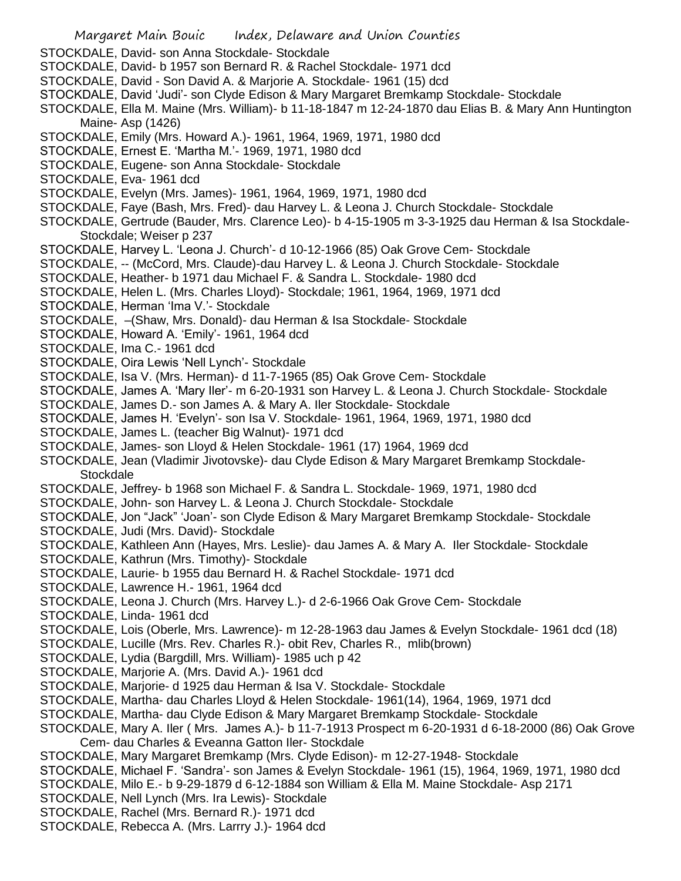Margaret Main Bouic Index, Delaware and Union Counties STOCKDALE, David- son Anna Stockdale- Stockdale STOCKDALE, David- b 1957 son Bernard R. & Rachel Stockdale- 1971 dcd STOCKDALE, David - Son David A. & Marjorie A. Stockdale- 1961 (15) dcd STOCKDALE, David 'Judi'- son Clyde Edison & Mary Margaret Bremkamp Stockdale- Stockdale STOCKDALE, Ella M. Maine (Mrs. William)- b 11-18-1847 m 12-24-1870 dau Elias B. & Mary Ann Huntington Maine- Asp (1426) STOCKDALE, Emily (Mrs. Howard A.)- 1961, 1964, 1969, 1971, 1980 dcd STOCKDALE, Ernest E. 'Martha M.'- 1969, 1971, 1980 dcd STOCKDALE, Eugene- son Anna Stockdale- Stockdale STOCKDALE, Eva- 1961 dcd STOCKDALE, Evelyn (Mrs. James)- 1961, 1964, 1969, 1971, 1980 dcd STOCKDALE, Faye (Bash, Mrs. Fred)- dau Harvey L. & Leona J. Church Stockdale- Stockdale STOCKDALE, Gertrude (Bauder, Mrs. Clarence Leo)- b 4-15-1905 m 3-3-1925 dau Herman & Isa Stockdale-Stockdale; Weiser p 237 STOCKDALE, Harvey L. 'Leona J. Church'- d 10-12-1966 (85) Oak Grove Cem- Stockdale STOCKDALE, -- (McCord, Mrs. Claude)-dau Harvey L. & Leona J. Church Stockdale- Stockdale STOCKDALE, Heather- b 1971 dau Michael F. & Sandra L. Stockdale- 1980 dcd STOCKDALE, Helen L. (Mrs. Charles Lloyd)- Stockdale; 1961, 1964, 1969, 1971 dcd STOCKDALE, Herman 'Ima V.'- Stockdale STOCKDALE, –(Shaw, Mrs. Donald)- dau Herman & Isa Stockdale- Stockdale STOCKDALE, Howard A. 'Emily'- 1961, 1964 dcd STOCKDALE, Ima C.- 1961 dcd STOCKDALE, Oira Lewis 'Nell Lynch'- Stockdale STOCKDALE, Isa V. (Mrs. Herman)- d 11-7-1965 (85) Oak Grove Cem- Stockdale STOCKDALE, James A. 'Mary Iler'- m 6-20-1931 son Harvey L. & Leona J. Church Stockdale- Stockdale STOCKDALE, James D.- son James A. & Mary A. Iler Stockdale- Stockdale STOCKDALE, James H. 'Evelyn'- son Isa V. Stockdale- 1961, 1964, 1969, 1971, 1980 dcd STOCKDALE, James L. (teacher Big Walnut)- 1971 dcd STOCKDALE, James- son Lloyd & Helen Stockdale- 1961 (17) 1964, 1969 dcd STOCKDALE, Jean (Vladimir Jivotovske)- dau Clyde Edison & Mary Margaret Bremkamp Stockdale-**Stockdale** STOCKDALE, Jeffrey- b 1968 son Michael F. & Sandra L. Stockdale- 1969, 1971, 1980 dcd STOCKDALE, John- son Harvey L. & Leona J. Church Stockdale- Stockdale STOCKDALE, Jon "Jack" 'Joan'- son Clyde Edison & Mary Margaret Bremkamp Stockdale- Stockdale STOCKDALE, Judi (Mrs. David)- Stockdale STOCKDALE, Kathleen Ann (Hayes, Mrs. Leslie)- dau James A. & Mary A. Iler Stockdale- Stockdale STOCKDALE, Kathrun (Mrs. Timothy)- Stockdale STOCKDALE, Laurie- b 1955 dau Bernard H. & Rachel Stockdale- 1971 dcd STOCKDALE, Lawrence H.- 1961, 1964 dcd STOCKDALE, Leona J. Church (Mrs. Harvey L.)- d 2-6-1966 Oak Grove Cem- Stockdale STOCKDALE, Linda- 1961 dcd STOCKDALE, Lois (Oberle, Mrs. Lawrence)- m 12-28-1963 dau James & Evelyn Stockdale- 1961 dcd (18) STOCKDALE, Lucille (Mrs. Rev. Charles R.)- obit Rev, Charles R., mlib(brown) STOCKDALE, Lydia (Bargdill, Mrs. William)- 1985 uch p 42 STOCKDALE, Marjorie A. (Mrs. David A.)- 1961 dcd STOCKDALE, Marjorie- d 1925 dau Herman & Isa V. Stockdale- Stockdale STOCKDALE, Martha- dau Charles Lloyd & Helen Stockdale- 1961(14), 1964, 1969, 1971 dcd STOCKDALE, Martha- dau Clyde Edison & Mary Margaret Bremkamp Stockdale- Stockdale STOCKDALE, Mary A. Iler ( Mrs. James A.)- b 11-7-1913 Prospect m 6-20-1931 d 6-18-2000 (86) Oak Grove Cem- dau Charles & Eveanna Gatton Iler- Stockdale STOCKDALE, Mary Margaret Bremkamp (Mrs. Clyde Edison)- m 12-27-1948- Stockdale STOCKDALE, Michael F. 'Sandra'- son James & Evelyn Stockdale- 1961 (15), 1964, 1969, 1971, 1980 dcd STOCKDALE, Milo E.- b 9-29-1879 d 6-12-1884 son William & Ella M. Maine Stockdale- Asp 2171 STOCKDALE, Nell Lynch (Mrs. Ira Lewis)- Stockdale STOCKDALE, Rachel (Mrs. Bernard R.)- 1971 dcd STOCKDALE, Rebecca A. (Mrs. Larrry J.)- 1964 dcd